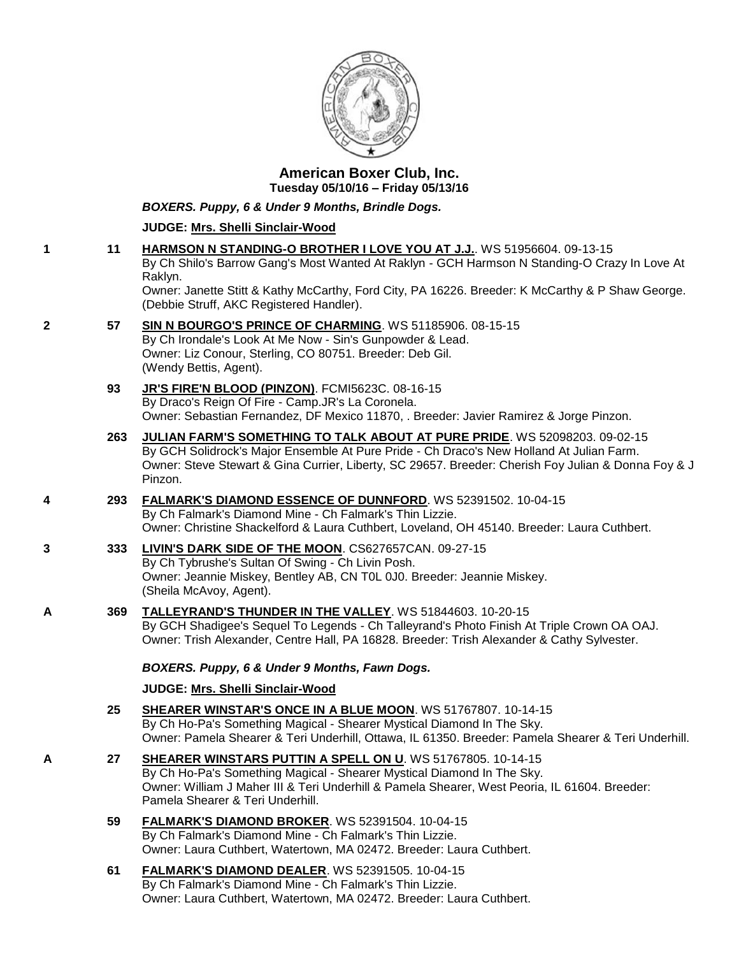

## **American Boxer Club, Inc. Tuesday 05/10/16 – Friday 05/13/16**

*BOXERS. Puppy, 6 & Under 9 Months, Brindle Dogs.*

## **JUDGE: [Mrs. Shelli Sinclair-Wood](http://infodog.com/show/judge/jdgprofile.htm?jn=24194)**

- **1 11 [HARMSON N STANDING-O BROTHER I LOVE YOU AT J.J.](http://infodog.com/my/drlookup2.htm?makc=WS%2051956604&mdog=Harmson+N+Standing-O+Brother+I+Love+You+At+J.J.&wins=all)**. WS 51956604. 09-13-15 By Ch Shilo's Barrow Gang's Most Wanted At Raklyn - GCH Harmson N Standing-O Crazy In Love At Raklyn. Owner: Janette Stitt & Kathy McCarthy, Ford City, PA 16226. Breeder: K McCarthy & P Shaw George. (Debbie Struff, AKC Registered Handler). **2 57 [SIN N BOURGO'S PRINCE OF CHARMING](http://infodog.com/my/drlookup2.htm?makc=WS%2051185906&mdog=Sin+N+Bourgo%27s+Prince+Of+Charming&wins=all)**. WS 51185906. 08-15-15
	- By Ch Irondale's Look At Me Now Sin's Gunpowder & Lead. Owner: Liz Conour, Sterling, CO 80751. Breeder: Deb Gil. (Wendy Bettis, Agent).
		- **93 [JR'S FIRE'N BLOOD \(PINZON\)](http://infodog.com/my/drlookup2.htm?makc=FCMI5623C&mdog=JR%27s+Fire%27N+Blood+%28Pinzon%29&wins=all)**. FCMI5623C. 08-16-15 By Draco's Reign Of Fire - Camp.JR's La Coronela. Owner: Sebastian Fernandez, DF Mexico 11870, . Breeder: Javier Ramirez & Jorge Pinzon.
		- **263 [JULIAN FARM'S SOMETHING TO TALK ABOUT AT PURE PRIDE](http://infodog.com/my/drlookup2.htm?makc=WS%2052098203&mdog=Julian+Farm%27s+Something+To+Talk+About+At+Pure+Pride&wins=all)**. WS 52098203. 09-02-15 By GCH Solidrock's Major Ensemble At Pure Pride - Ch Draco's New Holland At Julian Farm. Owner: Steve Stewart & Gina Currier, Liberty, SC 29657. Breeder: Cherish Foy Julian & Donna Foy & J Pinzon.
- **4 293 [FALMARK'S DIAMOND ESSENCE OF DUNNFORD](http://infodog.com/my/drlookup2.htm?makc=WS%2052391502&mdog=Falmark%27s+Diamond+Essence+Of+Dunnford&wins=all)**. WS 52391502. 10-04-15 By Ch Falmark's Diamond Mine - Ch Falmark's Thin Lizzie. Owner: Christine Shackelford & Laura Cuthbert, Loveland, OH 45140. Breeder: Laura Cuthbert.
- **3 333 [LIVIN'S DARK SIDE OF THE MOON](http://infodog.com/my/drlookup2.htm?makc=CS627657CAN&mdog=Livin%27s+Dark+Side+Of+The+Moon&wins=all)**. CS627657CAN. 09-27-15 By Ch Tybrushe's Sultan Of Swing - Ch Livin Posh. Owner: Jeannie Miskey, Bentley AB, CN T0L 0J0. Breeder: Jeannie Miskey. (Sheila McAvoy, Agent).
- **A 369 [TALLEYRAND'S THUNDER IN THE VALLEY](http://infodog.com/my/drlookup2.htm?makc=WS%2051844603&mdog=Talleyrand%27s+Thunder+In+The+Valley&wins=all)**. WS 51844603. 10-20-15 By GCH Shadigee's Sequel To Legends - Ch Talleyrand's Photo Finish At Triple Crown OA OAJ. Owner: Trish Alexander, Centre Hall, PA 16828. Breeder: Trish Alexander & Cathy Sylvester.

*BOXERS. Puppy, 6 & Under 9 Months, Fawn Dogs.*

**JUDGE: [Mrs. Shelli Sinclair-Wood](http://infodog.com/show/judge/jdgprofile.htm?jn=24194)**

- **25 [SHEARER WINSTAR'S ONCE IN A BLUE MOON](http://infodog.com/my/drlookup2.htm?makc=WS%2051767807&mdog=Shearer+Winstar%27s+Once+In+A+Blue+Moon&wins=all)**. WS 51767807. 10-14-15 By Ch Ho-Pa's Something Magical - Shearer Mystical Diamond In The Sky. Owner: Pamela Shearer & Teri Underhill, Ottawa, IL 61350. Breeder: Pamela Shearer & Teri Underhill.
- **A 27 [SHEARER WINSTARS PUTTIN A SPELL ON U](http://infodog.com/my/drlookup2.htm?makc=WS%2051767805&mdog=Shearer+Winstars+Puttin+A+Spell+On+U&wins=all)**. WS 51767805. 10-14-15 By Ch Ho-Pa's Something Magical - Shearer Mystical Diamond In The Sky. Owner: William J Maher III & Teri Underhill & Pamela Shearer, West Peoria, IL 61604. Breeder: Pamela Shearer & Teri Underhill.
	- **59 [FALMARK'S DIAMOND BROKER](http://infodog.com/my/drlookup2.htm?makc=WS%2052391504&mdog=Falmark%27s+Diamond+Broker&wins=all)**. WS 52391504. 10-04-15 By Ch Falmark's Diamond Mine - Ch Falmark's Thin Lizzie. Owner: Laura Cuthbert, Watertown, MA 02472. Breeder: Laura Cuthbert.
	- **61 [FALMARK'S DIAMOND DEALER](http://infodog.com/my/drlookup2.htm?makc=WS%2052391505&mdog=Falmark%27s+Diamond+Dealer&wins=all)**. WS 52391505. 10-04-15 By Ch Falmark's Diamond Mine - Ch Falmark's Thin Lizzie. Owner: Laura Cuthbert, Watertown, MA 02472. Breeder: Laura Cuthbert.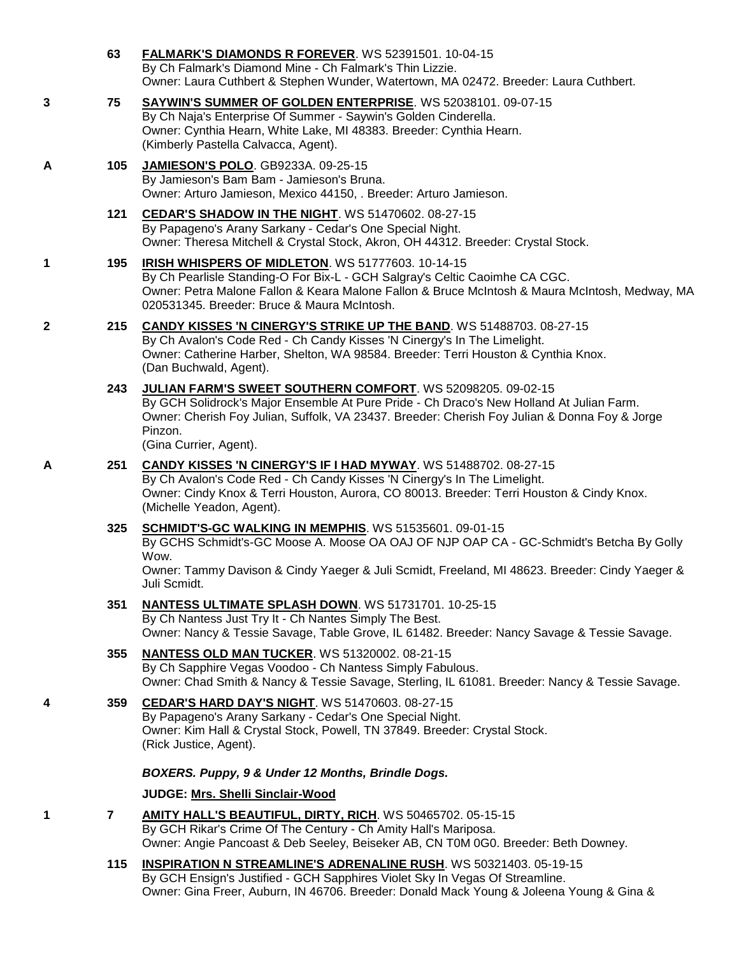- **63 [FALMARK'S DIAMONDS R FOREVER](http://infodog.com/my/drlookup2.htm?makc=WS%2052391501&mdog=Falmark%27s+Diamonds+R+Forever&wins=all)**. WS 52391501. 10-04-15 By Ch Falmark's Diamond Mine - Ch Falmark's Thin Lizzie. Owner: Laura Cuthbert & Stephen Wunder, Watertown, MA 02472. Breeder: Laura Cuthbert.
- **3 75 [SAYWIN'S SUMMER OF GOLDEN ENTERPRISE](http://infodog.com/my/drlookup2.htm?makc=WS%2052038101&mdog=Saywin%27s+Summer+Of+Golden+Enterprise&wins=all)**. WS 52038101. 09-07-15 By Ch Naja's Enterprise Of Summer - Saywin's Golden Cinderella. Owner: Cynthia Hearn, White Lake, MI 48383. Breeder: Cynthia Hearn. (Kimberly Pastella Calvacca, Agent).
- **A 105 [JAMIESON'S POLO](http://infodog.com/my/drlookup2.htm?makc=GB9233A&mdog=Jamieson%27s+Polo&wins=all)**. GB9233A. 09-25-15 By Jamieson's Bam Bam - Jamieson's Bruna. Owner: Arturo Jamieson, Mexico 44150, . Breeder: Arturo Jamieson.
	- **121 [CEDAR'S SHADOW IN THE NIGHT](http://infodog.com/my/drlookup2.htm?makc=WS%2051470602&mdog=Cedar%27s+Shadow+In+The+Night&wins=all)**. WS 51470602. 08-27-15 By Papageno's Arany Sarkany - Cedar's One Special Night. Owner: Theresa Mitchell & Crystal Stock, Akron, OH 44312. Breeder: Crystal Stock.
- **1 195 [IRISH WHISPERS OF MIDLETON](http://infodog.com/my/drlookup2.htm?makc=WS%2051777603&mdog=Irish+Whispers+Of+Midleton&wins=all)**. WS 51777603. 10-14-15 By Ch Pearlisle Standing-O For Bix-L - GCH Salgray's Celtic Caoimhe CA CGC. Owner: Petra Malone Fallon & Keara Malone Fallon & Bruce McIntosh & Maura McIntosh, Medway, MA 020531345. Breeder: Bruce & Maura McIntosh.
- **2 215 [CANDY KISSES 'N CINERGY'S STRIKE UP THE BAND](http://infodog.com/my/drlookup2.htm?makc=WS%2051488703&mdog=Candy+Kisses+%27N+Cinergy%27s+Strike+Up+The+Band&wins=all)**. WS 51488703. 08-27-15 By Ch Avalon's Code Red - Ch Candy Kisses 'N Cinergy's In The Limelight. Owner: Catherine Harber, Shelton, WA 98584. Breeder: Terri Houston & Cynthia Knox. (Dan Buchwald, Agent).
	- **243 [JULIAN FARM'S SWEET SOUTHERN COMFORT](http://infodog.com/my/drlookup2.htm?makc=WS%2052098205&mdog=Julian+Farm%27s+Sweet+Southern+Comfort&wins=all)**. WS 52098205. 09-02-15 By GCH Solidrock's Major Ensemble At Pure Pride - Ch Draco's New Holland At Julian Farm. Owner: Cherish Foy Julian, Suffolk, VA 23437. Breeder: Cherish Foy Julian & Donna Foy & Jorge Pinzon.

(Gina Currier, Agent).

Juli Scmidt.

- **A 251 [CANDY KISSES 'N CINERGY'S IF I HAD MYWAY](http://infodog.com/my/drlookup2.htm?makc=WS%2051488702&mdog=Candy+Kisses+%27N+Cinergy%27s+If+I+Had+MyWay&wins=all)**. WS 51488702. 08-27-15 By Ch Avalon's Code Red - Ch Candy Kisses 'N Cinergy's In The Limelight. Owner: Cindy Knox & Terri Houston, Aurora, CO 80013. Breeder: Terri Houston & Cindy Knox. (Michelle Yeadon, Agent).
	- **325 [SCHMIDT'S-GC WALKING IN MEMPHIS](http://infodog.com/my/drlookup2.htm?makc=WS%2051535601&mdog=Schmidt%27s-GC+Walking+In+Memphis&wins=all)**. WS 51535601. 09-01-15 By GCHS Schmidt's-GC Moose A. Moose OA OAJ OF NJP OAP CA - GC-Schmidt's Betcha By Golly Wow. Owner: Tammy Davison & Cindy Yaeger & Juli Scmidt, Freeland, MI 48623. Breeder: Cindy Yaeger &
	- **351 [NANTESS ULTIMATE SPLASH DOWN](http://infodog.com/my/drlookup2.htm?makc=WS%2051731701&mdog=Nantess+Ultimate+Splash+Down&wins=all)**. WS 51731701. 10-25-15 By Ch Nantess Just Try It - Ch Nantes Simply The Best. Owner: Nancy & Tessie Savage, Table Grove, IL 61482. Breeder: Nancy Savage & Tessie Savage.
	- **355 [NANTESS OLD MAN TUCKER](http://infodog.com/my/drlookup2.htm?makc=WS%2051320002&mdog=Nantess+Old+Man+Tucker&wins=all)**. WS 51320002. 08-21-15 By Ch Sapphire Vegas Voodoo - Ch Nantess Simply Fabulous. Owner: Chad Smith & Nancy & Tessie Savage, Sterling, IL 61081. Breeder: Nancy & Tessie Savage.
- **4 359 [CEDAR'S HARD DAY'S NIGHT](http://infodog.com/my/drlookup2.htm?makc=WS%2051470603&mdog=Cedar%27s+Hard+Day%27s+Night&wins=all)**. WS 51470603. 08-27-15 By Papageno's Arany Sarkany - Cedar's One Special Night. Owner: Kim Hall & Crystal Stock, Powell, TN 37849. Breeder: Crystal Stock. (Rick Justice, Agent).

## *BOXERS. Puppy, 9 & Under 12 Months, Brindle Dogs.*

## **JUDGE: [Mrs. Shelli Sinclair-Wood](http://infodog.com/show/judge/jdgprofile.htm?jn=24194)**

- **1 7 [AMITY HALL'S BEAUTIFUL, DIRTY, RICH](http://infodog.com/my/drlookup2.htm?makc=WS%2050465702&mdog=Amity+Hall%27s+Beautiful,+Dirty,+Rich&wins=all)**. WS 50465702. 05-15-15 By GCH Rikar's Crime Of The Century - Ch Amity Hall's Mariposa. Owner: Angie Pancoast & Deb Seeley, Beiseker AB, CN T0M 0G0. Breeder: Beth Downey.
	- **115 [INSPIRATION N STREAMLINE'S ADRENALINE RUSH](http://infodog.com/my/drlookup2.htm?makc=WS%2050321403&mdog=Inspiration+N+Streamline%27s+Adrenaline+Rush&wins=all)**. WS 50321403. 05-19-15 By GCH Ensign's Justified - GCH Sapphires Violet Sky In Vegas Of Streamline. Owner: Gina Freer, Auburn, IN 46706. Breeder: Donald Mack Young & Joleena Young & Gina &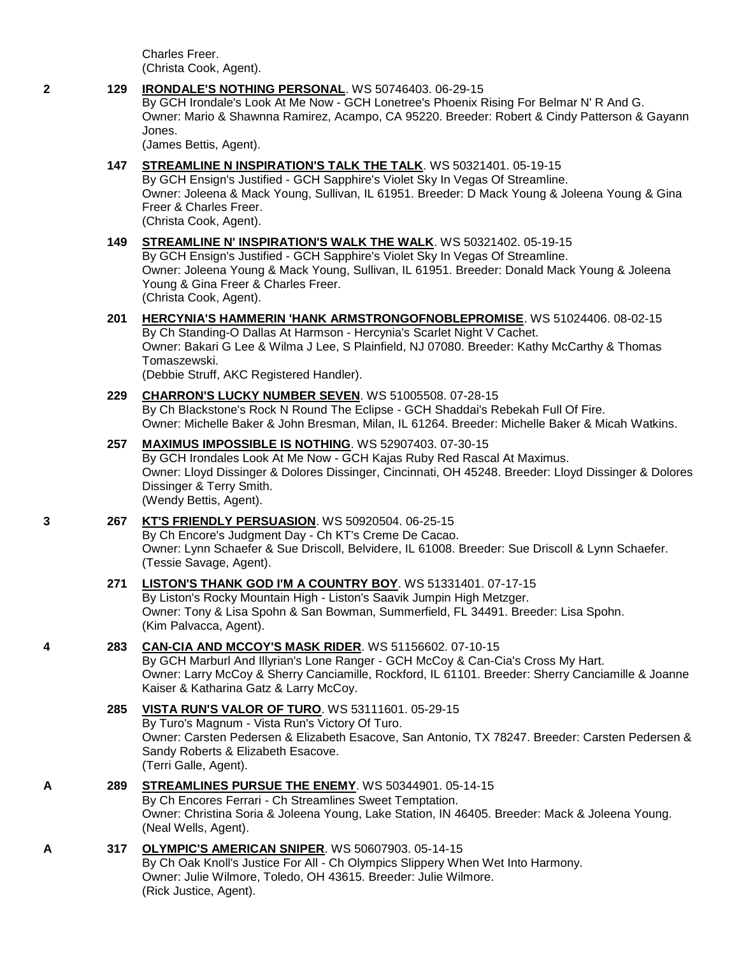Charles Freer. (Christa Cook, Agent).

### **2 129 [IRONDALE'S NOTHING PERSONAL](http://infodog.com/my/drlookup2.htm?makc=WS%2050746403&mdog=Irondale%27s+Nothing+Personal&wins=all)**. WS 50746403. 06-29-15

By GCH Irondale's Look At Me Now - GCH Lonetree's Phoenix Rising For Belmar N' R And G. Owner: Mario & Shawnna Ramirez, Acampo, CA 95220. Breeder: Robert & Cindy Patterson & Gayann Jones.

(James Bettis, Agent).

## **147 [STREAMLINE N INSPIRATION'S TALK THE TALK](http://infodog.com/my/drlookup2.htm?makc=WS%2050321401&mdog=Streamline+N+Inspiration%27s+Talk+The+Talk&wins=all)**. WS 50321401. 05-19-15

By GCH Ensign's Justified - GCH Sapphire's Violet Sky In Vegas Of Streamline. Owner: Joleena & Mack Young, Sullivan, IL 61951. Breeder: D Mack Young & Joleena Young & Gina Freer & Charles Freer.

(Christa Cook, Agent).

### **149 [STREAMLINE N' INSPIRATION'S WALK THE WALK](http://infodog.com/my/drlookup2.htm?makc=WS%2050321402&mdog=Streamline+N%27+Inspiration%27s+Walk+The+Walk&wins=all)**. WS 50321402. 05-19-15 By GCH Ensign's Justified - GCH Sapphire's Violet Sky In Vegas Of Streamline. Owner: Joleena Young & Mack Young, Sullivan, IL 61951. Breeder: Donald Mack Young & Joleena Young & Gina Freer & Charles Freer. (Christa Cook, Agent).

## **201 [HERCYNIA'S HAMMERIN 'HANK ARMSTRONGOFNOBLEPROMISE](http://infodog.com/my/drlookup2.htm?makc=WS%2051024406&mdog=Hercynia%27s+Hammerin+%27Hank+Armstrongofnoblepromise&wins=all)**. WS 51024406. 08-02-15

By Ch Standing-O Dallas At Harmson - Hercynia's Scarlet Night V Cachet. Owner: Bakari G Lee & Wilma J Lee, S Plainfield, NJ 07080. Breeder: Kathy McCarthy & Thomas Tomaszewski.

(Debbie Struff, AKC Registered Handler).

## **229 [CHARRON'S LUCKY NUMBER SEVEN](http://infodog.com/my/drlookup2.htm?makc=WS%2051005508&mdog=Charron%27s+Lucky+Number+Seven&wins=all)**. WS 51005508. 07-28-15

By Ch Blackstone's Rock N Round The Eclipse - GCH Shaddai's Rebekah Full Of Fire. Owner: Michelle Baker & John Bresman, Milan, IL 61264. Breeder: Michelle Baker & Micah Watkins.

## **257 [MAXIMUS IMPOSSIBLE IS NOTHING](http://infodog.com/my/drlookup2.htm?makc=WS%2052907403&mdog=Maximus+Impossible+Is+Nothing&wins=all)**. WS 52907403. 07-30-15

By GCH Irondales Look At Me Now - GCH Kajas Ruby Red Rascal At Maximus. Owner: Lloyd Dissinger & Dolores Dissinger, Cincinnati, OH 45248. Breeder: Lloyd Dissinger & Dolores Dissinger & Terry Smith. (Wendy Bettis, Agent).

# **3 267 [KT'S FRIENDLY PERSUASION](http://infodog.com/my/drlookup2.htm?makc=WS%2050920504&mdog=KT%27s+Friendly+Persuasion&wins=all)**. WS 50920504. 06-25-15

By Ch Encore's Judgment Day - Ch KT's Creme De Cacao. Owner: Lynn Schaefer & Sue Driscoll, Belvidere, IL 61008. Breeder: Sue Driscoll & Lynn Schaefer. (Tessie Savage, Agent).

## **271 [LISTON'S THANK GOD I'M A COUNTRY BOY](http://infodog.com/my/drlookup2.htm?makc=WS%2051331401&mdog=Liston%27s+Thank+God+I%27m+A+Country+Boy&wins=all)**. WS 51331401. 07-17-15

By Liston's Rocky Mountain High - Liston's Saavik Jumpin High Metzger. Owner: Tony & Lisa Spohn & San Bowman, Summerfield, FL 34491. Breeder: Lisa Spohn. (Kim Palvacca, Agent).

## **4 283 [CAN-CIA AND MCCOY'S MASK RIDER](http://infodog.com/my/drlookup2.htm?makc=WS%2051156602&mdog=Can-Cia+And+McCoy%27s+Mask+Rider&wins=all)**. WS 51156602. 07-10-15

By GCH Marburl And Illyrian's Lone Ranger - GCH McCoy & Can-Cia's Cross My Hart. Owner: Larry McCoy & Sherry Canciamille, Rockford, IL 61101. Breeder: Sherry Canciamille & Joanne Kaiser & Katharina Gatz & Larry McCoy.

#### **285 [VISTA RUN'S VALOR OF TURO](http://infodog.com/my/drlookup2.htm?makc=WS%2053111601&mdog=Vista+Run%27s+Valor+Of+TuRo&wins=all)**. WS 53111601. 05-29-15 By Turo's Magnum - Vista Run's Victory Of Turo.

Owner: Carsten Pedersen & Elizabeth Esacove, San Antonio, TX 78247. Breeder: Carsten Pedersen & Sandy Roberts & Elizabeth Esacove. (Terri Galle, Agent).

## **A 289 [STREAMLINES PURSUE THE ENEMY](http://infodog.com/my/drlookup2.htm?makc=WS%2050344901&mdog=Streamlines+Pursue+The+Enemy&wins=all)**. WS 50344901. 05-14-15

By Ch Encores Ferrari - Ch Streamlines Sweet Temptation. Owner: Christina Soria & Joleena Young, Lake Station, IN 46405. Breeder: Mack & Joleena Young. (Neal Wells, Agent).

## **A 317 [OLYMPIC'S AMERICAN SNIPER](http://infodog.com/my/drlookup2.htm?makc=WS%2050607903&mdog=Olympic%27s+American+Sniper&wins=all)**. WS 50607903. 05-14-15

By Ch Oak Knoll's Justice For All - Ch Olympics Slippery When Wet Into Harmony. Owner: Julie Wilmore, Toledo, OH 43615. Breeder: Julie Wilmore. (Rick Justice, Agent).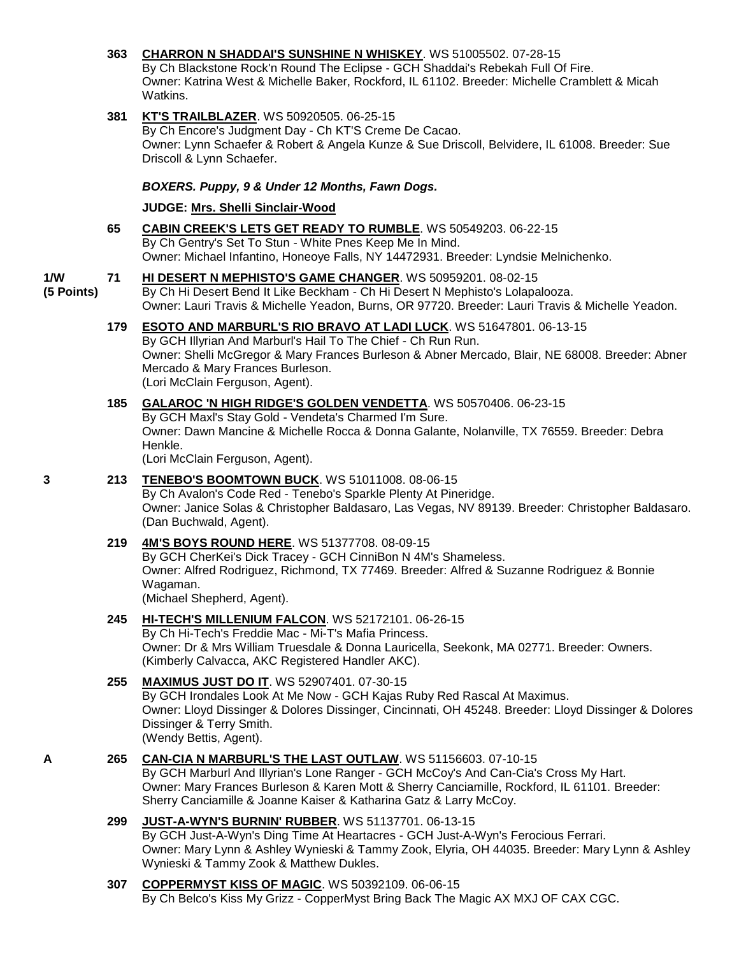## **363 [CHARRON N SHADDAI'S SUNSHINE N WHISKEY](http://infodog.com/my/drlookup2.htm?makc=WS%2051005502&mdog=Charron+N+Shaddai%27s+Sunshine+N+Whiskey&wins=all)**. WS 51005502. 07-28-15

By Ch Blackstone Rock'n Round The Eclipse - GCH Shaddai's Rebekah Full Of Fire. Owner: Katrina West & Michelle Baker, Rockford, IL 61102. Breeder: Michelle Cramblett & Micah Watkins.

## **381 [KT'S TRAILBLAZER](http://infodog.com/my/drlookup2.htm?makc=WS%2050920505&mdog=KT%27s+Trailblazer&wins=all)**. WS 50920505. 06-25-15

By Ch Encore's Judgment Day - Ch KT'S Creme De Cacao. Owner: Lynn Schaefer & Robert & Angela Kunze & Sue Driscoll, Belvidere, IL 61008. Breeder: Sue Driscoll & Lynn Schaefer.

### *BOXERS. Puppy, 9 & Under 12 Months, Fawn Dogs.*

### **JUDGE: [Mrs. Shelli Sinclair-Wood](http://infodog.com/show/judge/jdgprofile.htm?jn=24194)**

**65 [CABIN CREEK'S LETS GET READY TO RUMBLE](http://infodog.com/my/drlookup2.htm?makc=WS%2050549203&mdog=Cabin+Creek%27s+Lets+Get+Ready+To+Rumble&wins=all)**. WS 50549203. 06-22-15 By Ch Gentry's Set To Stun - White Pnes Keep Me In Mind. Owner: Michael Infantino, Honeoye Falls, NY 14472931. Breeder: Lyndsie Melnichenko.

#### **1/W 71 [HI DESERT N MEPHISTO'S GAME CHANGER](http://infodog.com/my/drlookup2.htm?makc=WS%2050959201&mdog=Hi+Desert+N+Mephisto%27s+Game+Changer&wins=all)**. WS 50959201. 08-02-15

**(5 Points)** By Ch Hi Desert Bend It Like Beckham - Ch Hi Desert N Mephisto's Lolapalooza. Owner: Lauri Travis & Michelle Yeadon, Burns, OR 97720. Breeder: Lauri Travis & Michelle Yeadon.

- **179 ESOTO AND MARBURL'S [RIO BRAVO AT LADI LUCK](http://infodog.com/my/drlookup2.htm?makc=WS%2051647801&mdog=Esoto+And+Marburl%27s+Rio+Bravo+At+Ladi+Luck&wins=all)**. WS 51647801. 06-13-15 By GCH Illyrian And Marburl's Hail To The Chief - Ch Run Run. Owner: Shelli McGregor & Mary Frances Burleson & Abner Mercado, Blair, NE 68008. Breeder: Abner Mercado & Mary Frances Burleson. (Lori McClain Ferguson, Agent).
- **185 [GALAROC 'N HIGH RIDGE'S GOLDEN VENDETTA](http://infodog.com/my/drlookup2.htm?makc=WS%2050570406&mdog=Galaroc+%27N+High+Ridge%27s+Golden+Vendetta&wins=all)**. WS 50570406. 06-23-15 By GCH Maxl's Stay Gold - Vendeta's Charmed I'm Sure. Owner: Dawn Mancine & Michelle Rocca & Donna Galante, Nolanville, TX 76559. Breeder: Debra Henkle.

(Lori McClain Ferguson, Agent).

### **3 213 [TENEBO'S BOOMTOWN BUCK](http://infodog.com/my/drlookup2.htm?makc=WS%2051011008&mdog=Tenebo%27s+Boomtown+Buck&wins=all)**. WS 51011008. 08-06-15 By Ch Avalon's Code Red - Tenebo's Sparkle Plenty At Pineridge. Owner: Janice Solas & Christopher Baldasaro, Las Vegas, NV 89139. Breeder: Christopher Baldasaro. (Dan Buchwald, Agent).

### **219 [4M'S BOYS ROUND HERE](http://infodog.com/my/drlookup2.htm?makc=WS%2051377708&mdog=4M%27s+Boys+Round+Here&wins=all)**. WS 51377708. 08-09-15 By GCH CherKei's Dick Tracey - GCH CinniBon N 4M's Shameless. Owner: Alfred Rodriguez, Richmond, TX 77469. Breeder: Alfred & Suzanne Rodriguez & Bonnie Wagaman. (Michael Shepherd, Agent).

## **245 [HI-TECH'S MILLENIUM FALCON](http://infodog.com/my/drlookup2.htm?makc=WS%2052172101&mdog=Hi-Tech%27s+Millenium+Falcon&wins=all)**. WS 52172101. 06-26-15

By Ch Hi-Tech's Freddie Mac - Mi-T's Mafia Princess. Owner: Dr & Mrs William Truesdale & Donna Lauricella, Seekonk, MA 02771. Breeder: Owners. (Kimberly Calvacca, AKC Registered Handler AKC).

## **255 [MAXIMUS JUST DO IT](http://infodog.com/my/drlookup2.htm?makc=WS%2052907401&mdog=Maximus+Just+Do+It&wins=all)**. WS 52907401. 07-30-15

By GCH Irondales Look At Me Now - GCH Kajas Ruby Red Rascal At Maximus. Owner: Lloyd Dissinger & Dolores Dissinger, Cincinnati, OH 45248. Breeder: Lloyd Dissinger & Dolores Dissinger & Terry Smith. (Wendy Bettis, Agent).

## **A 265 [CAN-CIA N MARBURL'S THE LAST OUTLAW](http://infodog.com/my/drlookup2.htm?makc=WS%2051156603&mdog=Can-Cia+N+Marburl%27s+The+Last+Outlaw&wins=all)**. WS 51156603. 07-10-15

By GCH Marburl And Illyrian's Lone Ranger - GCH McCoy's And Can-Cia's Cross My Hart. Owner: Mary Frances Burleson & Karen Mott & Sherry Canciamille, Rockford, IL 61101. Breeder: Sherry Canciamille & Joanne Kaiser & Katharina Gatz & Larry McCoy.

## **299 [JUST-A-WYN'S BURNIN' RUBBER](http://infodog.com/my/drlookup2.htm?makc=WS%2051137701&mdog=Just-A-Wyn%27s+Burnin%27+Rubber&wins=all)**. WS 51137701. 06-13-15

By GCH Just-A-Wyn's Ding Time At Heartacres - GCH Just-A-Wyn's Ferocious Ferrari. Owner: Mary Lynn & Ashley Wynieski & Tammy Zook, Elyria, OH 44035. Breeder: Mary Lynn & Ashley Wynieski & Tammy Zook & Matthew Dukles.

### **307 [COPPERMYST KISS OF MAGIC](http://infodog.com/my/drlookup2.htm?makc=WS%2050392109&mdog=CopperMyst+Kiss+Of+Magic&wins=all)**. WS 50392109. 06-06-15 By Ch Belco's Kiss My Grizz - CopperMyst Bring Back The Magic AX MXJ OF CAX CGC.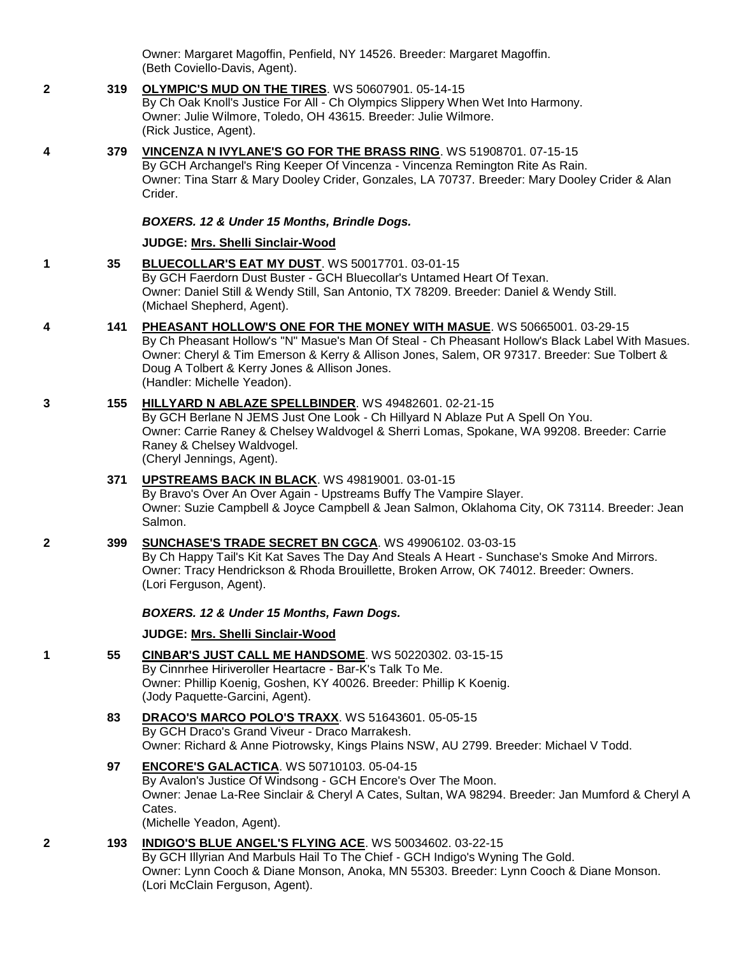Owner: Margaret Magoffin, Penfield, NY 14526. Breeder: Margaret Magoffin. (Beth Coviello-Davis, Agent).

**2 319 [OLYMPIC'S MUD ON THE TIRES](http://infodog.com/my/drlookup2.htm?makc=WS%2050607901&mdog=Olympic%27s+Mud+On+The+Tires&wins=all)**. WS 50607901. 05-14-15 By Ch Oak Knoll's Justice For All - Ch Olympics Slippery When Wet Into Harmony. Owner: Julie Wilmore, Toledo, OH 43615. Breeder: Julie Wilmore. (Rick Justice, Agent). **4 379 [VINCENZA N IVYLANE'S GO FOR THE BRASS RING](http://infodog.com/my/drlookup2.htm?makc=WS%2051908701&mdog=Vincenza+N+Ivylane%27s+Go+For+The+Brass+Ring&wins=all)**. WS 51908701. 07-15-15 By GCH Archangel's Ring Keeper Of Vincenza - Vincenza Remington Rite As Rain. Owner: Tina Starr & Mary Dooley Crider, Gonzales, LA 70737. Breeder: Mary Dooley Crider & Alan

#### *BOXERS. 12 & Under 15 Months, Brindle Dogs.*

#### **JUDGE: [Mrs. Shelli Sinclair-Wood](http://infodog.com/show/judge/jdgprofile.htm?jn=24194)**

Crider.

- **1 35 [BLUECOLLAR'S EAT MY DUST](http://infodog.com/my/drlookup2.htm?makc=WS%2050017701&mdog=Bluecollar%27s+Eat+My+Dust&wins=all)**. WS 50017701. 03-01-15 By GCH Faerdorn Dust Buster - GCH Bluecollar's Untamed Heart Of Texan. Owner: Daniel Still & Wendy Still, San Antonio, TX 78209. Breeder: Daniel & Wendy Still. (Michael Shepherd, Agent).
- **4 141 [PHEASANT HOLLOW'S ONE FOR THE MONEY WITH MASUE](http://infodog.com/my/drlookup2.htm?makc=WS%2050665001&mdog=Pheasant+Hollow%27s+One+For+The+Money+With+Masue&wins=all)**. WS 50665001. 03-29-15 By Ch Pheasant Hollow's "N" Masue's Man Of Steal - Ch Pheasant Hollow's Black Label With Masues. Owner: Cheryl & Tim Emerson & Kerry & Allison Jones, Salem, OR 97317. Breeder: Sue Tolbert & Doug A Tolbert & Kerry Jones & Allison Jones. (Handler: Michelle Yeadon).
- **3 155 [HILLYARD N ABLAZE SPELLBINDER](http://infodog.com/my/drlookup2.htm?makc=WS%2049482601&mdog=Hillyard+N+Ablaze+Spellbinder&wins=all)**. WS 49482601. 02-21-15 By GCH Berlane N JEMS Just One Look - Ch Hillyard N Ablaze Put A Spell On You. Owner: Carrie Raney & Chelsey Waldvogel & Sherri Lomas, Spokane, WA 99208. Breeder: Carrie Raney & Chelsey Waldvogel. (Cheryl Jennings, Agent).

### **371 [UPSTREAMS BACK IN BLACK](http://infodog.com/my/drlookup2.htm?makc=WS%2049819001&mdog=Upstreams+Back+In+Black&wins=all)**. WS 49819001. 03-01-15

By Bravo's Over An Over Again - Upstreams Buffy The Vampire Slayer. Owner: Suzie Campbell & Joyce Campbell & Jean Salmon, Oklahoma City, OK 73114. Breeder: Jean Salmon.

#### **2 399 [SUNCHASE'S TRADE SECRET BN CGCA](http://infodog.com/my/drlookup2.htm?makc=WS%2049906102&mdog=Sunchase%27s+Trade+Secret+BN+CGCA&wins=all)**. WS 49906102. 03-03-15

By Ch Happy Tail's Kit Kat Saves The Day And Steals A Heart - Sunchase's Smoke And Mirrors. Owner: Tracy Hendrickson & Rhoda Brouillette, Broken Arrow, OK 74012. Breeder: Owners. (Lori Ferguson, Agent).

#### *BOXERS. 12 & Under 15 Months, Fawn Dogs.*

#### **JUDGE: [Mrs. Shelli Sinclair-Wood](http://infodog.com/show/judge/jdgprofile.htm?jn=24194)**

- **1 55 [CINBAR'S JUST CALL ME HANDSOME](http://infodog.com/my/drlookup2.htm?makc=WS%2050220302&mdog=Cinbar%27s+Just+Call+Me+Handsome&wins=all)**. WS 50220302. 03-15-15 By Cinnrhee Hiriveroller Heartacre - Bar-K's Talk To Me. Owner: Phillip Koenig, Goshen, KY 40026. Breeder: Phillip K Koenig. (Jody Paquette-Garcini, Agent).
	- **83 [DRACO'S MARCO POLO'S TRAXX](http://infodog.com/my/drlookup2.htm?makc=WS%2051643601&mdog=Draco%27s+Marco+Polo%27s+TRAXX&wins=all)**. WS 51643601. 05-05-15 By GCH Draco's Grand Viveur - Draco Marrakesh. Owner: Richard & Anne Piotrowsky, Kings Plains NSW, AU 2799. Breeder: Michael V Todd.

### **97 [ENCORE'S GALACTICA](http://infodog.com/my/drlookup2.htm?makc=WS%2050710103&mdog=Encore%27s+Galactica&wins=all)**. WS 50710103. 05-04-15

By Avalon's Justice Of Windsong - GCH Encore's Over The Moon. Owner: Jenae La-Ree Sinclair & Cheryl A Cates, Sultan, WA 98294. Breeder: Jan Mumford & Cheryl A Cates.

(Michelle Yeadon, Agent).

### **2 193 [INDIGO'S BLUE ANGEL'S FLYING ACE](http://infodog.com/my/drlookup2.htm?makc=WS%2050034602&mdog=Indigo%27s+Blue+Angel%27s+Flying+Ace&wins=all)**. WS 50034602. 03-22-15

By GCH Illyrian And Marbuls Hail To The Chief - GCH Indigo's Wyning The Gold. Owner: Lynn Cooch & Diane Monson, Anoka, MN 55303. Breeder: Lynn Cooch & Diane Monson. (Lori McClain Ferguson, Agent).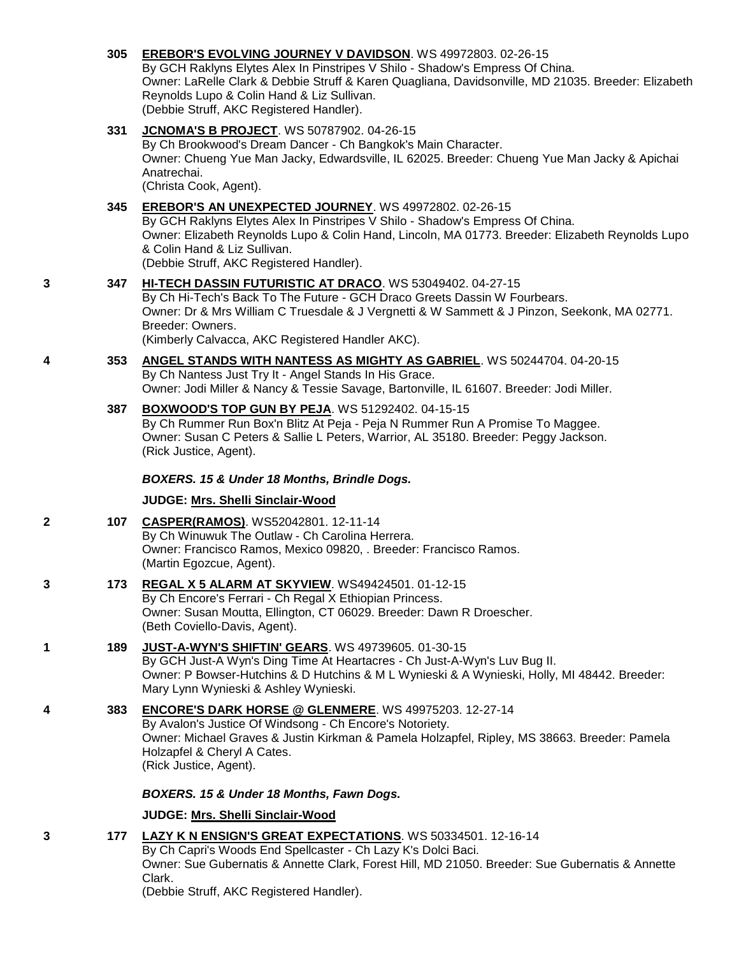## **305 [EREBOR'S EVOLVING JOURNEY V DAVIDSON](http://infodog.com/my/drlookup2.htm?makc=WS%2049972803&mdog=Erebor%27s+Evolving+Journey+V+Davidson&wins=all)**. WS 49972803. 02-26-15

By GCH Raklyns Elytes Alex In Pinstripes V Shilo - Shadow's Empress Of China. Owner: LaRelle Clark & Debbie Struff & Karen Quagliana, Davidsonville, MD 21035. Breeder: Elizabeth Reynolds Lupo & Colin Hand & Liz Sullivan. (Debbie Struff, AKC Registered Handler).

## **331 [JCNOMA'S B PROJECT](http://infodog.com/my/drlookup2.htm?makc=WS%2050787902&mdog=JCNOMA%27s+B+Project&wins=all)**. WS 50787902. 04-26-15

By Ch Brookwood's Dream Dancer - Ch Bangkok's Main Character. Owner: Chueng Yue Man Jacky, Edwardsville, IL 62025. Breeder: Chueng Yue Man Jacky & Apichai Anatrechai.

(Christa Cook, Agent).

## **345 [EREBOR'S AN UNEXPECTED JOURNEY](http://infodog.com/my/drlookup2.htm?makc=WS%2049972802&mdog=Erebor%27s+An+Unexpected+Journey&wins=all)**. WS 49972802. 02-26-15

By GCH Raklyns Elytes Alex In Pinstripes V Shilo - Shadow's Empress Of China. Owner: Elizabeth Reynolds Lupo & Colin Hand, Lincoln, MA 01773. Breeder: Elizabeth Reynolds Lupo & Colin Hand & Liz Sullivan. (Debbie Struff, AKC Registered Handler).

## **3 347 [HI-TECH DASSIN FUTURISTIC AT DRACO](http://infodog.com/my/drlookup2.htm?makc=WS%2053049402&mdog=Hi-Tech+Dassin+Futuristic+At+Draco&wins=all)**. WS 53049402. 04-27-15

By Ch Hi-Tech's Back To The Future - GCH Draco Greets Dassin W Fourbears. Owner: Dr & Mrs William C Truesdale & J Vergnetti & W Sammett & J Pinzon, Seekonk, MA 02771. Breeder: Owners.

(Kimberly Calvacca, AKC Registered Handler AKC).

#### **4 353 [ANGEL STANDS WITH NANTESS AS MIGHTY AS GABRIEL](http://infodog.com/my/drlookup2.htm?makc=WS%2050244704&mdog=Angel+Stands+With+Nantess+As+Mighty+As+Gabriel&wins=all)**. WS 50244704. 04-20-15 By Ch Nantess Just Try It - Angel Stands In His Grace. Owner: Jodi Miller & Nancy & Tessie Savage, Bartonville, IL 61607. Breeder: Jodi Miller.

### **387 [BOXWOOD'S TOP GUN BY PEJA](http://infodog.com/my/drlookup2.htm?makc=WS%2051292402&mdog=Boxwood%27s+Top+Gun+By+Peja&wins=all)**. WS 51292402. 04-15-15 By Ch Rummer Run Box'n Blitz At Peja - Peja N Rummer Run A Promise To Maggee. Owner: Susan C Peters & Sallie L Peters, Warrior, AL 35180. Breeder: Peggy Jackson. (Rick Justice, Agent).

## *BOXERS. 15 & Under 18 Months, Brindle Dogs.*

## **JUDGE: [Mrs. Shelli Sinclair-Wood](http://infodog.com/show/judge/jdgprofile.htm?jn=24194)**

| 107 | CASPER(RAMOS). WS52042801. 12-11-14                               |
|-----|-------------------------------------------------------------------|
|     | By Ch Winuwuk The Outlaw - Ch Carolina Herrera.                   |
|     | Owner: Francisco Ramos, Mexico 09820, . Breeder: Francisco Ramos. |
|     | (Martin Egozcue, Agent).                                          |

#### **3 173 [REGAL X 5 ALARM AT SKYVIEW](http://infodog.com/my/drlookup2.htm?makc=WS49424501&mdog=Regal+X+5+Alarm+At+Skyview&wins=all)**. WS49424501. 01-12-15 By Ch Encore's Ferrari - Ch Regal X Ethiopian Princess. Owner: Susan Moutta, Ellington, CT 06029. Breeder: Dawn R Droescher. (Beth Coviello-Davis, Agent).

**1 189 [JUST-A-WYN'S SHIFTIN' GEARS](http://infodog.com/my/drlookup2.htm?makc=WS%2049739605&mdog=Just-A-Wyn%27s+Shiftin%27+Gears&wins=all)**. WS 49739605. 01-30-15 By GCH Just-A Wyn's Ding Time At Heartacres - Ch Just-A-Wyn's Luv Bug II. Owner: P Bowser-Hutchins & D Hutchins & M L Wynieski & A Wynieski, Holly, MI 48442. Breeder: Mary Lynn Wynieski & Ashley Wynieski.

### **4 383 [ENCORE'S DARK HORSE @ GLENMERE](http://infodog.com/my/drlookup2.htm?makc=WS%2049975203&mdog=Encore%27s+Dark+Horse+@+Glenmere&wins=all)**. WS 49975203. 12-27-14 By Avalon's Justice Of Windsong - Ch Encore's Notoriety. Owner: Michael Graves & Justin Kirkman & Pamela Holzapfel, Ripley, MS 38663. Breeder: Pamela Holzapfel & Cheryl A Cates. (Rick Justice, Agent).

## *BOXERS. 15 & Under 18 Months, Fawn Dogs.*

## **JUDGE: [Mrs. Shelli Sinclair-Wood](http://infodog.com/show/judge/jdgprofile.htm?jn=24194)**

**3 177 [LAZY K N ENSIGN'S GREAT EXPECTATIONS](http://infodog.com/my/drlookup2.htm?makc=WS%2050334501&mdog=Lazy+K+N+Ensign%27s+Great+Expectations&wins=all)**. WS 50334501. 12-16-14 By Ch Capri's Woods End Spellcaster - Ch Lazy K's Dolci Baci. Owner: Sue Gubernatis & Annette Clark, Forest Hill, MD 21050. Breeder: Sue Gubernatis & Annette Clark. (Debbie Struff, AKC Registered Handler).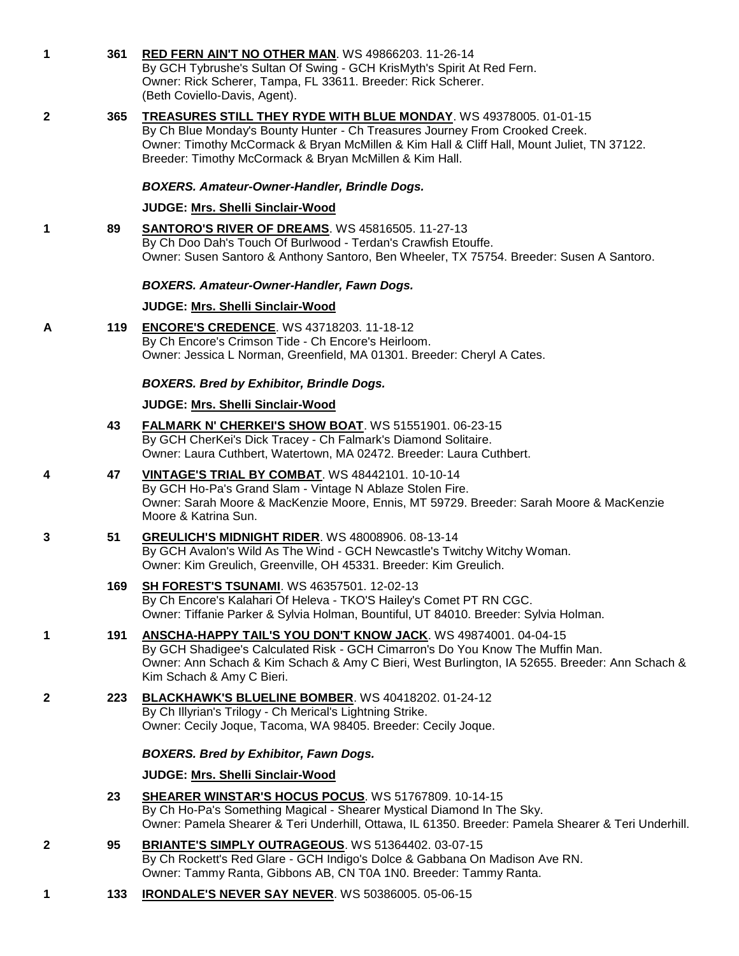**1 361 [RED FERN AIN'T NO OTHER MAN](http://infodog.com/my/drlookup2.htm?makc=WS%2049866203&mdog=Red+Fern+Ain%27t+No+Other+Man&wins=all)**. WS 49866203. 11-26-14 By GCH Tybrushe's Sultan Of Swing - GCH KrisMyth's Spirit At Red Fern. Owner: Rick Scherer, Tampa, FL 33611. Breeder: Rick Scherer. (Beth Coviello-Davis, Agent). **2 365 [TREASURES STILL THEY RYDE WITH BLUE MONDAY](http://infodog.com/my/drlookup2.htm?makc=WS%2049378005&mdog=Treasures+Still+They+Ryde+With+Blue+Monday&wins=all)**. WS 49378005. 01-01-15 By Ch Blue Monday's Bounty Hunter - Ch Treasures Journey From Crooked Creek. Owner: Timothy McCormack & Bryan McMillen & Kim Hall & Cliff Hall, Mount Juliet, TN 37122. Breeder: Timothy McCormack & Bryan McMillen & Kim Hall.

### *BOXERS. Amateur-Owner-Handler, Brindle Dogs.*

#### **JUDGE: [Mrs. Shelli Sinclair-Wood](http://infodog.com/show/judge/jdgprofile.htm?jn=24194)**

**1 89 [SANTORO'S RIVER OF DREAMS](http://infodog.com/my/drlookup2.htm?makc=WS%2045816505&mdog=Santoro%27s+River+Of+Dreams&wins=all)**. WS 45816505. 11-27-13 By Ch Doo Dah's Touch Of Burlwood - Terdan's Crawfish Etouffe. Owner: Susen Santoro & Anthony Santoro, Ben Wheeler, TX 75754. Breeder: Susen A Santoro.

### *BOXERS. Amateur-Owner-Handler, Fawn Dogs.*

#### **JUDGE: [Mrs. Shelli Sinclair-Wood](http://infodog.com/show/judge/jdgprofile.htm?jn=24194)**

**A 119 [ENCORE'S CREDENCE](http://infodog.com/my/drlookup2.htm?makc=WS%2043718203&mdog=Encore%27s+Credence&wins=all)**. WS 43718203. 11-18-12 By Ch Encore's Crimson Tide - Ch Encore's Heirloom. Owner: Jessica L Norman, Greenfield, MA 01301. Breeder: Cheryl A Cates.

### *BOXERS. Bred by Exhibitor, Brindle Dogs.*

### **JUDGE: [Mrs. Shelli Sinclair-Wood](http://infodog.com/show/judge/jdgprofile.htm?jn=24194)**

- **43 [FALMARK N' CHERKEI'S SHOW BOAT](http://infodog.com/my/drlookup2.htm?makc=WS%2051551901&mdog=Falmark+N%27+CherKei%27s+Show+Boat&wins=all)**. WS 51551901. 06-23-15 By GCH CherKei's Dick Tracey - Ch Falmark's Diamond Solitaire. Owner: Laura Cuthbert, Watertown, MA 02472. Breeder: Laura Cuthbert.
- **4 47 [VINTAGE'S TRIAL BY COMBAT](http://infodog.com/my/drlookup2.htm?makc=WS%2048442101&mdog=Vintage%27s+Trial+By+Combat&wins=all)**. WS 48442101. 10-10-14 By GCH Ho-Pa's Grand Slam - Vintage N Ablaze Stolen Fire. Owner: Sarah Moore & MacKenzie Moore, Ennis, MT 59729. Breeder: Sarah Moore & MacKenzie Moore & Katrina Sun.
- **3 51 [GREULICH'S MIDNIGHT RIDER](http://infodog.com/my/drlookup2.htm?makc=WS%2048008906&mdog=Greulich%27s+Midnight+Rider&wins=all)**. WS 48008906. 08-13-14 By GCH Avalon's Wild As The Wind - GCH Newcastle's Twitchy Witchy Woman. Owner: Kim Greulich, Greenville, OH 45331. Breeder: Kim Greulich.

## **169 SH [FOREST'S TSUNAMI](http://infodog.com/my/drlookup2.htm?makc=WS%2046357501&mdog=SH+Forest%27s+Tsunami&wins=all)**. WS 46357501. 12-02-13

By Ch Encore's Kalahari Of Heleva - TKO'S Hailey's Comet PT RN CGC. Owner: Tiffanie Parker & Sylvia Holman, Bountiful, UT 84010. Breeder: Sylvia Holman.

- **1 191 [ANSCHA-HAPPY TAIL'S YOU DON'T KNOW JACK](http://infodog.com/my/drlookup2.htm?makc=WS%2049874001&mdog=Anscha-Happy+Tail%27s+You+Don%27t+Know+Jack&wins=all)**. WS 49874001. 04-04-15 By GCH Shadigee's Calculated Risk - GCH Cimarron's Do You Know The Muffin Man. Owner: Ann Schach & Kim Schach & Amy C Bieri, West Burlington, IA 52655. Breeder: Ann Schach & Kim Schach & Amy C Bieri.
- **2 223 [BLACKHAWK'S BLUELINE BOMBER](http://infodog.com/my/drlookup2.htm?makc=WS%2040418202&mdog=Blackhawk%27s+Blueline+Bomber&wins=all)**. WS 40418202. 01-24-12 By Ch Illyrian's Trilogy - Ch Merical's Lightning Strike. Owner: Cecily Joque, Tacoma, WA 98405. Breeder: Cecily Joque.

### *BOXERS. Bred by Exhibitor, Fawn Dogs.*

### **JUDGE: [Mrs. Shelli Sinclair-Wood](http://infodog.com/show/judge/jdgprofile.htm?jn=24194)**

- **23 [SHEARER WINSTAR'S HOCUS POCUS](http://infodog.com/my/drlookup2.htm?makc=WS%2051767809&mdog=Shearer+Winstar%27s+Hocus+Pocus&wins=all)**. WS 51767809. 10-14-15 By Ch Ho-Pa's Something Magical - Shearer Mystical Diamond In The Sky. Owner: Pamela Shearer & Teri Underhill, Ottawa, IL 61350. Breeder: Pamela Shearer & Teri Underhill.
- **2 95 [BRIANTE'S SIMPLY OUTRAGEOUS](http://infodog.com/my/drlookup2.htm?makc=WS%2051364402&mdog=Briante%27s+Simply+Outrageous&wins=all)**. WS 51364402. 03-07-15 By Ch Rockett's Red Glare - GCH Indigo's Dolce & Gabbana On Madison Ave RN. Owner: Tammy Ranta, Gibbons AB, CN T0A 1N0. Breeder: Tammy Ranta.
- **1 133 [IRONDALE'S NEVER SAY NEVER](http://infodog.com/my/drlookup2.htm?makc=WS%2050386005&mdog=Irondale%27s+Never+Say+Never&wins=all)**. WS 50386005. 05-06-15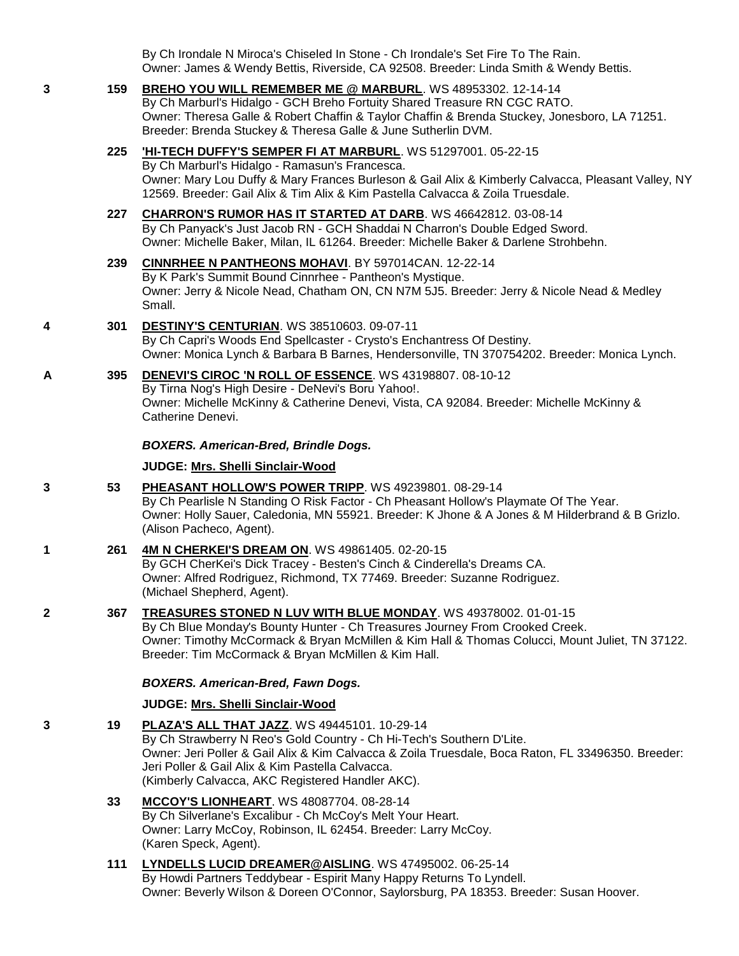By Ch Irondale N Miroca's Chiseled In Stone - Ch Irondale's Set Fire To The Rain. Owner: James & Wendy Bettis, Riverside, CA 92508. Breeder: Linda Smith & Wendy Bettis.

### **3 159 [BREHO YOU WILL REMEMBER ME @ MARBURL](http://infodog.com/my/drlookup2.htm?makc=WS%2048953302&mdog=Breho+You+Will+Remember+Me+@+Marburl&wins=all)**. WS 48953302. 12-14-14 By Ch Marburl's Hidalgo - GCH Breho Fortuity Shared Treasure RN CGC RATO.

Owner: Theresa Galle & Robert Chaffin & Taylor Chaffin & Brenda Stuckey, Jonesboro, LA 71251. Breeder: Brenda Stuckey & Theresa Galle & June Sutherlin DVM.

## **225 ['HI-TECH DUFFY'S SEMPER FI AT MARBURL](http://infodog.com/my/drlookup2.htm?makc=WS%2051297001&mdog=%27Hi-Tech+Duffy%27S+Semper+Fi+At+MarBurl&wins=all)**. WS 51297001. 05-22-15

By Ch Marburl's Hidalgo - Ramasun's Francesca. Owner: Mary Lou Duffy & Mary Frances Burleson & Gail Alix & Kimberly Calvacca, Pleasant Valley, NY 12569. Breeder: Gail Alix & Tim Alix & Kim Pastella Calvacca & Zoila Truesdale.

## **227 [CHARRON'S RUMOR HAS IT STARTED AT DARB](http://infodog.com/my/drlookup2.htm?makc=WS%2046642812&mdog=Charron%27s+Rumor+Has+It+Started+At+Darb&wins=all)**. WS 46642812. 03-08-14 By Ch Panyack's Just Jacob RN - GCH Shaddai N Charron's Double Edged Sword. Owner: Michelle Baker, Milan, IL 61264. Breeder: Michelle Baker & Darlene Strohbehn.

### **239 [CINNRHEE N PANTHEONS MOHAVI](http://infodog.com/my/drlookup2.htm?makc=BY%20597014CAN&mdog=Cinnrhee+N+Pantheons+Mohavi&wins=all)**. BY 597014CAN. 12-22-14 By K Park's Summit Bound Cinnrhee - Pantheon's Mystique. Owner: Jerry & Nicole Nead, Chatham ON, CN N7M 5J5. Breeder: Jerry & Nicole Nead & Medley Small.

## **4 301 [DESTINY'S CENTURIAN](http://infodog.com/my/drlookup2.htm?makc=WS%2038510603&mdog=Destiny%27s+Centurian&wins=all)**. WS 38510603. 09-07-11

By Ch Capri's Woods End Spellcaster - Crysto's Enchantress Of Destiny. Owner: Monica Lynch & Barbara B Barnes, Hendersonville, TN 370754202. Breeder: Monica Lynch.

#### **A 395 [DENEVI'S CIROC 'N ROLL OF ESSENCE](http://infodog.com/my/drlookup2.htm?makc=WS%2043198807&mdog=DeNevi%27s+Ciroc+%27N+Roll+Of+Essence&wins=all)**. WS 43198807. 08-10-12 By Tirna Nog's High Desire - DeNevi's Boru Yahoo!. Owner: Michelle McKinny & Catherine Denevi, Vista, CA 92084. Breeder: Michelle McKinny & Catherine Denevi.

## *BOXERS. American-Bred, Brindle Dogs.*

### **JUDGE: [Mrs. Shelli Sinclair-Wood](http://infodog.com/show/judge/jdgprofile.htm?jn=24194)**

## **3 53 [PHEASANT HOLLOW'S POWER TRIPP](http://infodog.com/my/drlookup2.htm?makc=WS%2049239801&mdog=Pheasant+Hollow%27s+Power+Tripp&wins=all)**. WS 49239801. 08-29-14

By Ch Pearlisle N Standing O Risk Factor - Ch Pheasant Hollow's Playmate Of The Year. Owner: Holly Sauer, Caledonia, MN 55921. Breeder: K Jhone & A Jones & M Hilderbrand & B Grizlo. (Alison Pacheco, Agent).

## **1 261 [4M N CHERKEI'S DREAM ON](http://infodog.com/my/drlookup2.htm?makc=WS%2049861405&mdog=4M+N+CherKei%27s+Dream+On&wins=all)**. WS 49861405. 02-20-15

By GCH CherKei's Dick Tracey - Besten's Cinch & Cinderella's Dreams CA. Owner: Alfred Rodriguez, Richmond, TX 77469. Breeder: Suzanne Rodriguez. (Michael Shepherd, Agent).

## **2 367 [TREASURES STONED N LUV WITH BLUE MONDAY](http://infodog.com/my/drlookup2.htm?makc=WS%2049378002&mdog=Treasures+Stoned+N+Luv+With+Blue+Monday&wins=all)**. WS 49378002. 01-01-15

By Ch Blue Monday's Bounty Hunter - Ch Treasures Journey From Crooked Creek. Owner: Timothy McCormack & Bryan McMillen & Kim Hall & Thomas Colucci, Mount Juliet, TN 37122. Breeder: Tim McCormack & Bryan McMillen & Kim Hall.

### *BOXERS. American-Bred, Fawn Dogs.*

## **JUDGE: [Mrs. Shelli Sinclair-Wood](http://infodog.com/show/judge/jdgprofile.htm?jn=24194)**

## **3 19 [PLAZA'S ALL THAT JAZZ](http://infodog.com/my/drlookup2.htm?makc=WS%2049445101&mdog=Plaza%27s+All+That+Jazz&wins=all)**. WS 49445101. 10-29-14

By Ch Strawberry N Reo's Gold Country - Ch Hi-Tech's Southern D'Lite. Owner: Jeri Poller & Gail Alix & Kim Calvacca & Zoila Truesdale, Boca Raton, FL 33496350. Breeder: Jeri Poller & Gail Alix & Kim Pastella Calvacca. (Kimberly Calvacca, AKC Registered Handler AKC).

## **33 [MCCOY'S LIONHEART](http://infodog.com/my/drlookup2.htm?makc=WS%2048087704&mdog=McCoy%27s+Lionheart&wins=all)**. WS 48087704. 08-28-14

By Ch Silverlane's Excalibur - Ch McCoy's Melt Your Heart. Owner: Larry McCoy, Robinson, IL 62454. Breeder: Larry McCoy. (Karen Speck, Agent).

## **111 [LYNDELLS LUCID DREAMER@AISLING](http://infodog.com/my/drlookup2.htm?makc=WS%2047495002&mdog=Lyndells+Lucid+Dreamer@Aisling&wins=all)**. WS 47495002. 06-25-14 By Howdi Partners Teddybear - Espirit Many Happy Returns To Lyndell. Owner: Beverly Wilson & Doreen O'Connor, Saylorsburg, PA 18353. Breeder: Susan Hoover.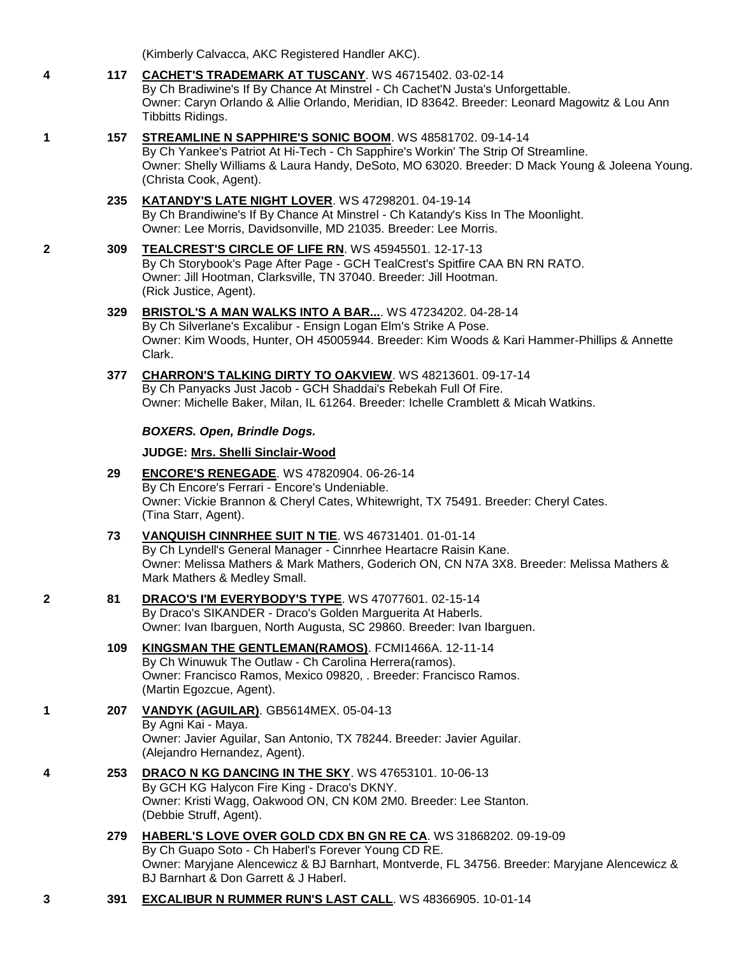(Kimberly Calvacca, AKC Registered Handler AKC).

- **4 117 [CACHET'S TRADEMARK AT TUSCANY](http://infodog.com/my/drlookup2.htm?makc=WS%2046715402&mdog=Cachet%27s+Trademark+At+Tuscany&wins=all)**. WS 46715402. 03-02-14 By Ch Bradiwine's If By Chance At Minstrel - Ch Cachet'N Justa's Unforgettable. Owner: Caryn Orlando & Allie Orlando, Meridian, ID 83642. Breeder: Leonard Magowitz & Lou Ann Tibbitts Ridings.
- **1 157 [STREAMLINE N SAPPHIRE'S SONIC BOOM](http://infodog.com/my/drlookup2.htm?makc=WS%2048581702&mdog=Streamline+N+Sapphire%27s+Sonic+Boom&wins=all)**. WS 48581702. 09-14-14 By Ch Yankee's Patriot At Hi-Tech - Ch Sapphire's Workin' The Strip Of Streamline. Owner: Shelly Williams & Laura Handy, DeSoto, MO 63020. Breeder: D Mack Young & Joleena Young. (Christa Cook, Agent).
	- **235 [KATANDY'S LATE NIGHT LOVER](http://infodog.com/my/drlookup2.htm?makc=WS%2047298201&mdog=Katandy%27s+Late+Night+Lover&wins=all)**. WS 47298201. 04-19-14 By Ch Brandiwine's If By Chance At Minstrel - Ch Katandy's Kiss In The Moonlight. Owner: Lee Morris, Davidsonville, MD 21035. Breeder: Lee Morris.
- **2 309 [TEALCREST'S CIRCLE OF LIFE RN](http://infodog.com/my/drlookup2.htm?makc=WS%2045945501&mdog=TealCrest%27s+Circle+Of+Life+RN&wins=all)**. WS 45945501. 12-17-13 By Ch Storybook's Page After Page - GCH TealCrest's Spitfire CAA BN RN RATO. Owner: Jill Hootman, Clarksville, TN 37040. Breeder: Jill Hootman. (Rick Justice, Agent).
	- **329 [BRISTOL'S A MAN WALKS INTO A BAR...](http://infodog.com/my/drlookup2.htm?makc=WS%2047234202&mdog=Bristol%27s+A+Man+Walks+Into+A+Bar...&wins=all)**. WS 47234202. 04-28-14 By Ch Silverlane's Excalibur - Ensign Logan Elm's Strike A Pose. Owner: Kim Woods, Hunter, OH 45005944. Breeder: Kim Woods & Kari Hammer-Phillips & Annette Clark.
	- **377 [CHARRON'S TALKING DIRTY TO OAKVIEW](http://infodog.com/my/drlookup2.htm?makc=WS%2048213601&mdog=Charron%27s+Talking+Dirty+To+Oakview&wins=all)**. WS 48213601. 09-17-14 By Ch Panyacks Just Jacob - GCH Shaddai's Rebekah Full Of Fire. Owner: Michelle Baker, Milan, IL 61264. Breeder: Ichelle Cramblett & Micah Watkins.

### *BOXERS. Open, Brindle Dogs.*

### **JUDGE: [Mrs. Shelli Sinclair-Wood](http://infodog.com/show/judge/jdgprofile.htm?jn=24194)**

- **29 [ENCORE'S RENEGADE](http://infodog.com/my/drlookup2.htm?makc=WS%2047820904&mdog=Encore%27s+Renegade&wins=all)**. WS 47820904. 06-26-14 By Ch Encore's Ferrari - Encore's Undeniable. Owner: Vickie Brannon & Cheryl Cates, Whitewright, TX 75491. Breeder: Cheryl Cates. (Tina Starr, Agent).
- **73 [VANQUISH CINNRHEE SUIT N TIE](http://infodog.com/my/drlookup2.htm?makc=WS%2046731401&mdog=Vanquish+Cinnrhee+Suit+N+Tie&wins=all)**. WS 46731401. 01-01-14 By Ch Lyndell's General Manager - Cinnrhee Heartacre Raisin Kane. Owner: Melissa Mathers & Mark Mathers, Goderich ON, CN N7A 3X8. Breeder: Melissa Mathers & Mark Mathers & Medley Small.
- **2 81 [DRACO'S I'M EVERYBODY'S TYPE](http://infodog.com/my/drlookup2.htm?makc=WS%2047077601&mdog=Draco%27s+I%27m+Everybody%27s+Type&wins=all)**. WS 47077601. 02-15-14 By Draco's SIKANDER - Draco's Golden Marguerita At Haberls. Owner: Ivan Ibarguen, North Augusta, SC 29860. Breeder: Ivan Ibarguen.
	- **109 [KINGSMAN THE GENTLEMAN\(RAMOS\)](http://infodog.com/my/drlookup2.htm?makc=FCMI1466A&mdog=Kingsman+The+Gentleman%28ramos%29&wins=all)**. FCMI1466A. 12-11-14 By Ch Winuwuk The Outlaw - Ch Carolina Herrera(ramos). Owner: Francisco Ramos, Mexico 09820, . Breeder: Francisco Ramos. (Martin Egozcue, Agent).
- **1 207 [VANDYK \(AGUILAR\)](http://infodog.com/my/drlookup2.htm?makc=GB5614MEX&mdog=Vandyk+%28Aguilar%29&wins=all)**. GB5614MEX. 05-04-13 By Agni Kai - Maya. Owner: Javier Aguilar, San Antonio, TX 78244. Breeder: Javier Aguilar. (Alejandro Hernandez, Agent).
- **4 253 [DRACO N KG DANCING IN THE SKY](http://infodog.com/my/drlookup2.htm?makc=WS%2047653101&mdog=Draco+N+KG+Dancing+In+The+Sky&wins=all)**. WS 47653101. 10-06-13 By GCH KG Halycon Fire King - Draco's DKNY. Owner: Kristi Wagg, Oakwood ON, CN K0M 2M0. Breeder: Lee Stanton. (Debbie Struff, Agent).
	- **279 [HABERL'S LOVE OVER GOLD CDX BN GN RE CA](http://infodog.com/my/drlookup2.htm?makc=WS%2031868202&mdog=Haberl%27s+Love+Over+Gold+CDX+BN+GN+RE+CA&wins=all)**. WS 31868202. 09-19-09 By Ch Guapo Soto - Ch Haberl's Forever Young CD RE. Owner: Maryjane Alencewicz & BJ Barnhart, Montverde, FL 34756. Breeder: Maryjane Alencewicz & BJ Barnhart & Don Garrett & J Haberl.
- **3 391 [EXCALIBUR N RUMMER RUN'S LAST CALL](http://infodog.com/my/drlookup2.htm?makc=WS%2048366905&mdog=Excalibur+N+Rummer+Run%27s+Last+Call&wins=all)**. WS 48366905. 10-01-14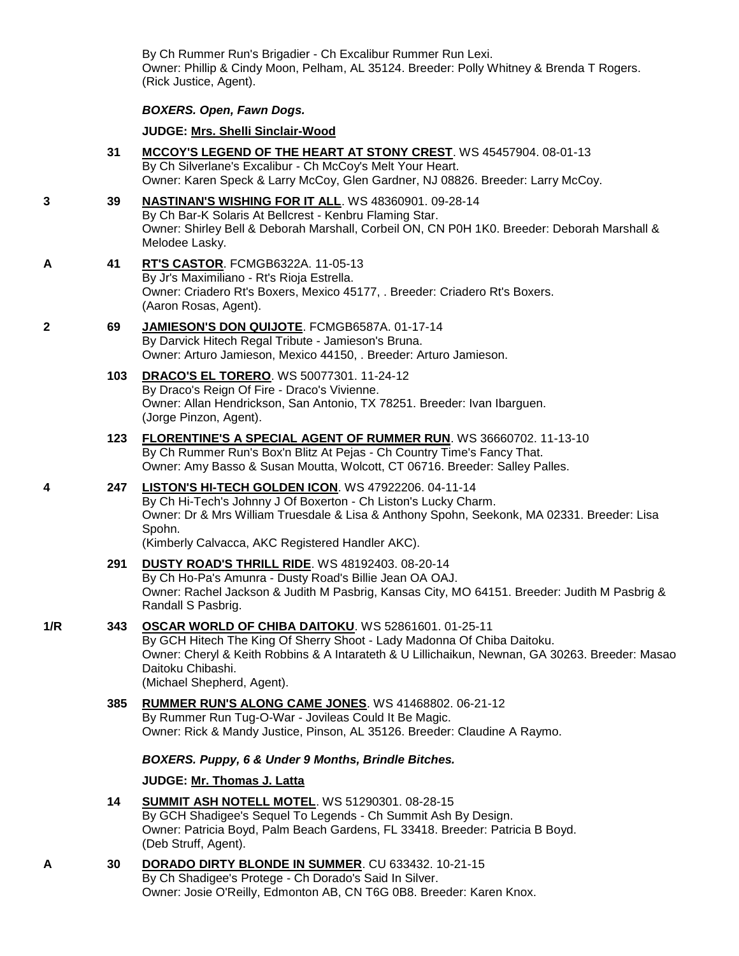By Ch Rummer Run's Brigadier - Ch Excalibur Rummer Run Lexi. Owner: Phillip & Cindy Moon, Pelham, AL 35124. Breeder: Polly Whitney & Brenda T Rogers. (Rick Justice, Agent).

### *BOXERS. Open, Fawn Dogs.*

**JUDGE: [Mrs. Shelli Sinclair-Wood](http://infodog.com/show/judge/jdgprofile.htm?jn=24194)**

- **31 [MCCOY'S LEGEND OF THE HEART AT STONY CREST](http://infodog.com/my/drlookup2.htm?makc=WS%2045457904&mdog=McCoy%27s+Legend+Of+The+Heart+At+Stony+Crest&wins=all)**. WS 45457904. 08-01-13 By Ch Silverlane's Excalibur - Ch McCoy's Melt Your Heart. Owner: Karen Speck & Larry McCoy, Glen Gardner, NJ 08826. Breeder: Larry McCoy.
- **3 39 [NASTINAN'S WISHING FOR IT ALL](http://infodog.com/my/drlookup2.htm?makc=WS%2048360901&mdog=Nastinan%27s+Wishing+For+It+All&wins=all)**. WS 48360901. 09-28-14 By Ch Bar-K Solaris At Bellcrest - Kenbru Flaming Star. Owner: Shirley Bell & Deborah Marshall, Corbeil ON, CN P0H 1K0. Breeder: Deborah Marshall & Melodee Lasky.
- **A 41 [RT'S CASTOR](http://infodog.com/my/drlookup2.htm?makc=FCMGB6322A&mdog=Rt%27s+Castor&wins=all)**. FCMGB6322A. 11-05-13 By Jr's Maximiliano - Rt's Rioja Estrella. Owner: Criadero Rt's Boxers, Mexico 45177, . Breeder: Criadero Rt's Boxers. (Aaron Rosas, Agent).
- **2 69 [JAMIESON'S DON QUIJOTE](http://infodog.com/my/drlookup2.htm?makc=FCMGB6587A&mdog=Jamieson%27s+Don+Quijote&wins=all)**. FCMGB6587A. 01-17-14 By Darvick Hitech Regal Tribute - Jamieson's Bruna. Owner: Arturo Jamieson, Mexico 44150, . Breeder: Arturo Jamieson.
	- **103 [DRACO'S EL TORERO](http://infodog.com/my/drlookup2.htm?makc=WS%2050077301&mdog=Draco%27s+El+Torero&wins=all)**. WS 50077301. 11-24-12 By Draco's Reign Of Fire - Draco's Vivienne. Owner: Allan Hendrickson, San Antonio, TX 78251. Breeder: Ivan Ibarguen. (Jorge Pinzon, Agent).
	- **123 [FLORENTINE'S A SPECIAL AGENT OF RUMMER RUN](http://infodog.com/my/drlookup2.htm?makc=WS%2036660702&mdog=Florentine%27s+A+Special+Agent+Of+Rummer+Run&wins=all)**. WS 36660702. 11-13-10 By Ch Rummer Run's Box'n Blitz At Pejas - Ch Country Time's Fancy That. Owner: Amy Basso & Susan Moutta, Wolcott, CT 06716. Breeder: Salley Palles.
- **4 247 [LISTON'S HI-TECH GOLDEN ICON](http://infodog.com/my/drlookup2.htm?makc=WS%2047922206&mdog=Liston%27s+Hi-Tech+Golden+Icon&wins=all)**. WS 47922206. 04-11-14 By Ch Hi-Tech's Johnny J Of Boxerton - Ch Liston's Lucky Charm. Owner: Dr & Mrs William Truesdale & Lisa & Anthony Spohn, Seekonk, MA 02331. Breeder: Lisa Spohn.

(Kimberly Calvacca, AKC Registered Handler AKC).

- **291 [DUSTY ROAD'S THRILL RIDE](http://infodog.com/my/drlookup2.htm?makc=WS%2048192403&mdog=Dusty+Road%27s+Thrill+Ride&wins=all)**. WS 48192403. 08-20-14 By Ch Ho-Pa's Amunra - Dusty Road's Billie Jean OA OAJ. Owner: Rachel Jackson & Judith M Pasbrig, Kansas City, MO 64151. Breeder: Judith M Pasbrig & Randall S Pasbrig.
- **1/R 343 [OSCAR WORLD OF CHIBA DAITOKU](http://infodog.com/my/drlookup2.htm?makc=WS%2052861601&mdog=Oscar+World+Of+Chiba+Daitoku&wins=all)**. WS 52861601. 01-25-11

By GCH Hitech The King Of Sherry Shoot - Lady Madonna Of Chiba Daitoku. Owner: Cheryl & Keith Robbins & A Intarateth & U Lillichaikun, Newnan, GA 30263. Breeder: Masao Daitoku Chibashi. (Michael Shepherd, Agent).

**385 [RUMMER RUN'S ALONG CAME JONES](http://infodog.com/my/drlookup2.htm?makc=WS%2041468802&mdog=Rummer+Run%27s+Along+Came+Jones&wins=all)**. WS 41468802. 06-21-12 By Rummer Run Tug-O-War - Jovileas Could It Be Magic. Owner: Rick & Mandy Justice, Pinson, AL 35126. Breeder: Claudine A Raymo.

### *BOXERS. Puppy, 6 & Under 9 Months, Brindle Bitches.*

### **JUDGE: [Mr. Thomas J. Latta](http://infodog.com/show/judge/jdgprofile.htm?jn=91010)**

- **14 [SUMMIT ASH NOTELL MOTEL](http://infodog.com/my/drlookup2.htm?makc=WS%2051290301&mdog=Summit+Ash+Notell+Motel&wins=all)**. WS 51290301. 08-28-15 By GCH Shadigee's Sequel To Legends - Ch Summit Ash By Design. Owner: Patricia Boyd, Palm Beach Gardens, FL 33418. Breeder: Patricia B Boyd. (Deb Struff, Agent).
- **A 30 [DORADO DIRTY BLONDE IN SUMMER](http://infodog.com/my/drlookup2.htm?makc=CU%20633432&mdog=Dorado+Dirty+Blonde+In+Summer&wins=all)**. CU 633432. 10-21-15 By Ch Shadigee's Protege - Ch Dorado's Said In Silver. Owner: Josie O'Reilly, Edmonton AB, CN T6G 0B8. Breeder: Karen Knox.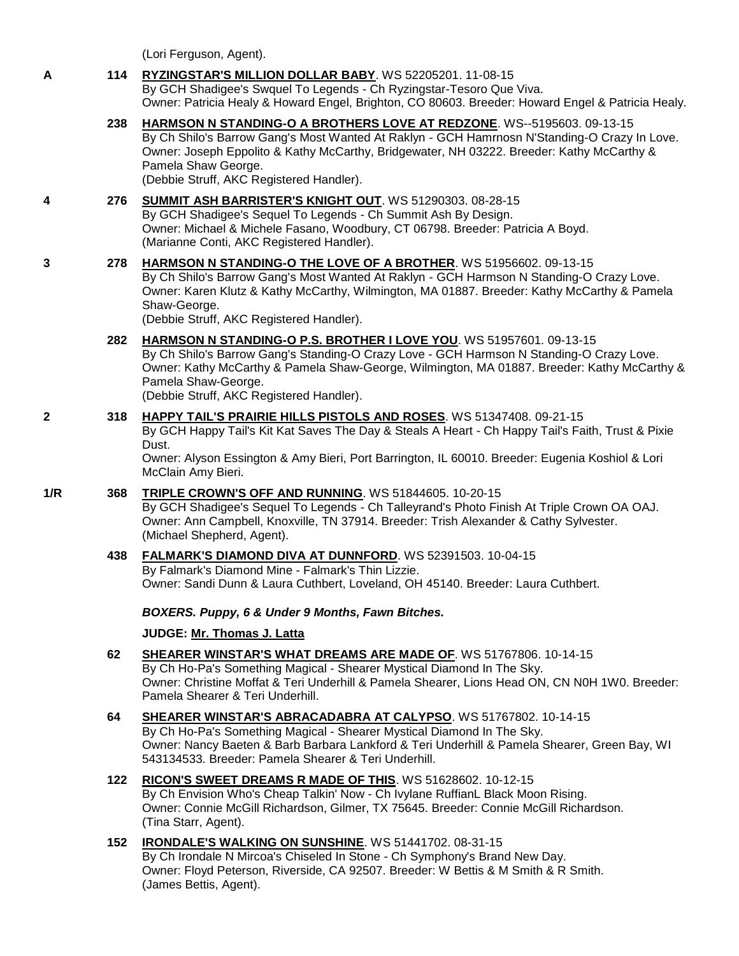(Lori Ferguson, Agent).

## **A 114 [RYZINGSTAR'S MILLION DOLLAR BABY](http://infodog.com/my/drlookup2.htm?makc=WS%2052205201&mdog=Ryzingstar%27s+Million+Dollar+Baby&wins=all)**. WS 52205201. 11-08-15 By GCH Shadigee's Swquel To Legends - Ch Ryzingstar-Tesoro Que Viva. Owner: Patricia Healy & Howard Engel, Brighton, CO 80603. Breeder: Howard Engel & Patricia Healy.

**238 [HARMSON N STANDING-O A BROTHERS LOVE AT REDZONE](http://infodog.com/my/drlookup2.htm?makc=WS--5195603&mdog=Harmson+N+Standing-O+A+Brothers+Love+At+Redzone&wins=all)**. WS--5195603. 09-13-15 By Ch Shilo's Barrow Gang's Most Wanted At Raklyn - GCH Hamrnosn N'Standing-O Crazy In Love. Owner: Joseph Eppolito & Kathy McCarthy, Bridgewater, NH 03222. Breeder: Kathy McCarthy & Pamela Shaw George. (Debbie Struff, AKC Registered Handler).

### **4 276 [SUMMIT ASH BARRISTER'S KNIGHT OUT](http://infodog.com/my/drlookup2.htm?makc=WS%2051290303&mdog=Summit+Ash+Barrister%27s+Knight+Out&wins=all)**. WS 51290303. 08-28-15 By GCH Shadigee's Sequel To Legends - Ch Summit Ash By Design. Owner: Michael & Michele Fasano, Woodbury, CT 06798. Breeder: Patricia A Boyd. (Marianne Conti, AKC Registered Handler).

## **3 278 [HARMSON N STANDING-O THE LOVE OF A BROTHER](http://infodog.com/my/drlookup2.htm?makc=WS%2051956602&mdog=Harmson+N+Standing-O+The+Love+Of+A+Brother&wins=all)**. WS 51956602. 09-13-15 By Ch Shilo's Barrow Gang's Most Wanted At Raklyn - GCH Harmson N Standing-O Crazy Love. Owner: Karen Klutz & Kathy McCarthy, Wilmington, MA 01887. Breeder: Kathy McCarthy & Pamela Shaw-George.

(Debbie Struff, AKC Registered Handler).

**282 [HARMSON N STANDING-O P.S. BROTHER I LOVE YOU](http://infodog.com/my/drlookup2.htm?makc=WS%2051957601&mdog=Harmson+N+Standing-O+P.S.+Brother+I+Love+You&wins=all)**. WS 51957601. 09-13-15 By Ch Shilo's Barrow Gang's Standing-O Crazy Love - GCH Harmson N Standing-O Crazy Love. Owner: Kathy McCarthy & Pamela Shaw-George, Wilmington, MA 01887. Breeder: Kathy McCarthy & Pamela Shaw-George. (Debbie Struff, AKC Registered Handler).

#### **2 318 [HAPPY TAIL'S PRAIRIE HILLS PISTOLS AND ROSES](http://infodog.com/my/drlookup2.htm?makc=WS%2051347408&mdog=Happy+Tail%27s+Prairie+Hills+Pistols+And+Roses&wins=all)**. WS 51347408. 09-21-15 By GCH Happy Tail's Kit Kat Saves The Day & Steals A Heart - Ch Happy Tail's Faith, Trust & Pixie Dust.

Owner: Alyson Essington & Amy Bieri, Port Barrington, IL 60010. Breeder: Eugenia Koshiol & Lori McClain Amy Bieri.

- **1/R 368 [TRIPLE CROWN'S OFF AND RUNNING](http://infodog.com/my/drlookup2.htm?makc=WS%2051844605&mdog=Triple+Crown%27s+Off+And+Running&wins=all)**. WS 51844605. 10-20-15 By GCH Shadigee's Sequel To Legends - Ch Talleyrand's Photo Finish At Triple Crown OA OAJ. Owner: Ann Campbell, Knoxville, TN 37914. Breeder: Trish Alexander & Cathy Sylvester. (Michael Shepherd, Agent).
	- **438 [FALMARK'S DIAMOND DIVA AT DUNNFORD](http://infodog.com/my/drlookup2.htm?makc=WS%2052391503&mdog=Falmark%27s+Diamond+Diva+At+Dunnford&wins=all)**. WS 52391503. 10-04-15 By Falmark's Diamond Mine - Falmark's Thin Lizzie. Owner: Sandi Dunn & Laura Cuthbert, Loveland, OH 45140. Breeder: Laura Cuthbert.

## *BOXERS. Puppy, 6 & Under 9 Months, Fawn Bitches.*

**JUDGE: [Mr. Thomas J. Latta](http://infodog.com/show/judge/jdgprofile.htm?jn=91010)**

- **62 [SHEARER WINSTAR'S WHAT DREAMS ARE](http://infodog.com/my/drlookup2.htm?makc=WS%2051767806&mdog=Shearer+Winstar%27s+What+Dreams+Are+Made+Of&wins=all) MADE OF**. WS 51767806. 10-14-15 By Ch Ho-Pa's Something Magical - Shearer Mystical Diamond In The Sky. Owner: Christine Moffat & Teri Underhill & Pamela Shearer, Lions Head ON, CN N0H 1W0. Breeder: Pamela Shearer & Teri Underhill.
- **64 [SHEARER WINSTAR'S ABRACADABRA AT CALYPSO](http://infodog.com/my/drlookup2.htm?makc=WS%2051767802&mdog=Shearer+Winstar%27s+Abracadabra+At+Calypso&wins=all)**. WS 51767802. 10-14-15 By Ch Ho-Pa's Something Magical - Shearer Mystical Diamond In The Sky. Owner: Nancy Baeten & Barb Barbara Lankford & Teri Underhill & Pamela Shearer, Green Bay, WI 543134533. Breeder: Pamela Shearer & Teri Underhill.
- **122 [RICON'S SWEET DREAMS R MADE OF THIS](http://infodog.com/my/drlookup2.htm?makc=WS%2051628602&mdog=Ricon%27s+Sweet+Dreams+R+Made+Of+This&wins=all)**. WS 51628602. 10-12-15 By Ch Envision Who's Cheap Talkin' Now - Ch Ivylane RuffianL Black Moon Rising. Owner: Connie McGill Richardson, Gilmer, TX 75645. Breeder: Connie McGill Richardson. (Tina Starr, Agent).
- **152 [IRONDALE'S WALKING ON SUNSHINE](http://infodog.com/my/drlookup2.htm?makc=WS%2051441702&mdog=Irondale%27s+Walking+On+Sunshine&wins=all)**. WS 51441702. 08-31-15 By Ch Irondale N Mircoa's Chiseled In Stone - Ch Symphony's Brand New Day. Owner: Floyd Peterson, Riverside, CA 92507. Breeder: W Bettis & M Smith & R Smith. (James Bettis, Agent).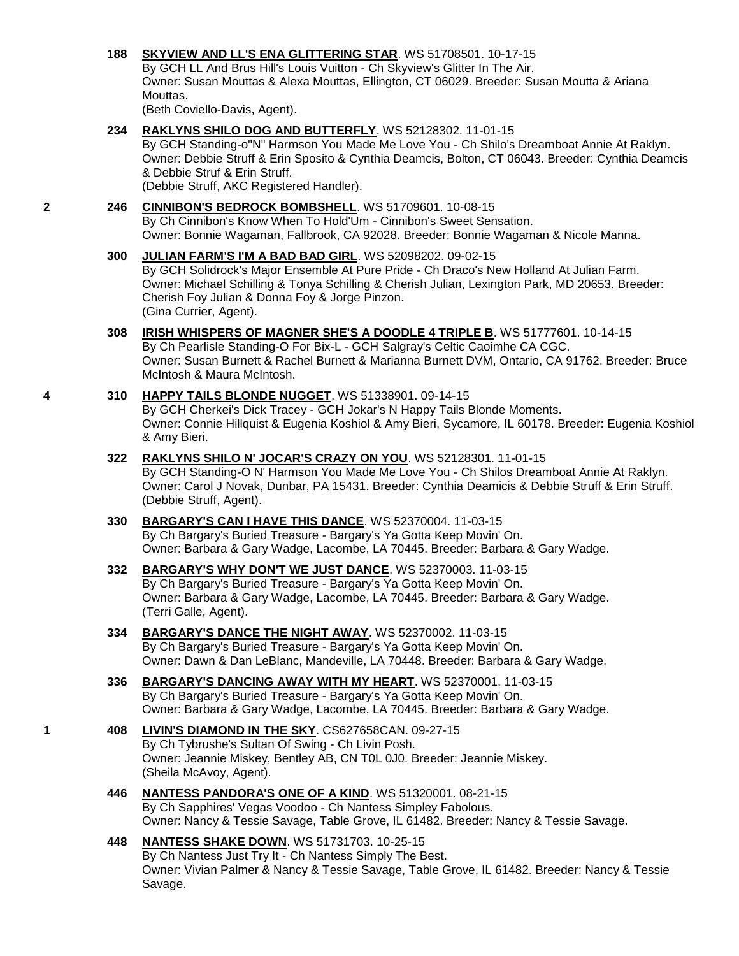### **188 [SKYVIEW AND LL'S ENA GLITTERING STAR](http://infodog.com/my/drlookup2.htm?makc=WS%2051708501&mdog=Skyview+And+LL%27S+Ena+Glittering+Star&wins=all)**. WS 51708501. 10-17-15

By GCH LL And Brus Hill's Louis Vuitton - Ch Skyview's Glitter In The Air. Owner: Susan Mouttas & Alexa Mouttas, Ellington, CT 06029. Breeder: Susan Moutta & Ariana Mouttas.

(Beth Coviello-Davis, Agent).

**234 [RAKLYNS SHILO DOG AND BUTTERFLY](http://infodog.com/my/drlookup2.htm?makc=WS%2052128302&mdog=Raklyns+Shilo+Dog+And+Butterfly&wins=all)**. WS 52128302. 11-01-15

By GCH Standing-o"N" Harmson You Made Me Love You - Ch Shilo's Dreamboat Annie At Raklyn. Owner: Debbie Struff & Erin Sposito & Cynthia Deamcis, Bolton, CT 06043. Breeder: Cynthia Deamcis & Debbie Struf & Erin Struff.

(Debbie Struff, AKC Registered Handler).

## **2 246 [CINNIBON'S BEDROCK BOMBSHELL](http://infodog.com/my/drlookup2.htm?makc=WS%2051709601&mdog=Cinnibon%27s+Bedrock+Bombshell&wins=all)**. WS 51709601. 10-08-15

By Ch Cinnibon's Know When To Hold'Um - Cinnibon's Sweet Sensation. Owner: Bonnie Wagaman, Fallbrook, CA 92028. Breeder: Bonnie Wagaman & Nicole Manna.

### **300 [JULIAN FARM'S I'M A BAD BAD GIRL](http://infodog.com/my/drlookup2.htm?makc=WS%2052098202&mdog=Julian+Farm%27s+I%27m+A+Bad+Bad+Girl&wins=all)**. WS 52098202. 09-02-15

By GCH Solidrock's Major Ensemble At Pure Pride - Ch Draco's New Holland At Julian Farm. Owner: Michael Schilling & Tonya Schilling & Cherish Julian, Lexington Park, MD 20653. Breeder: Cherish Foy Julian & Donna Foy & Jorge Pinzon. (Gina Currier, Agent).

**308 [IRISH WHISPERS OF MAGNER SHE'S A DOODLE 4 TRIPLE B](http://infodog.com/my/drlookup2.htm?makc=WS%2051777601&mdog=Irish+Whispers+Of+Magner+She%27s+A+Doodle+4+Triple+B&wins=all)**. WS 51777601. 10-14-15 By Ch Pearlisle Standing-O For Bix-L - GCH Salgray's Celtic Caoimhe CA CGC. Owner: Susan Burnett & Rachel Burnett & Marianna Burnett DVM, Ontario, CA 91762. Breeder: Bruce McIntosh & Maura McIntosh.

### **4 310 [HAPPY TAILS BLONDE NUGGET](http://infodog.com/my/drlookup2.htm?makc=WS%2051338901&mdog=Happy+Tails+Blonde+Nugget&wins=all)**. WS 51338901. 09-14-15

By GCH Cherkei's Dick Tracey - GCH Jokar's N Happy Tails Blonde Moments. Owner: Connie Hillquist & Eugenia Koshiol & Amy Bieri, Sycamore, IL 60178. Breeder: Eugenia Koshiol & Amy Bieri.

**322 [RAKLYNS SHILO N' JOCAR'S CRAZY ON YOU](http://infodog.com/my/drlookup2.htm?makc=WS%2052128301&mdog=Raklyns+Shilo+N%27+JoCar%27s+Crazy+On+You&wins=all)**. WS 52128301. 11-01-15 By GCH Standing-O N' Harmson You Made Me Love You - Ch Shilos Dreamboat Annie At Raklyn. Owner: Carol J Novak, Dunbar, PA 15431. Breeder: Cynthia Deamicis & Debbie Struff & Erin Struff. (Debbie Struff, Agent).

## **330 [BARGARY'S CAN I HAVE THIS DANCE](http://infodog.com/my/drlookup2.htm?makc=WS%2052370004&mdog=Bargary%27s+Can+I+Have+This+Dance&wins=all)**. WS 52370004. 11-03-15 By Ch Bargary's Buried Treasure - Bargary's Ya Gotta Keep Movin' On. Owner: Barbara & Gary Wadge, Lacombe, LA 70445. Breeder: Barbara & Gary Wadge.

- **332 [BARGARY'S WHY DON'T WE JUST DANCE](http://infodog.com/my/drlookup2.htm?makc=WS%2052370003&mdog=Bargary%27s+Why+Don%27t+We+Just+Dance&wins=all)**. WS 52370003. 11-03-15 By Ch Bargary's Buried Treasure - Bargary's Ya Gotta Keep Movin' On. Owner: Barbara & Gary Wadge, Lacombe, LA 70445. Breeder: Barbara & Gary Wadge. (Terri Galle, Agent).
- **334 [BARGARY'S DANCE THE NIGHT AWAY](http://infodog.com/my/drlookup2.htm?makc=WS%2052370002&mdog=Bargary%27s+Dance+The+Night+Away&wins=all)**. WS 52370002. 11-03-15 By Ch Bargary's Buried Treasure - Bargary's Ya Gotta Keep Movin' On. Owner: Dawn & Dan LeBlanc, Mandeville, LA 70448. Breeder: Barbara & Gary Wadge.
- **336 [BARGARY'S DANCING AWAY WITH MY HEART](http://infodog.com/my/drlookup2.htm?makc=WS%2052370001&mdog=Bargary%27s+Dancing+Away+With+My+Heart&wins=all)**. WS 52370001. 11-03-15 By Ch Bargary's Buried Treasure - Bargary's Ya Gotta Keep Movin' On. Owner: Barbara & Gary Wadge, Lacombe, LA 70445. Breeder: Barbara & Gary Wadge.
- **1 408 [LIVIN'S DIAMOND IN THE SKY](http://infodog.com/my/drlookup2.htm?makc=CS627658CAN&mdog=Livin%27s+Diamond+In+The+Sky&wins=all)**. CS627658CAN. 09-27-15 By Ch Tybrushe's Sultan Of Swing - Ch Livin Posh. Owner: Jeannie Miskey, Bentley AB, CN T0L 0J0. Breeder: Jeannie Miskey. (Sheila McAvoy, Agent).
	- **446 [NANTESS PANDORA'S ONE OF A KIND](http://infodog.com/my/drlookup2.htm?makc=WS%2051320001&mdog=Nantess+Pandora%27s+One+Of+A+Kind&wins=all)**. WS 51320001. 08-21-15 By Ch Sapphires' Vegas Voodoo - Ch Nantess Simpley Fabolous. Owner: Nancy & Tessie Savage, Table Grove, IL 61482. Breeder: Nancy & Tessie Savage.
	- **448 [NANTESS SHAKE DOWN](http://infodog.com/my/drlookup2.htm?makc=WS%2051731703&mdog=Nantess+Shake+Down&wins=all)**. WS 51731703. 10-25-15 By Ch Nantess Just Try It - Ch Nantess Simply The Best. Owner: Vivian Palmer & Nancy & Tessie Savage, Table Grove, IL 61482. Breeder: Nancy & Tessie Savage.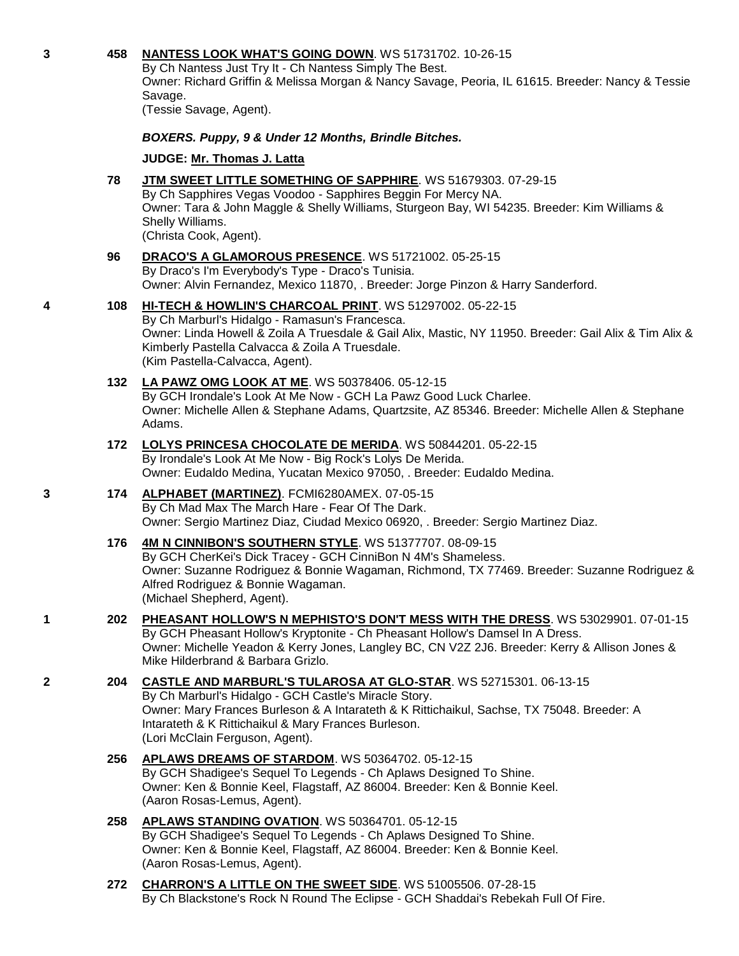### **3 458 [NANTESS LOOK WHAT'S GOING DOWN](http://infodog.com/my/drlookup2.htm?makc=WS%2051731702&mdog=Nantess+Look+What%27s+Going+Down&wins=all)**. WS 51731702. 10-26-15

By Ch Nantess Just Try It - Ch Nantess Simply The Best. Owner: Richard Griffin & Melissa Morgan & Nancy Savage, Peoria, IL 61615. Breeder: Nancy & Tessie Savage.

(Tessie Savage, Agent).

## *BOXERS. Puppy, 9 & Under 12 Months, Brindle Bitches.*

### **JUDGE: [Mr. Thomas J. Latta](http://infodog.com/show/judge/jdgprofile.htm?jn=91010)**

#### **78 JTM SWEET [LITTLE SOMETHING OF SAPPHIRE](http://infodog.com/my/drlookup2.htm?makc=WS%2051679303&mdog=JTM+Sweet+Little+Something+Of+Sapphire&wins=all)**. WS 51679303. 07-29-15 By Ch Sapphires Vegas Voodoo - Sapphires Beggin For Mercy NA.

Owner: Tara & John Maggle & Shelly Williams, Sturgeon Bay, WI 54235. Breeder: Kim Williams & Shelly Williams. (Christa Cook, Agent).

### **96 [DRACO'S A GLAMOROUS PRESENCE](http://infodog.com/my/drlookup2.htm?makc=WS%2051721002&mdog=Draco%27s+A+Glamorous+Presence&wins=all)**. WS 51721002. 05-25-15 By Draco's I'm Everybody's Type - Draco's Tunisia. Owner: Alvin Fernandez, Mexico 11870, . Breeder: Jorge Pinzon & Harry Sanderford.

## **4 108 [HI-TECH & HOWLIN'S CHARCOAL PRINT](http://infodog.com/my/drlookup2.htm?makc=WS%2051297002&mdog=Hi-Tech+&+Howlin%27s+Charcoal+Print&wins=all)**. WS 51297002. 05-22-15

By Ch Marburl's Hidalgo - Ramasun's Francesca. Owner: Linda Howell & Zoila A Truesdale & Gail Alix, Mastic, NY 11950. Breeder: Gail Alix & Tim Alix & Kimberly Pastella Calvacca & Zoila A Truesdale. (Kim Pastella-Calvacca, Agent).

### **132 [LA PAWZ OMG LOOK AT ME](http://infodog.com/my/drlookup2.htm?makc=WS%2050378406&mdog=La+Pawz+OMG+Look+At+Me&wins=all)**. WS 50378406. 05-12-15 By GCH Irondale's Look At Me Now - GCH La Pawz Good Luck Charlee. Owner: Michelle Allen & Stephane Adams, Quartzsite, AZ 85346. Breeder: Michelle Allen & Stephane Adams.

#### **172 [LOLYS PRINCESA CHOCOLATE DE MERIDA](http://infodog.com/my/drlookup2.htm?makc=WS%2050844201&mdog=Lolys+Princesa+Chocolate+De+Merida&wins=all)**. WS 50844201. 05-22-15 By Irondale's Look At Me Now - Big Rock's Lolys De Merida. Owner: Eudaldo Medina, Yucatan Mexico 97050, . Breeder: Eudaldo Medina.

## **3 174 [ALPHABET \(MARTINEZ\)](http://infodog.com/my/drlookup2.htm?makc=FCMI6280AMEX&mdog=Alphabet+%28Martinez%29&wins=all)**. FCMI6280AMEX. 07-05-15 By Ch Mad Max The March Hare - Fear Of The Dark. Owner: Sergio Martinez Diaz, Ciudad Mexico 06920, . Breeder: Sergio Martinez Diaz.

## **176 [4M N CINNIBON'S SOUTHERN STYLE](http://infodog.com/my/drlookup2.htm?makc=WS%2051377707&mdog=4M+N+CinniBon%27s+Southern+Style&wins=all)**. WS 51377707. 08-09-15 By GCH CherKei's Dick Tracey - GCH CinniBon N 4M's Shameless. Owner: Suzanne Rodriguez & Bonnie Wagaman, Richmond, TX 77469. Breeder: Suzanne Rodriguez & Alfred Rodriguez & Bonnie Wagaman. (Michael Shepherd, Agent).

**1 202 [PHEASANT HOLLOW'S N MEPHISTO'S DON'T MESS WITH THE DRESS](http://infodog.com/my/drlookup2.htm?makc=WS%2053029901&mdog=Pheasant+Hollow%27s+N+Mephisto%27s+Don%27t+Mess+With+The+Dress&wins=all)**. WS 53029901. 07-01-15 By GCH Pheasant Hollow's Kryptonite - Ch Pheasant Hollow's Damsel In A Dress. Owner: Michelle Yeadon & Kerry Jones, Langley BC, CN V2Z 2J6. Breeder: Kerry & Allison Jones & Mike Hilderbrand & Barbara Grizlo.

### **2 204 [CASTLE AND MARBURL'S TULAROSA AT GLO-STAR](http://infodog.com/my/drlookup2.htm?makc=WS%2052715301&mdog=Castle+And+Marburl%27s+Tularosa+At+Glo-Star&wins=all)**. WS 52715301. 06-13-15 By Ch Marburl's Hidalgo - GCH Castle's Miracle Story. Owner: Mary Frances Burleson & A Intarateth & K Rittichaikul, Sachse, TX 75048. Breeder: A Intarateth & K Rittichaikul & Mary Frances Burleson. (Lori McClain Ferguson, Agent).

## **256 [APLAWS DREAMS OF STARDOM](http://infodog.com/my/drlookup2.htm?makc=WS%2050364702&mdog=Aplaws+Dreams+Of+Stardom&wins=all)**. WS 50364702. 05-12-15 By GCH Shadigee's Sequel To Legends - Ch Aplaws Designed To Shine. Owner: Ken & Bonnie Keel, Flagstaff, AZ 86004. Breeder: Ken & Bonnie Keel. (Aaron Rosas-Lemus, Agent).

### **258 [APLAWS STANDING OVATION](http://infodog.com/my/drlookup2.htm?makc=WS%2050364701&mdog=Aplaws+Standing+Ovation&wins=all)**. WS 50364701. 05-12-15 By GCH Shadigee's Sequel To Legends - Ch Aplaws Designed To Shine. Owner: Ken & Bonnie Keel, Flagstaff, AZ 86004. Breeder: Ken & Bonnie Keel. (Aaron Rosas-Lemus, Agent).

**272 [CHARRON'S A LITTLE ON THE SWEET SIDE](http://infodog.com/my/drlookup2.htm?makc=WS%2051005506&mdog=Charron%27s+A+Little+On+The+Sweet+Side&wins=all)**. WS 51005506. 07-28-15 By Ch Blackstone's Rock N Round The Eclipse - GCH Shaddai's Rebekah Full Of Fire.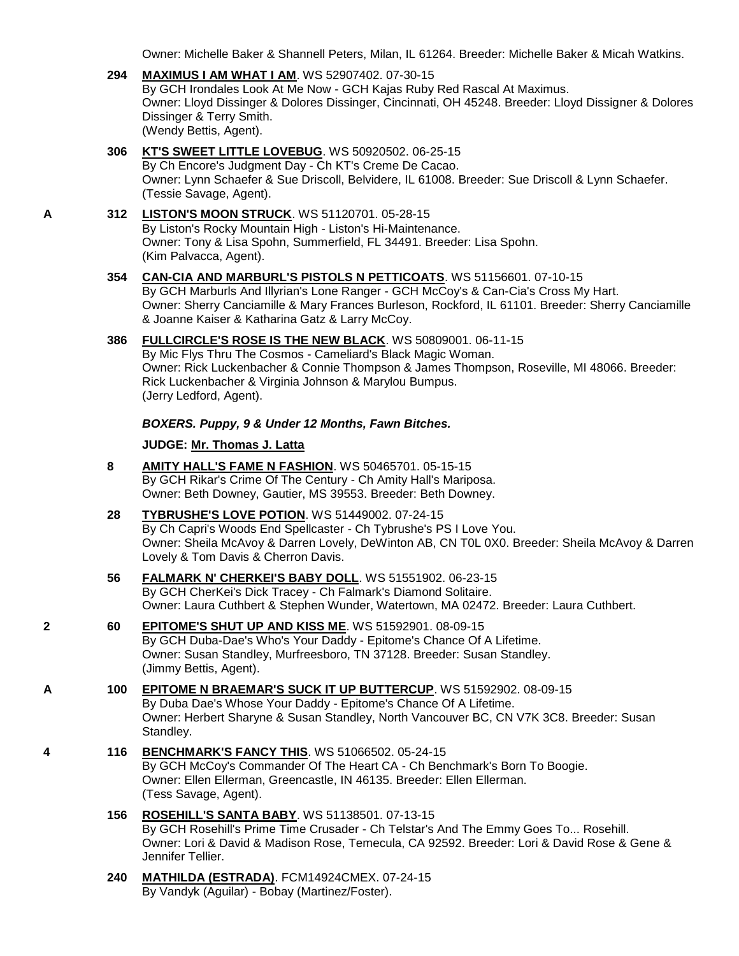Owner: Michelle Baker & Shannell Peters, Milan, IL 61264. Breeder: Michelle Baker & Micah Watkins.

- **294 [MAXIMUS I AM WHAT I AM](http://infodog.com/my/drlookup2.htm?makc=WS%2052907402&mdog=Maximus+I+Am+What+I+Am&wins=all)**. WS 52907402. 07-30-15 By GCH Irondales Look At Me Now - GCH Kajas Ruby Red Rascal At Maximus. Owner: Lloyd Dissinger & Dolores Dissinger, Cincinnati, OH 45248. Breeder: Lloyd Dissigner & Dolores Dissinger & Terry Smith. (Wendy Bettis, Agent).
- **306 [KT'S SWEET LITTLE LOVEBUG](http://infodog.com/my/drlookup2.htm?makc=WS%2050920502&mdog=KT%27s+Sweet+Little+Lovebug&wins=all)**. WS 50920502. 06-25-15 By Ch Encore's Judgment Day - Ch KT's Creme De Cacao. Owner: Lynn Schaefer & Sue Driscoll, Belvidere, IL 61008. Breeder: Sue Driscoll & Lynn Schaefer. (Tessie Savage, Agent).

### **A 312 [LISTON'S MOON STRUCK](http://infodog.com/my/drlookup2.htm?makc=WS%2051120701&mdog=Liston%27s+Moon+Struck&wins=all)**. WS 51120701. 05-28-15 By Liston's Rocky Mountain High - Liston's Hi-Maintenance. Owner: Tony & Lisa Spohn, Summerfield, FL 34491. Breeder: Lisa Spohn.

(Kim Palvacca, Agent).

### **354 [CAN-CIA AND MARBURL'S PISTOLS N PETTICOATS](http://infodog.com/my/drlookup2.htm?makc=WS%2051156601&mdog=Can-Cia+And+Marburl%27s+Pistols+N+Petticoats&wins=all)**. WS 51156601. 07-10-15

By GCH Marburls And Illyrian's Lone Ranger - GCH McCoy's & Can-Cia's Cross My Hart. Owner: Sherry Canciamille & Mary Frances Burleson, Rockford, IL 61101. Breeder: Sherry Canciamille & Joanne Kaiser & Katharina Gatz & Larry McCoy.

## **386 [FULLCIRCLE'S ROSE IS THE NEW BLACK](http://infodog.com/my/drlookup2.htm?makc=WS%2050809001&mdog=Fullcircle%27s+Rose+Is+The+New+Black&wins=all)**. WS 50809001. 06-11-15

By Mic Flys Thru The Cosmos - Cameliard's Black Magic Woman. Owner: Rick Luckenbacher & Connie Thompson & James Thompson, Roseville, MI 48066. Breeder: Rick Luckenbacher & Virginia Johnson & Marylou Bumpus. (Jerry Ledford, Agent).

### *BOXERS. Puppy, 9 & Under 12 Months, Fawn Bitches.*

### **JUDGE: [Mr. Thomas J. Latta](http://infodog.com/show/judge/jdgprofile.htm?jn=91010)**

- **8 [AMITY HALL'S FAME N FASHION](http://infodog.com/my/drlookup2.htm?makc=WS%2050465701&mdog=Amity+Hall%27s+Fame+N+Fashion&wins=all)**. WS 50465701. 05-15-15 By GCH Rikar's Crime Of The Century - Ch Amity Hall's Mariposa. Owner: Beth Downey, Gautier, MS 39553. Breeder: Beth Downey.
- **28 [TYBRUSHE'S LOVE POTION](http://infodog.com/my/drlookup2.htm?makc=WS%2051449002&mdog=Tybrushe%27s+Love+Potion&wins=all)**. WS 51449002. 07-24-15 By Ch Capri's Woods End Spellcaster - Ch Tybrushe's PS I Love You. Owner: Sheila McAvoy & Darren Lovely, DeWinton AB, CN T0L 0X0. Breeder: Sheila McAvoy & Darren Lovely & Tom Davis & Cherron Davis.
- **56 [FALMARK N' CHERKEI'S BABY DOLL](http://infodog.com/my/drlookup2.htm?makc=WS%2051551902&mdog=Falmark+N%27+CherKei%27s+Baby+Doll&wins=all)**. WS 51551902. 06-23-15 By GCH CherKei's Dick Tracey - Ch Falmark's Diamond Solitaire. Owner: Laura Cuthbert & Stephen Wunder, Watertown, MA 02472. Breeder: Laura Cuthbert.
- **2 60 [EPITOME'S SHUT UP AND KISS ME](http://infodog.com/my/drlookup2.htm?makc=WS%2051592901&mdog=Epitome%27s+Shut+Up+And+Kiss+Me&wins=all)**. WS 51592901. 08-09-15 By GCH Duba-Dae's Who's Your Daddy - Epitome's Chance Of A Lifetime. Owner: Susan Standley, Murfreesboro, TN 37128. Breeder: Susan Standley. (Jimmy Bettis, Agent).

### **A 100 [EPITOME N BRAEMAR'S SUCK IT UP BUTTERCUP](http://infodog.com/my/drlookup2.htm?makc=WS%2051592902&mdog=Epitome+N+Braemar%27s+Suck+It+Up+Buttercup&wins=all)**. WS 51592902. 08-09-15 By Duba Dae's Whose Your Daddy - Epitome's Chance Of A Lifetime. Owner: Herbert Sharyne & Susan Standley, North Vancouver BC, CN V7K 3C8. Breeder: Susan Standley.

- **4 116 [BENCHMARK'S FANCY THIS](http://infodog.com/my/drlookup2.htm?makc=WS%2051066502&mdog=Benchmark%27s+Fancy+This&wins=all)**. WS 51066502. 05-24-15 By GCH McCoy's Commander Of The Heart CA - Ch Benchmark's Born To Boogie. Owner: Ellen Ellerman, Greencastle, IN 46135. Breeder: Ellen Ellerman. (Tess Savage, Agent).
	- **156 [ROSEHILL'S SANTA BABY](http://infodog.com/my/drlookup2.htm?makc=WS%2051138501&mdog=Rosehill%27s+Santa+Baby&wins=all)**. WS 51138501. 07-13-15 By GCH Rosehill's Prime Time Crusader - Ch Telstar's And The Emmy Goes To... Rosehill. Owner: Lori & David & Madison Rose, Temecula, CA 92592. Breeder: Lori & David Rose & Gene & Jennifer Tellier.
	- **240 [MATHILDA \(ESTRADA\)](http://infodog.com/my/drlookup2.htm?makc=FCM14924CMEX&mdog=Mathilda+%28Estrada%29&wins=all)**. FCM14924CMEX. 07-24-15 By Vandyk (Aguilar) - Bobay (Martinez/Foster).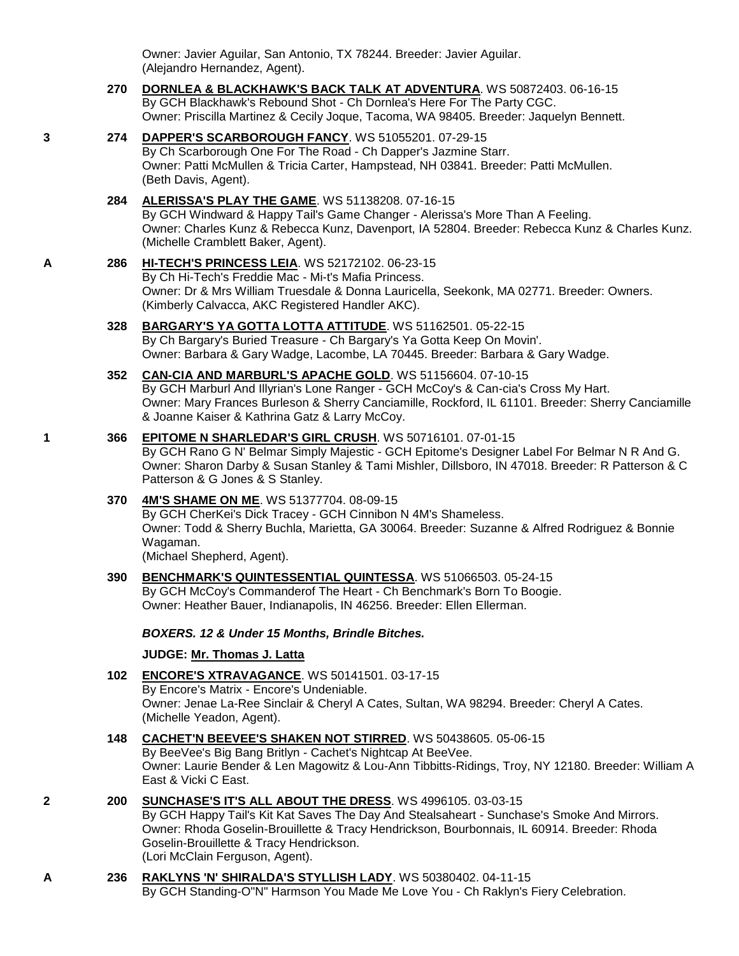Owner: Javier Aguilar, San Antonio, TX 78244. Breeder: Javier Aguilar. (Alejandro Hernandez, Agent).

#### **270 [DORNLEA & BLACKHAWK'S BACK TALK AT ADVENTURA](http://infodog.com/my/drlookup2.htm?makc=WS%2050872403&mdog=Dornlea+&+Blackhawk%27s+Back+Talk+At+Adventura&wins=all)**. WS 50872403. 06-16-15 By GCH Blackhawk's Rebound Shot - Ch Dornlea's Here For The Party CGC. Owner: Priscilla Martinez & Cecily Joque, Tacoma, WA 98405. Breeder: Jaquelyn Bennett.

### **3 274 [DAPPER'S SCARBOROUGH FANCY](http://infodog.com/my/drlookup2.htm?makc=WS%2051055201&mdog=Dapper%27s+Scarborough+Fancy&wins=all)**. WS 51055201. 07-29-15 By Ch Scarborough One For The Road - Ch Dapper's Jazmine Starr. Owner: Patti McMullen & Tricia Carter, Hampstead, NH 03841. Breeder: Patti McMullen. (Beth Davis, Agent).

## **284 [ALERISSA'S PLAY THE GAME](http://infodog.com/my/drlookup2.htm?makc=WS%2051138208&mdog=Alerissa%27s+Play+The+Game&wins=all)**. WS 51138208. 07-16-15

By GCH Windward & Happy Tail's Game Changer - Alerissa's More Than A Feeling. Owner: Charles Kunz & Rebecca Kunz, Davenport, IA 52804. Breeder: Rebecca Kunz & Charles Kunz. (Michelle Cramblett Baker, Agent).

#### **A 286 [HI-TECH'S PRINCESS LEIA](http://infodog.com/my/drlookup2.htm?makc=WS%2052172102&mdog=Hi-Tech%27s+Princess+Leia&wins=all)**. WS 52172102. 06-23-15 By Ch Hi-Tech's Freddie Mac - Mi-t's Mafia Princess. Owner: Dr & Mrs William Truesdale & Donna Lauricella, Seekonk, MA 02771. Breeder: Owners. (Kimberly Calvacca, AKC Registered Handler AKC).

## **328 [BARGARY'S YA GOTTA LOTTA ATTITUDE](http://infodog.com/my/drlookup2.htm?makc=WS%2051162501&mdog=Bargary%27s+Ya+Gotta+Lotta+Attitude&wins=all)**. WS 51162501. 05-22-15 By Ch Bargary's Buried Treasure - Ch Bargary's Ya Gotta Keep On Movin'. Owner: Barbara & Gary Wadge, Lacombe, LA 70445. Breeder: Barbara & Gary Wadge.

### **352 [CAN-CIA AND MARBURL'S APACHE GOLD](http://infodog.com/my/drlookup2.htm?makc=WS%2051156604&mdog=Can-Cia+And+Marburl%27s+Apache+Gold&wins=all)**. WS 51156604. 07-10-15 By GCH Marburl And Illyrian's Lone Ranger - GCH McCoy's & Can-cia's Cross My Hart. Owner: Mary Frances Burleson & Sherry Canciamille, Rockford, IL 61101. Breeder: Sherry Canciamille & Joanne Kaiser & Kathrina Gatz & Larry McCoy.

## **1 366 [EPITOME N SHARLEDAR'S GIRL CRUSH](http://infodog.com/my/drlookup2.htm?makc=WS%2050716101&mdog=Epitome+N+Sharledar%27s+Girl+Crush&wins=all)**. WS 50716101. 07-01-15

By GCH Rano G N' Belmar Simply Majestic - GCH Epitome's Designer Label For Belmar N R And G. Owner: Sharon Darby & Susan Stanley & Tami Mishler, Dillsboro, IN 47018. Breeder: R Patterson & C Patterson & G Jones & S Stanley.

## **370 [4M'S SHAME ON ME](http://infodog.com/my/drlookup2.htm?makc=WS%2051377704&mdog=4M%27s+Shame+On+Me&wins=all)**. WS 51377704. 08-09-15

By GCH CherKei's Dick Tracey - GCH Cinnibon N 4M's Shameless. Owner: Todd & Sherry Buchla, Marietta, GA 30064. Breeder: Suzanne & Alfred Rodriguez & Bonnie Wagaman.

(Michael Shepherd, Agent).

## **390 [BENCHMARK'S QUINTESSENTIAL QUINTESSA](http://infodog.com/my/drlookup2.htm?makc=WS%2051066503&mdog=Benchmark%27s+Quintessential+Quintessa&wins=all)**. WS 51066503. 05-24-15

By GCH McCoy's Commanderof The Heart - Ch Benchmark's Born To Boogie. Owner: Heather Bauer, Indianapolis, IN 46256. Breeder: Ellen Ellerman.

## *BOXERS. 12 & Under 15 Months, Brindle Bitches.*

## **JUDGE: [Mr. Thomas J. Latta](http://infodog.com/show/judge/jdgprofile.htm?jn=91010)**

**102 [ENCORE'S XTRAVAGANCE](http://infodog.com/my/drlookup2.htm?makc=WS%2050141501&mdog=Encore%27s+Xtravagance&wins=all)**. WS 50141501. 03-17-15 By Encore's Matrix - Encore's Undeniable. Owner: Jenae La-Ree Sinclair & Cheryl A Cates, Sultan, WA 98294. Breeder: Cheryl A Cates. (Michelle Yeadon, Agent).

## **148 [CACHET'N BEEVEE'S SHAKEN NOT STIRRED](http://infodog.com/my/drlookup2.htm?makc=WS%2050438605&mdog=Cachet%27N+Beevee%27s+Shaken+Not+Stirred&wins=all)**. WS 50438605. 05-06-15

By BeeVee's Big Bang Britlyn - Cachet's Nightcap At BeeVee. Owner: Laurie Bender & Len Magowitz & Lou-Ann Tibbitts-Ridings, Troy, NY 12180. Breeder: William A East & Vicki C East.

### **2 200 [SUNCHASE'S IT'S ALL ABOUT THE DRESS](http://infodog.com/my/drlookup2.htm?makc=WS%204996105&mdog=Sunchase%27s+It%27s+All+About+The+Dress&wins=all)**. WS 4996105. 03-03-15

By GCH Happy Tail's Kit Kat Saves The Day And Stealsaheart - Sunchase's Smoke And Mirrors. Owner: Rhoda Goselin-Brouillette & Tracy Hendrickson, Bourbonnais, IL 60914. Breeder: Rhoda Goselin-Brouillette & Tracy Hendrickson. (Lori McClain Ferguson, Agent).

## **A 236 [RAKLYNS 'N' SHIRALDA'S STYLLISH LADY](http://infodog.com/my/drlookup2.htm?makc=WS%2050380402&mdog=Raklyns+%27N%27+Shiralda%27s+Styllish+Lady&wins=all)**. WS 50380402. 04-11-15 By GCH Standing-O"N" Harmson You Made Me Love You - Ch Raklyn's Fiery Celebration.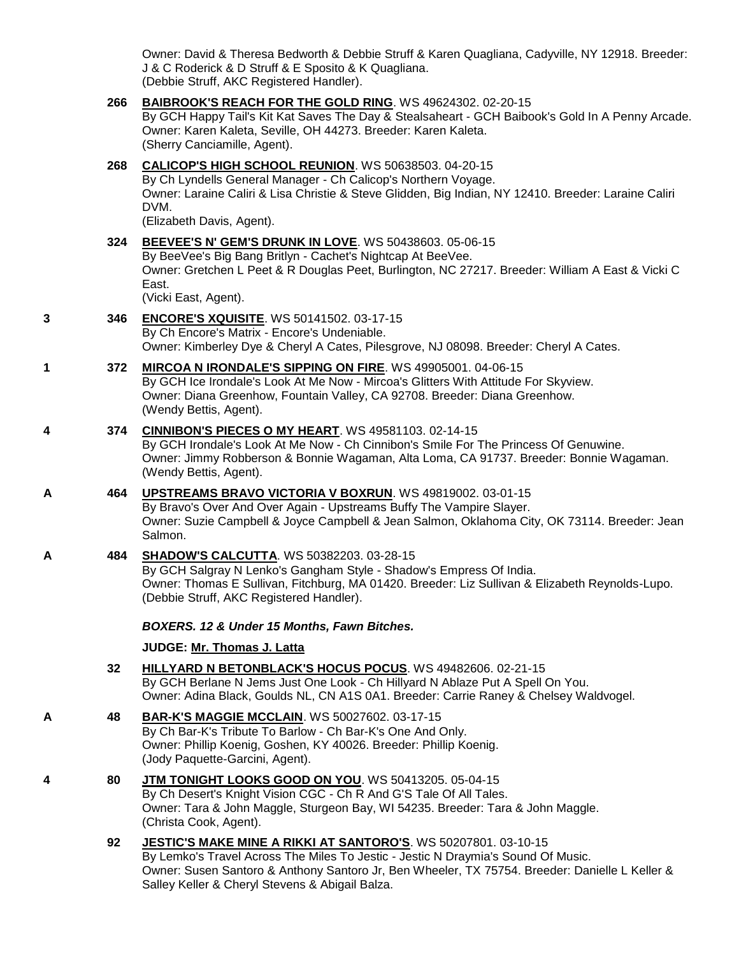Owner: David & Theresa Bedworth & Debbie Struff & Karen Quagliana, Cadyville, NY 12918. Breeder: J & C Roderick & D Struff & E Sposito & K Quagliana. (Debbie Struff, AKC Registered Handler).

### **266 [BAIBROOK'S REACH FOR THE GOLD RING](http://infodog.com/my/drlookup2.htm?makc=WS%2049624302&mdog=Baibrook%27s+Reach+For+The+Gold+Ring&wins=all)**. WS 49624302. 02-20-15

By GCH Happy Tail's Kit Kat Saves The Day & Stealsaheart - GCH Baibook's Gold In A Penny Arcade. Owner: Karen Kaleta, Seville, OH 44273. Breeder: Karen Kaleta. (Sherry Canciamille, Agent).

## **268 [CALICOP'S HIGH SCHOOL REUNION](http://infodog.com/my/drlookup2.htm?makc=WS%2050638503&mdog=Calicop%27s+High+School+Reunion&wins=all)**. WS 50638503. 04-20-15

By Ch Lyndells General Manager - Ch Calicop's Northern Voyage. Owner: Laraine Caliri & Lisa Christie & Steve Glidden, Big Indian, NY 12410. Breeder: Laraine Caliri DVM.

(Elizabeth Davis, Agent).

### **324 [BEEVEE'S N' GEM'S DRUNK IN LOVE](http://infodog.com/my/drlookup2.htm?makc=WS%2050438603&mdog=BeeVee%27s+N%27+Gem%27s+Drunk+In+Love&wins=all)**. WS 50438603. 05-06-15 By BeeVee's Big Bang Britlyn - Cachet's Nightcap At BeeVee. Owner: Gretchen L Peet & R Douglas Peet, Burlington, NC 27217. Breeder: William A East & Vicki C East. (Vicki East, Agent).

### **3 346 [ENCORE'S XQUISITE](http://infodog.com/my/drlookup2.htm?makc=WS%2050141502&mdog=Encore%27s+Xquisite&wins=all)**. WS 50141502. 03-17-15 By Ch Encore's Matrix - Encore's Undeniable. Owner: Kimberley Dye & Cheryl A Cates, Pilesgrove, NJ 08098. Breeder: Cheryl A Cates.

### **1 372 [MIRCOA N IRONDALE'S SIPPING ON FIRE](http://infodog.com/my/drlookup2.htm?makc=WS%2049905001&mdog=Mircoa+N+Irondale%27s+Sipping+On+Fire&wins=all)**. WS 49905001. 04-06-15 By GCH Ice Irondale's Look At Me Now - Mircoa's Glitters With Attitude For Skyview. Owner: Diana Greenhow, Fountain Valley, CA 92708. Breeder: Diana Greenhow. (Wendy Bettis, Agent).

## **4 374 [CINNIBON'S PIECES O MY HEART](http://infodog.com/my/drlookup2.htm?makc=WS%2049581103&mdog=Cinnibon%27s+Pieces+O+My+Heart&wins=all)**. WS 49581103. 02-14-15

By GCH Irondale's Look At Me Now - Ch Cinnibon's Smile For The Princess Of Genuwine. Owner: Jimmy Robberson & Bonnie Wagaman, Alta Loma, CA 91737. Breeder: Bonnie Wagaman. (Wendy Bettis, Agent).

**A 464 [UPSTREAMS BRAVO VICTORIA V BOXRUN](http://infodog.com/my/drlookup2.htm?makc=WS%2049819002&mdog=Upstreams+Bravo+Victoria+V+BoxRun&wins=all)**. WS 49819002. 03-01-15 By Bravo's Over And Over Again - Upstreams Buffy The Vampire Slayer. Owner: Suzie Campbell & Joyce Campbell & Jean Salmon, Oklahoma City, OK 73114. Breeder: Jean Salmon.

## **A 484 [SHADOW'S CALCUTTA](http://infodog.com/my/drlookup2.htm?makc=WS%2050382203&mdog=Shadow%27s+Calcutta&wins=all)**. WS 50382203. 03-28-15 By GCH Salgray N Lenko's Gangham Style - Shadow's Empress Of India. Owner: Thomas E Sullivan, Fitchburg, MA 01420. Breeder: Liz Sullivan & Elizabeth Reynolds-Lupo. (Debbie Struff, AKC Registered Handler).

## *BOXERS. 12 & Under 15 Months, Fawn Bitches.*

## **JUDGE: [Mr. Thomas J. Latta](http://infodog.com/show/judge/jdgprofile.htm?jn=91010)**

- **32 [HILLYARD N BETONBLACK'S HOCUS POCUS](http://infodog.com/my/drlookup2.htm?makc=WS%2049482606&mdog=Hillyard+N+BetOnBlack%27s+Hocus+Pocus&wins=all)**. WS 49482606. 02-21-15 By GCH Berlane N Jems Just One Look - Ch Hillyard N Ablaze Put A Spell On You. Owner: Adina Black, Goulds NL, CN A1S 0A1. Breeder: Carrie Raney & Chelsey Waldvogel.
- **A 48 [BAR-K'S MAGGIE MCCLAIN](http://infodog.com/my/drlookup2.htm?makc=WS%2050027602&mdog=Bar-K%27s+Maggie+McClain&wins=all)**. WS 50027602. 03-17-15 By Ch Bar-K's Tribute To Barlow - Ch Bar-K's One And Only. Owner: Phillip Koenig, Goshen, KY 40026. Breeder: Phillip Koenig. (Jody Paquette-Garcini, Agent).

## **4 80 [JTM TONIGHT LOOKS GOOD ON YOU](http://infodog.com/my/drlookup2.htm?makc=WS%2050413205&mdog=JTM+Tonight+Looks+Good+On+You&wins=all)**. WS 50413205. 05-04-15 By Ch Desert's Knight Vision CGC - Ch R And G'S Tale Of All Tales. Owner: Tara & John Maggle, Sturgeon Bay, WI 54235. Breeder: Tara & John Maggle. (Christa Cook, Agent).

### **92 [JESTIC'S MAKE MINE A RIKKI AT SANTORO'S](http://infodog.com/my/drlookup2.htm?makc=WS%2050207801&mdog=Jestic%27s+Make+Mine+A+Rikki+At+Santoro%27s&wins=all)**. WS 50207801. 03-10-15 By Lemko's Travel Across The Miles To Jestic - Jestic N Draymia's Sound Of Music. Owner: Susen Santoro & Anthony Santoro Jr, Ben Wheeler, TX 75754. Breeder: Danielle L Keller & Salley Keller & Cheryl Stevens & Abigail Balza.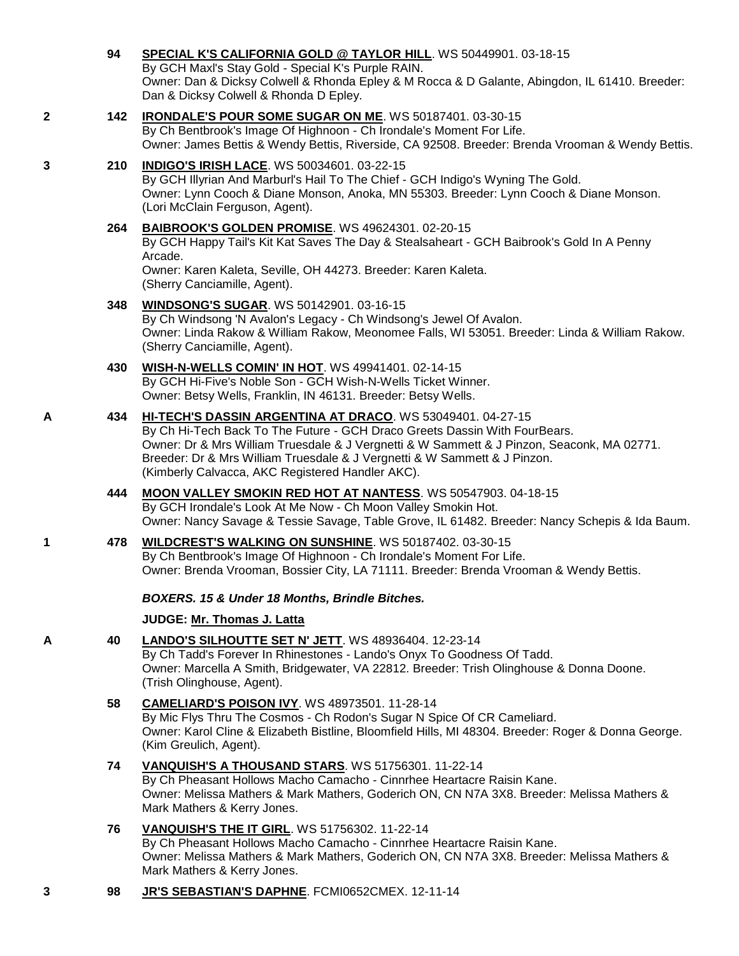# **94 [SPECIAL K'S CALIFORNIA GOLD @ TAYLOR HILL](http://infodog.com/my/drlookup2.htm?makc=WS%2050449901&mdog=Special+K%27s+California+Gold+@+Taylor+Hill&wins=all)**. WS 50449901. 03-18-15

By GCH Maxl's Stay Gold - Special K's Purple RAIN. Owner: Dan & Dicksy Colwell & Rhonda Epley & M Rocca & D Galante, Abingdon, IL 61410. Breeder: Dan & Dicksy Colwell & Rhonda D Epley.

### **2 142 [IRONDALE'S POUR SOME SUGAR ON ME](http://infodog.com/my/drlookup2.htm?makc=WS%2050187401&mdog=Irondale%27s+Pour+Some+Sugar+On+Me&wins=all)**. WS 50187401. 03-30-15 By Ch Bentbrook's Image Of Highnoon - Ch Irondale's Moment For Life. Owner: James Bettis & Wendy Bettis, Riverside, CA 92508. Breeder: Brenda Vrooman & Wendy Bettis.

## **3 210 [INDIGO'S IRISH LACE](http://infodog.com/my/drlookup2.htm?makc=WS%2050034601&mdog=Indigo%27s+Irish+Lace&wins=all)**. WS 50034601. 03-22-15

By GCH Illyrian And Marburl's Hail To The Chief - GCH Indigo's Wyning The Gold. Owner: Lynn Cooch & Diane Monson, Anoka, MN 55303. Breeder: Lynn Cooch & Diane Monson. (Lori McClain Ferguson, Agent).

## **264 [BAIBROOK'S GOLDEN PROMISE](http://infodog.com/my/drlookup2.htm?makc=WS%2049624301&mdog=Baibrook%27s+Golden+Promise&wins=all)**. WS 49624301. 02-20-15

By GCH Happy Tail's Kit Kat Saves The Day & Stealsaheart - GCH Baibrook's Gold In A Penny Arcade.

Owner: Karen Kaleta, Seville, OH 44273. Breeder: Karen Kaleta. (Sherry Canciamille, Agent).

## **348 [WINDSONG'S SUGAR](http://infodog.com/my/drlookup2.htm?makc=WS%2050142901&mdog=Windsong%27s+Sugar&wins=all)**. WS 50142901. 03-16-15

By Ch Windsong 'N Avalon's Legacy - Ch Windsong's Jewel Of Avalon. Owner: Linda Rakow & William Rakow, Meonomee Falls, WI 53051. Breeder: Linda & William Rakow. (Sherry Canciamille, Agent).

#### **430 [WISH-N-WELLS COMIN' IN HOT](http://infodog.com/my/drlookup2.htm?makc=WS%2049941401&mdog=Wish-N-Wells+Comin%27+In+Hot&wins=all)**. WS 49941401. 02-14-15 By GCH Hi-Five's Noble Son - GCH Wish-N-Wells Ticket Winner. Owner: Betsy Wells, Franklin, IN 46131. Breeder: Betsy Wells.

## **A 434 [HI-TECH'S DASSIN ARGENTINA AT DRACO](http://infodog.com/my/drlookup2.htm?makc=WS%2053049401&mdog=Hi-Tech%27s+Dassin+Argentina+At+Draco&wins=all)**. WS 53049401. 04-27-15 By Ch Hi-Tech Back To The Future - GCH Draco Greets Dassin With FourBears. Owner: Dr & Mrs William Truesdale & J Vergnetti & W Sammett & J Pinzon, Seaconk, MA 02771. Breeder: Dr & Mrs William Truesdale & J Vergnetti & W Sammett & J Pinzon. (Kimberly Calvacca, AKC Registered Handler AKC).

### **444 [MOON VALLEY SMOKIN RED HOT AT NANTESS](http://infodog.com/my/drlookup2.htm?makc=WS%2050547903&mdog=Moon+Valley+Smokin+Red+Hot+At+Nantess&wins=all)**. WS 50547903. 04-18-15 By GCH Irondale's Look At Me Now - Ch Moon Valley Smokin Hot. Owner: Nancy Savage & Tessie Savage, Table Grove, IL 61482. Breeder: Nancy Schepis & Ida Baum.

**1 478 [WILDCREST'S WALKING ON SUNSHINE](http://infodog.com/my/drlookup2.htm?makc=WS%2050187402&mdog=Wildcrest%27s+Walking+On+Sunshine&wins=all)**. WS 50187402. 03-30-15 By Ch Bentbrook's Image Of Highnoon - Ch Irondale's Moment For Life. Owner: Brenda Vrooman, Bossier City, LA 71111. Breeder: Brenda Vrooman & Wendy Bettis.

## *BOXERS. 15 & Under 18 Months, Brindle Bitches.*

## **JUDGE: [Mr. Thomas J. Latta](http://infodog.com/show/judge/jdgprofile.htm?jn=91010)**

**A 40 [LANDO'S SILHOUTTE SET N' JETT](http://infodog.com/my/drlookup2.htm?makc=WS%2048936404&mdog=Lando%27s+Silhoutte+Set+N%27+Jett&wins=all)**. WS 48936404. 12-23-14 By Ch Tadd's Forever In Rhinestones - Lando's Onyx To Goodness Of Tadd. Owner: Marcella A Smith, Bridgewater, VA 22812. Breeder: Trish Olinghouse & Donna Doone. (Trish Olinghouse, Agent).

## **58 [CAMELIARD'S POISON IVY](http://infodog.com/my/drlookup2.htm?makc=WS%2048973501&mdog=Cameliard%27s+Poison+Ivy&wins=all)**. WS 48973501. 11-28-14 By Mic Flys Thru The Cosmos - Ch Rodon's Sugar N Spice Of CR Cameliard. Owner: Karol Cline & Elizabeth Bistline, Bloomfield Hills, MI 48304. Breeder: Roger & Donna George. (Kim Greulich, Agent).

**74 [VANQUISH'S A THOUSAND STARS](http://infodog.com/my/drlookup2.htm?makc=WS%2051756301&mdog=Vanquish%27s+A+Thousand+Stars&wins=all)**. WS 51756301. 11-22-14 By Ch Pheasant Hollows Macho Camacho - Cinnrhee Heartacre Raisin Kane. Owner: Melissa Mathers & Mark Mathers, Goderich ON, CN N7A 3X8. Breeder: Melissa Mathers & Mark Mathers & Kerry Jones.

## **76 [VANQUISH'S THE IT GIRL](http://infodog.com/my/drlookup2.htm?makc=WS%2051756302&mdog=Vanquish%27s+The+It+Girl&wins=all)**. WS 51756302. 11-22-14 By Ch Pheasant Hollows Macho Camacho - Cinnrhee Heartacre Raisin Kane. Owner: Melissa Mathers & Mark Mathers, Goderich ON, CN N7A 3X8. Breeder: Melissa Mathers & Mark Mathers & Kerry Jones.

## **3 98 [JR'S SEBASTIAN'S DAPHNE](http://infodog.com/my/drlookup2.htm?makc=FCMI0652CMEX&mdog=JR%27s+Sebastian%27s+Daphne&wins=all)**. FCMI0652CMEX. 12-11-14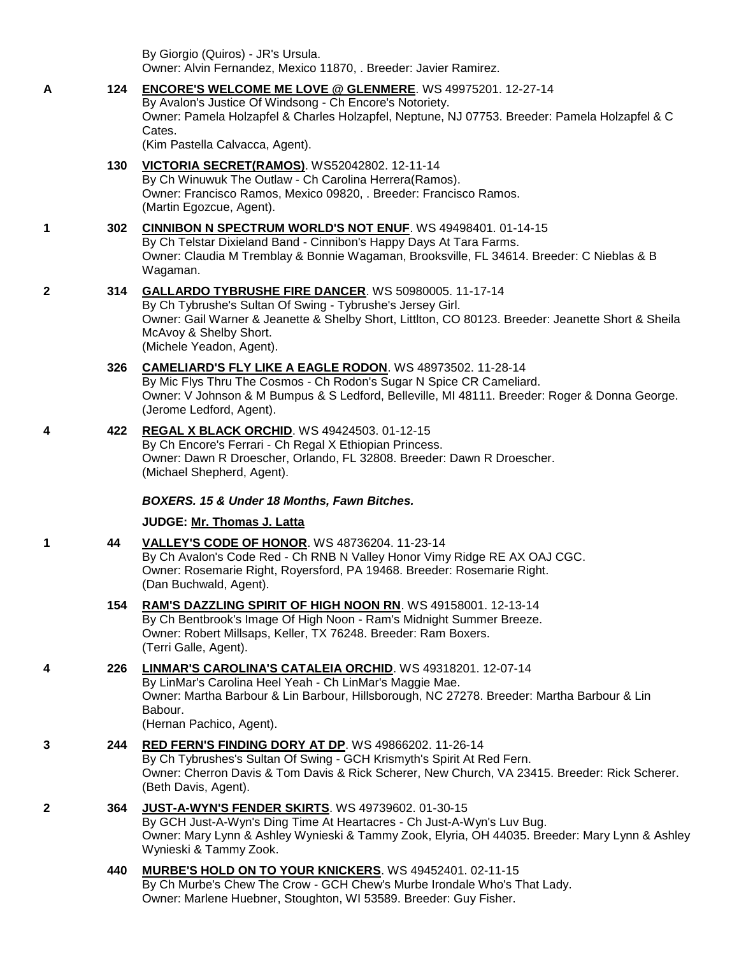By Giorgio (Quiros) - JR's Ursula. Owner: Alvin Fernandez, Mexico 11870, . Breeder: Javier Ramirez.

- **A 124 [ENCORE'S WELCOME ME LOVE @ GLENMERE](http://infodog.com/my/drlookup2.htm?makc=WS%2049975201&mdog=Encore%27s+Welcome+Me+Love+@+Glenmere&wins=all)**. WS 49975201. 12-27-14 By Avalon's Justice Of Windsong - Ch Encore's Notoriety. Owner: Pamela Holzapfel & Charles Holzapfel, Neptune, NJ 07753. Breeder: Pamela Holzapfel & C Cates. (Kim Pastella Calvacca, Agent).
	- **130 [VICTORIA SECRET\(RAMOS\)](http://infodog.com/my/drlookup2.htm?makc=WS52042802&mdog=Victoria+Secret%28Ramos%29&wins=all)**. WS52042802. 12-11-14 By Ch Winuwuk The Outlaw - Ch Carolina Herrera(Ramos). Owner: Francisco Ramos, Mexico 09820, . Breeder: Francisco Ramos. (Martin Egozcue, Agent).
- **1 302 [CINNIBON N SPECTRUM WORLD'S NOT ENUF](http://infodog.com/my/drlookup2.htm?makc=WS%2049498401&mdog=Cinnibon+N+Spectrum+World%27s+Not+Enuf&wins=all)**. WS 49498401. 01-14-15 By Ch Telstar Dixieland Band - Cinnibon's Happy Days At Tara Farms. Owner: Claudia M Tremblay & Bonnie Wagaman, Brooksville, FL 34614. Breeder: C Nieblas & B Wagaman.
- **2 314 [GALLARDO TYBRUSHE FIRE DANCER](http://infodog.com/my/drlookup2.htm?makc=WS%2050980005&mdog=Gallardo+Tybrushe+Fire+Dancer&wins=all)**. WS 50980005. 11-17-14
	- By Ch Tybrushe's Sultan Of Swing Tybrushe's Jersey Girl. Owner: Gail Warner & Jeanette & Shelby Short, Littlton, CO 80123. Breeder: Jeanette Short & Sheila McAvoy & Shelby Short. (Michele Yeadon, Agent).
	- **326 [CAMELIARD'S FLY LIKE A EAGLE RODON](http://infodog.com/my/drlookup2.htm?makc=WS%2048973502&mdog=Cameliard%27s+Fly+Like+A+Eagle+Rodon&wins=all)**. WS 48973502. 11-28-14 By Mic Flys Thru The Cosmos - Ch Rodon's Sugar N Spice CR Cameliard. Owner: V Johnson & M Bumpus & S Ledford, Belleville, MI 48111. Breeder: Roger & Donna George. (Jerome Ledford, Agent).
- **4 422 [REGAL X BLACK ORCHID](http://infodog.com/my/drlookup2.htm?makc=WS%2049424503&mdog=Regal+X+Black+Orchid&wins=all)**. WS 49424503. 01-12-15 By Ch Encore's Ferrari - Ch Regal X Ethiopian Princess. Owner: Dawn R Droescher, Orlando, FL 32808. Breeder: Dawn R Droescher. (Michael Shepherd, Agent).

### *BOXERS. 15 & Under 18 Months, Fawn Bitches.*

## **JUDGE: [Mr. Thomas J. Latta](http://infodog.com/show/judge/jdgprofile.htm?jn=91010)**

- **1 44 [VALLEY'S CODE OF HONOR](http://infodog.com/my/drlookup2.htm?makc=WS%2048736204&mdog=Valley%27s+Code+Of+Honor&wins=all)**. WS 48736204. 11-23-14 By Ch Avalon's Code Red - Ch RNB N Valley Honor Vimy Ridge RE AX OAJ CGC. Owner: Rosemarie Right, Royersford, PA 19468. Breeder: Rosemarie Right. (Dan Buchwald, Agent).
	- **154 [RAM'S DAZZLING SPIRIT OF HIGH NOON RN](http://infodog.com/my/drlookup2.htm?makc=WS%2049158001&mdog=Ram%27s+Dazzling+Spirit+Of+High+Noon+RN&wins=all)**. WS 49158001. 12-13-14 By Ch Bentbrook's Image Of High Noon - Ram's Midnight Summer Breeze. Owner: Robert Millsaps, Keller, TX 76248. Breeder: Ram Boxers. (Terri Galle, Agent).
- **4 226 [LINMAR'S CAROLINA'S CATALEIA ORCHID](http://infodog.com/my/drlookup2.htm?makc=WS%2049318201&mdog=Linmar%27s+Carolina%27s+Cataleia+Orchid&wins=all)**. WS 49318201. 12-07-14 By LinMar's Carolina Heel Yeah - Ch LinMar's Maggie Mae. Owner: Martha Barbour & Lin Barbour, Hillsborough, NC 27278. Breeder: Martha Barbour & Lin Babour. (Hernan Pachico, Agent).
- **3 244 [RED FERN'S FINDING DORY AT DP](http://infodog.com/my/drlookup2.htm?makc=WS%2049866202&mdog=Red+Fern%27s+Finding+Dory+At+DP&wins=all)**. WS 49866202. 11-26-14 By Ch Tybrushes's Sultan Of Swing - GCH Krismyth's Spirit At Red Fern. Owner: Cherron Davis & Tom Davis & Rick Scherer, New Church, VA 23415. Breeder: Rick Scherer. (Beth Davis, Agent).
- **2 364 [JUST-A-WYN'S FENDER SKIRTS](http://infodog.com/my/drlookup2.htm?makc=WS%2049739602&mdog=Just-A-Wyn%27s+Fender+Skirts&wins=all)**. WS 49739602. 01-30-15 By GCH Just-A-Wyn's Ding Time At Heartacres - Ch Just-A-Wyn's Luv Bug. Owner: Mary Lynn & Ashley Wynieski & Tammy Zook, Elyria, OH 44035. Breeder: Mary Lynn & Ashley Wynieski & Tammy Zook.
	- **440 [MURBE'S HOLD ON TO YOUR KNICKERS](http://infodog.com/my/drlookup2.htm?makc=WS%2049452401&mdog=Murbe%27s+Hold+On+To+Your+Knickers&wins=all)**. WS 49452401. 02-11-15 By Ch Murbe's Chew The Crow - GCH Chew's Murbe Irondale Who's That Lady. Owner: Marlene Huebner, Stoughton, WI 53589. Breeder: Guy Fisher.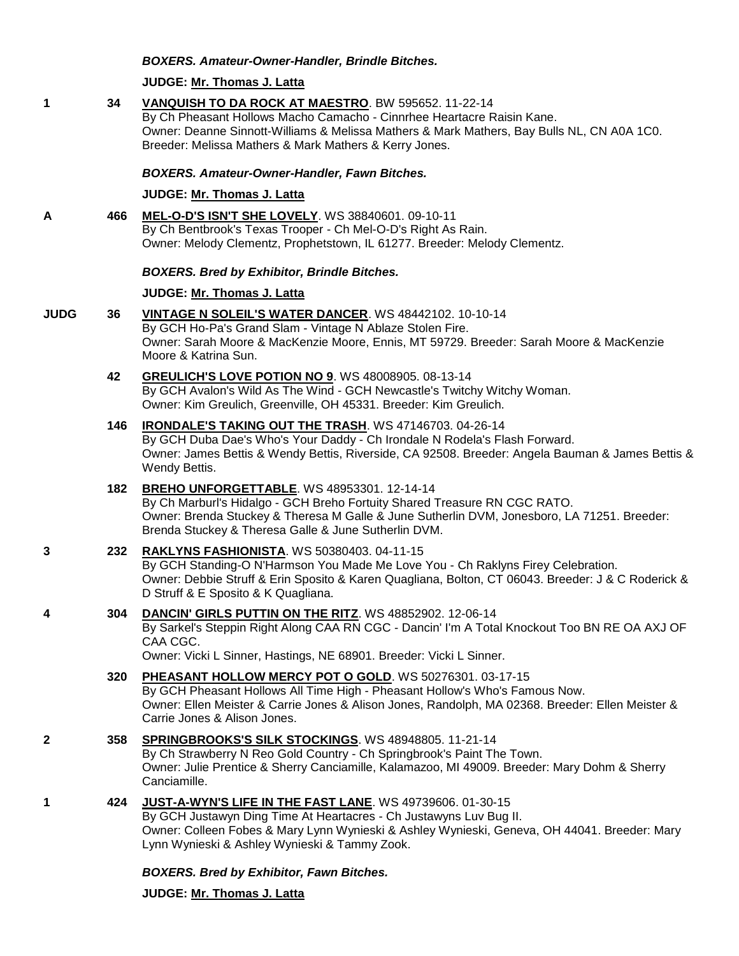### *BOXERS. Amateur-Owner-Handler, Brindle Bitches.*

### **JUDGE: [Mr. Thomas J. Latta](http://infodog.com/show/judge/jdgprofile.htm?jn=91010)**

### **1 34 [VANQUISH TO DA ROCK AT MAESTRO](http://infodog.com/my/drlookup2.htm?makc=BW%20595652&mdog=Vanquish+To+Da+Rock+At+Maestro&wins=all)**. BW 595652. 11-22-14

By Ch Pheasant Hollows Macho Camacho - Cinnrhee Heartacre Raisin Kane. Owner: Deanne Sinnott-Williams & Melissa Mathers & Mark Mathers, Bay Bulls NL, CN A0A 1C0. Breeder: Melissa Mathers & Mark Mathers & Kerry Jones.

#### *BOXERS. Amateur-Owner-Handler, Fawn Bitches.*

### **JUDGE: [Mr. Thomas J. Latta](http://infodog.com/show/judge/jdgprofile.htm?jn=91010)**

**A 466 [MEL-O-D'S ISN'T SHE LOVELY](http://infodog.com/my/drlookup2.htm?makc=WS%2038840601&mdog=Mel-O-D%27s+Isn%27t+She+Lovely&wins=all)**. WS 38840601. 09-10-11 By Ch Bentbrook's Texas Trooper - Ch Mel-O-D's Right As Rain. Owner: Melody Clementz, Prophetstown, IL 61277. Breeder: Melody Clementz.

### *BOXERS. Bred by Exhibitor, Brindle Bitches.*

### **JUDGE: [Mr. Thomas J. Latta](http://infodog.com/show/judge/jdgprofile.htm?jn=91010)**

- **JUDG 36 [VINTAGE N SOLEIL'S WATER DANCER](http://infodog.com/my/drlookup2.htm?makc=WS%2048442102&mdog=Vintage+N+Soleil%27s+Water+Dancer&wins=all)**. WS 48442102. 10-10-14 By GCH Ho-Pa's Grand Slam - Vintage N Ablaze Stolen Fire. Owner: Sarah Moore & MacKenzie Moore, Ennis, MT 59729. Breeder: Sarah Moore & MacKenzie Moore & Katrina Sun.
	- **42 [GREULICH'S LOVE POTION NO 9](http://infodog.com/my/drlookup2.htm?makc=WS%2048008905&mdog=Greulich%27s+Love+Potion+No+9&wins=all)**. WS 48008905. 08-13-14 By GCH Avalon's Wild As The Wind - GCH Newcastle's Twitchy Witchy Woman. Owner: Kim Greulich, Greenville, OH 45331. Breeder: Kim Greulich.
	- **146 [IRONDALE'S TAKING OUT THE TRASH](http://infodog.com/my/drlookup2.htm?makc=WS%2047146703&mdog=Irondale%27s+Taking+Out+The+Trash&wins=all)**. WS 47146703. 04-26-14

By GCH Duba Dae's Who's Your Daddy - Ch Irondale N Rodela's Flash Forward. Owner: James Bettis & Wendy Bettis, Riverside, CA 92508. Breeder: Angela Bauman & James Bettis & Wendy Bettis.

## **182 [BREHO UNFORGETTABLE](http://infodog.com/my/drlookup2.htm?makc=WS%2048953301&mdog=Breho+Unforgettable&wins=all)**. WS 48953301. 12-14-14

By Ch Marburl's Hidalgo - GCH Breho Fortuity Shared Treasure RN CGC RATO. Owner: Brenda Stuckey & Theresa M Galle & June Sutherlin DVM, Jonesboro, LA 71251. Breeder: Brenda Stuckey & Theresa Galle & June Sutherlin DVM.

### **3 232 [RAKLYNS FASHIONISTA](http://infodog.com/my/drlookup2.htm?makc=WS%2050380403&mdog=Raklyns+Fashionista&wins=all)**. WS 50380403. 04-11-15

By GCH Standing-O N'Harmson You Made Me Love You - Ch Raklyns Firey Celebration. Owner: Debbie Struff & Erin Sposito & Karen Quagliana, Bolton, CT 06043. Breeder: J & C Roderick & D Struff & E Sposito & K Quagliana.

**4 304 [DANCIN' GIRLS PUTTIN ON THE RITZ](http://infodog.com/my/drlookup2.htm?makc=WS%2048852902&mdog=Dancin%27+Girls+Puttin+On+The+Ritz&wins=all)**. WS 48852902. 12-06-14

By Sarkel's Steppin Right Along CAA RN CGC - Dancin' I'm A Total Knockout Too BN RE OA AXJ OF CAA CGC.

Owner: Vicki L Sinner, Hastings, NE 68901. Breeder: Vicki L Sinner.

## **320 [PHEASANT HOLLOW MERCY POT O GOLD](http://infodog.com/my/drlookup2.htm?makc=WS%2050276301&mdog=Pheasant+Hollow+Mercy+Pot+O+Gold&wins=all)**. WS 50276301. 03-17-15 By GCH Pheasant Hollows All Time High - Pheasant Hollow's Who's Famous Now. Owner: Ellen Meister & Carrie Jones & Alison Jones, Randolph, MA 02368. Breeder: Ellen Meister & Carrie Jones & Alison Jones.

### **2 358 [SPRINGBROOKS'S SILK STOCKINGS](http://infodog.com/my/drlookup2.htm?makc=WS%2048948805&mdog=Springbrooks%27s+Silk+Stockings&wins=all)**. WS 48948805. 11-21-14 By Ch Strawberry N Reo Gold Country - Ch Springbrook's Paint The Town. Owner: Julie Prentice & Sherry Canciamille, Kalamazoo, MI 49009. Breeder: Mary Dohm & Sherry Canciamille.

**1 424 [JUST-A-WYN'S LIFE IN THE FAST LANE](http://infodog.com/my/drlookup2.htm?makc=WS%2049739606&mdog=Just-A-Wyn%27s+Life+In+The+Fast+Lane&wins=all)**. WS 49739606. 01-30-15

By GCH Justawyn Ding Time At Heartacres - Ch Justawyns Luv Bug II. Owner: Colleen Fobes & Mary Lynn Wynieski & Ashley Wynieski, Geneva, OH 44041. Breeder: Mary Lynn Wynieski & Ashley Wynieski & Tammy Zook.

### *BOXERS. Bred by Exhibitor, Fawn Bitches.*

**JUDGE: [Mr. Thomas J. Latta](http://infodog.com/show/judge/jdgprofile.htm?jn=91010)**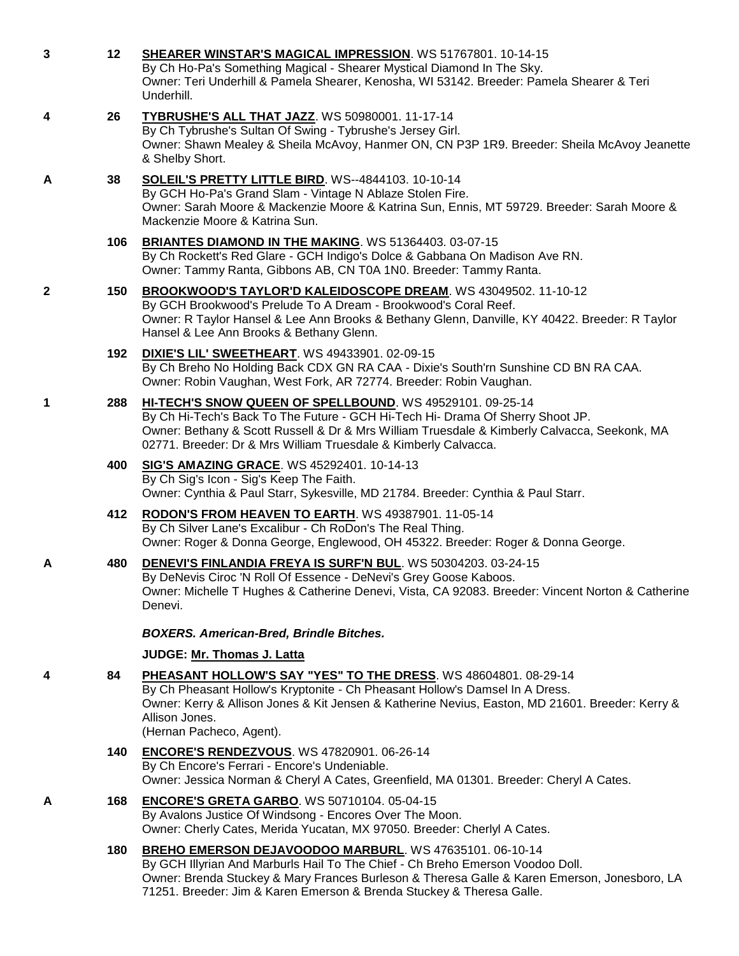| 3 | 12  | SHEARER WINSTAR'S MAGICAL IMPRESSION. WS 51767801. 10-14-15<br>By Ch Ho-Pa's Something Magical - Shearer Mystical Diamond In The Sky.<br>Owner: Teri Underhill & Pamela Shearer, Kenosha, WI 53142. Breeder: Pamela Shearer & Teri<br>Underhill.                                                                  |
|---|-----|-------------------------------------------------------------------------------------------------------------------------------------------------------------------------------------------------------------------------------------------------------------------------------------------------------------------|
| 4 | 26  | TYBRUSHE'S ALL THAT JAZZ. WS 50980001. 11-17-14<br>By Ch Tybrushe's Sultan Of Swing - Tybrushe's Jersey Girl.<br>Owner: Shawn Mealey & Sheila McAvoy, Hanmer ON, CN P3P 1R9. Breeder: Sheila McAvoy Jeanette<br>& Shelby Short.                                                                                   |
| A | 38  | <b>SOLEIL'S PRETTY LITTLE BIRD. WS--4844103. 10-10-14</b><br>By GCH Ho-Pa's Grand Slam - Vintage N Ablaze Stolen Fire.<br>Owner: Sarah Moore & Mackenzie Moore & Katrina Sun, Ennis, MT 59729. Breeder: Sarah Moore &<br>Mackenzie Moore & Katrina Sun.                                                           |
|   | 106 | BRIANTES DIAMOND IN THE MAKING. WS 51364403. 03-07-15<br>By Ch Rockett's Red Glare - GCH Indigo's Dolce & Gabbana On Madison Ave RN.<br>Owner: Tammy Ranta, Gibbons AB, CN T0A 1N0. Breeder: Tammy Ranta.                                                                                                         |
| 2 | 150 | BROOKWOOD'S TAYLOR'D KALEIDOSCOPE DREAM. WS 43049502. 11-10-12<br>By GCH Brookwood's Prelude To A Dream - Brookwood's Coral Reef.<br>Owner: R Taylor Hansel & Lee Ann Brooks & Bethany Glenn, Danville, KY 40422. Breeder: R Taylor<br>Hansel & Lee Ann Brooks & Bethany Glenn.                                   |
|   | 192 | <b>DIXIE'S LIL' SWEETHEART. WS 49433901. 02-09-15</b><br>By Ch Breho No Holding Back CDX GN RA CAA - Dixie's South'rn Sunshine CD BN RA CAA.<br>Owner: Robin Vaughan, West Fork, AR 72774. Breeder: Robin Vaughan.                                                                                                |
| 1 | 288 | HI-TECH'S SNOW QUEEN OF SPELLBOUND. WS 49529101. 09-25-14<br>By Ch Hi-Tech's Back To The Future - GCH Hi-Tech Hi- Drama Of Sherry Shoot JP.<br>Owner: Bethany & Scott Russell & Dr & Mrs William Truesdale & Kimberly Calvacca, Seekonk, MA<br>02771. Breeder: Dr & Mrs William Truesdale & Kimberly Calvacca.    |
|   | 400 | <b>SIG'S AMAZING GRACE. WS 45292401. 10-14-13</b><br>By Ch Sig's Icon - Sig's Keep The Faith.<br>Owner: Cynthia & Paul Starr, Sykesville, MD 21784. Breeder: Cynthia & Paul Starr.                                                                                                                                |
|   | 412 | RODON'S FROM HEAVEN TO EARTH. WS 49387901. 11-05-14<br>By Ch Silver Lane's Excalibur - Ch RoDon's The Real Thing.<br>Owner: Roger & Donna George, Englewood, OH 45322. Breeder: Roger & Donna George.                                                                                                             |
| A | 480 | <b>DENEVI'S FINLANDIA FREYA IS SURF'N BUL. WS 50304203. 03-24-15</b><br>By DeNevis Ciroc 'N Roll Of Essence - DeNevi's Grey Goose Kaboos.<br>Owner: Michelle T Hughes & Catherine Denevi, Vista, CA 92083. Breeder: Vincent Norton & Catherine<br>Denevi.                                                         |
|   |     | <b>BOXERS. American-Bred, Brindle Bitches.</b>                                                                                                                                                                                                                                                                    |
|   |     | JUDGE: Mr. Thomas J. Latta                                                                                                                                                                                                                                                                                        |
| 4 | 84  | PHEASANT HOLLOW'S SAY "YES" TO THE DRESS. WS 48604801. 08-29-14<br>By Ch Pheasant Hollow's Kryptonite - Ch Pheasant Hollow's Damsel In A Dress.<br>Owner: Kerry & Allison Jones & Kit Jensen & Katherine Nevius, Easton, MD 21601. Breeder: Kerry &<br>Allison Jones.<br>(Hernan Pacheco, Agent).                 |
|   | 140 | <b>ENCORE'S RENDEZVOUS. WS 47820901. 06-26-14</b><br>By Ch Encore's Ferrari - Encore's Undeniable.<br>Owner: Jessica Norman & Cheryl A Cates, Greenfield, MA 01301. Breeder: Cheryl A Cates.                                                                                                                      |
| Α | 168 | <b>ENCORE'S GRETA GARBO. WS 50710104. 05-04-15</b><br>By Avalons Justice Of Windsong - Encores Over The Moon.<br>Owner: Cherly Cates, Merida Yucatan, MX 97050. Breeder: Cherlyl A Cates.                                                                                                                         |
|   | 180 | BREHO EMERSON DEJAVOODOO MARBURL. WS 47635101.06-10-14<br>By GCH Illyrian And Marburls Hail To The Chief - Ch Breho Emerson Voodoo Doll.<br>Owner: Brenda Stuckey & Mary Frances Burleson & Theresa Galle & Karen Emerson, Jonesboro, LA<br>71251. Breeder: Jim & Karen Emerson & Brenda Stuckey & Theresa Galle. |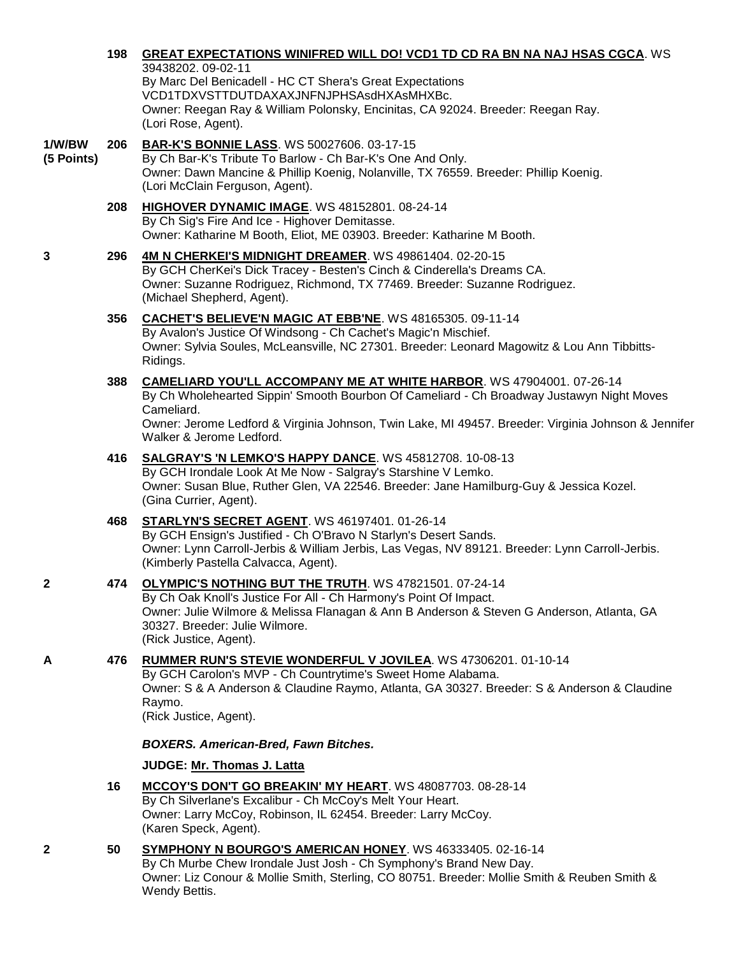|                      |     | 39438202.09-02-11<br>By Marc Del Benicadell - HC CT Shera's Great Expectations<br>VCD1TDXVSTTDUTDAXAXJNFNJPHSAsdHXAsMHXBc.<br>Owner: Reegan Ray & William Polonsky, Encinitas, CA 92024. Breeder: Reegan Ray.<br>(Lori Rose, Agent).                                                                                      |
|----------------------|-----|---------------------------------------------------------------------------------------------------------------------------------------------------------------------------------------------------------------------------------------------------------------------------------------------------------------------------|
| 1/W/BW<br>(5 Points) | 206 | <b>BAR-K'S BONNIE LASS. WS 50027606. 03-17-15</b><br>By Ch Bar-K's Tribute To Barlow - Ch Bar-K's One And Only.<br>Owner: Dawn Mancine & Phillip Koenig, Nolanville, TX 76559. Breeder: Phillip Koenig.<br>(Lori McClain Ferguson, Agent).                                                                                |
|                      | 208 | HIGHOVER DYNAMIC IMAGE. WS 48152801. 08-24-14<br>By Ch Sig's Fire And Ice - Highover Demitasse.<br>Owner: Katharine M Booth, Eliot, ME 03903. Breeder: Katharine M Booth.                                                                                                                                                 |
| 3                    | 296 | 4M N CHERKEI'S MIDNIGHT DREAMER. WS 49861404. 02-20-15<br>By GCH CherKei's Dick Tracey - Besten's Cinch & Cinderella's Dreams CA.<br>Owner: Suzanne Rodriguez, Richmond, TX 77469. Breeder: Suzanne Rodriguez.<br>(Michael Shepherd, Agent).                                                                              |
|                      | 356 | CACHET'S BELIEVE'N MAGIC AT EBB'NE. WS 48165305. 09-11-14<br>By Avalon's Justice Of Windsong - Ch Cachet's Magic'n Mischief.<br>Owner: Sylvia Soules, McLeansville, NC 27301. Breeder: Leonard Magowitz & Lou Ann Tibbitts-<br>Ridings.                                                                                   |
|                      | 388 | <b>CAMELIARD YOU'LL ACCOMPANY ME AT WHITE HARBOR. WS 47904001. 07-26-14</b><br>By Ch Wholehearted Sippin' Smooth Bourbon Of Cameliard - Ch Broadway Justawyn Night Moves<br>Cameliard.<br>Owner: Jerome Ledford & Virginia Johnson, Twin Lake, MI 49457. Breeder: Virginia Johnson & Jennifer<br>Walker & Jerome Ledford. |
|                      | 416 | SALGRAY'S 'N LEMKO'S HAPPY DANCE. WS 45812708. 10-08-13<br>By GCH Irondale Look At Me Now - Salgray's Starshine V Lemko.<br>Owner: Susan Blue, Ruther Glen, VA 22546. Breeder: Jane Hamilburg-Guy & Jessica Kozel.<br>(Gina Currier, Agent).                                                                              |
|                      | 468 | STARLYN'S SECRET AGENT. WS 46197401. 01-26-14<br>By GCH Ensign's Justified - Ch O'Bravo N Starlyn's Desert Sands.<br>Owner: Lynn Carroll-Jerbis & William Jerbis, Las Vegas, NV 89121. Breeder: Lynn Carroll-Jerbis.<br>(Kimberly Pastella Calvacca, Agent).                                                              |
| 2                    | 474 | OLYMPIC'S NOTHING BUT THE TRUTH. WS 47821501. 07-24-14<br>By Ch Oak Knoll's Justice For All - Ch Harmony's Point Of Impact.<br>Owner: Julie Wilmore & Melissa Flanagan & Ann B Anderson & Steven G Anderson, Atlanta, GA<br>30327. Breeder: Julie Wilmore.<br>(Rick Justice, Agent).                                      |
| Α                    | 476 | RUMMER RUN'S STEVIE WONDERFUL V JOVILEA. WS 47306201. 01-10-14<br>By GCH Carolon's MVP - Ch Countrytime's Sweet Home Alabama.<br>Owner: S & A Anderson & Claudine Raymo, Atlanta, GA 30327. Breeder: S & Anderson & Claudine<br>Raymo.<br>(Rick Justice, Agent).                                                          |
|                      |     | <b>BOXERS. American-Bred, Fawn Bitches.</b>                                                                                                                                                                                                                                                                               |
|                      |     | JUDGE: Mr. Thomas J. Latta                                                                                                                                                                                                                                                                                                |
|                      | 16  | MCCOY'S DON'T GO BREAKIN' MY HEART. WS 48087703. 08-28-14<br>By Ch Silverlane's Excalibur - Ch McCoy's Melt Your Heart.<br>Owner: Larry McCoy, Robinson, IL 62454. Breeder: Larry McCoy.<br>(Karen Speck, Agent).                                                                                                         |
| 2                    | 50  | SYMPHONY N BOURGO'S AMERICAN HONEY. WS 46333405. 02-16-14<br>By Ch Murbe Chew Irondale Just Josh - Ch Symphony's Brand New Day.<br>Owner: Liz Conour & Mollie Smith, Sterling, CO 80751. Breeder: Mollie Smith & Reuben Smith &<br>Wendy Bettis.                                                                          |
|                      |     |                                                                                                                                                                                                                                                                                                                           |

**198 [GREAT EXPECTATIONS WINIFRED WILL DO! VCD1 TD CD RA BN NA NAJ HSAS CGCA](http://infodog.com/my/drlookup2.htm?makc=WS%2039438202&mdog=Great+Expectations+Winifred+Will+Do%21+VCD1+TD+CD+RA+BN+NA+NAJ+HSAs+CGCA&wins=all)**. WS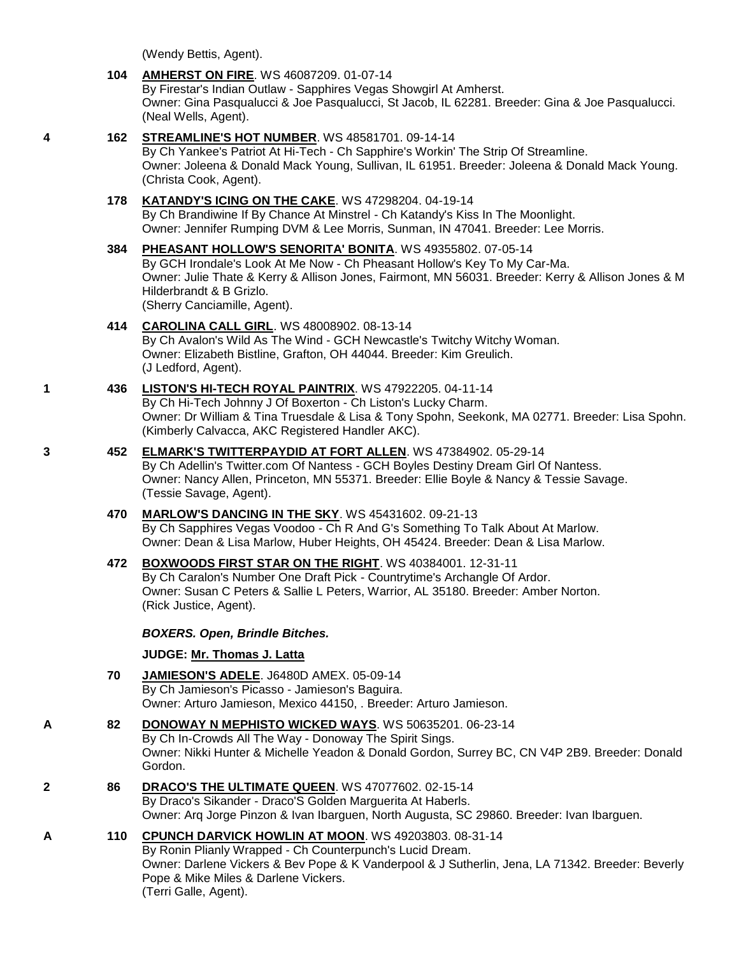(Wendy Bettis, Agent).

## **104 [AMHERST ON FIRE](http://infodog.com/my/drlookup2.htm?makc=WS%2046087209&mdog=Amherst+On+Fire&wins=all)**. WS 46087209. 01-07-14

By Firestar's Indian Outlaw - Sapphires Vegas Showgirl At Amherst. Owner: Gina Pasqualucci & Joe Pasqualucci, St Jacob, IL 62281. Breeder: Gina & Joe Pasqualucci. (Neal Wells, Agent).

## **4 162 [STREAMLINE'S HOT NUMBER](http://infodog.com/my/drlookup2.htm?makc=WS%2048581701&mdog=Streamline%27s+Hot+Number&wins=all)**. WS 48581701. 09-14-14

By Ch Yankee's Patriot At Hi-Tech - Ch Sapphire's Workin' The Strip Of Streamline. Owner: Joleena & Donald Mack Young, Sullivan, IL 61951. Breeder: Joleena & Donald Mack Young. (Christa Cook, Agent).

## **178 [KATANDY'S ICING ON THE CAKE](http://infodog.com/my/drlookup2.htm?makc=WS%2047298204&mdog=Katandy%27s+Icing+On+The+Cake&wins=all)**. WS 47298204. 04-19-14

By Ch Brandiwine If By Chance At Minstrel - Ch Katandy's Kiss In The Moonlight. Owner: Jennifer Rumping DVM & Lee Morris, Sunman, IN 47041. Breeder: Lee Morris.

## **384 [PHEASANT HOLLOW'S SENORITA' BONITA](http://infodog.com/my/drlookup2.htm?makc=WS%2049355802&mdog=Pheasant+Hollow%27s+Senorita%27+Bonita&wins=all)**. WS 49355802. 07-05-14 By GCH Irondale's Look At Me Now - Ch Pheasant Hollow's Key To My Car-Ma. Owner: Julie Thate & Kerry & Allison Jones, Fairmont, MN 56031. Breeder: Kerry & Allison Jones & M Hilderbrandt & B Grizlo. (Sherry Canciamille, Agent).

### **414 [CAROLINA CALL GIRL](http://infodog.com/my/drlookup2.htm?makc=WS%2048008902&mdog=Carolina+Call+Girl&wins=all)**. WS 48008902. 08-13-14 By Ch Avalon's Wild As The Wind - GCH Newcastle's Twitchy Witchy Woman. Owner: Elizabeth Bistline, Grafton, OH 44044. Breeder: Kim Greulich. (J Ledford, Agent).

### **1 436 [LISTON'S HI-TECH ROYAL PAINTRIX](http://infodog.com/my/drlookup2.htm?makc=WS%2047922205&mdog=Liston%27s+Hi-Tech+Royal+Paintrix&wins=all)**. WS 47922205. 04-11-14 By Ch Hi-Tech Johnny J Of Boxerton - Ch Liston's Lucky Charm. Owner: Dr William & Tina Truesdale & Lisa & Tony Spohn, Seekonk, MA 02771. Breeder: Lisa Spohn. (Kimberly Calvacca, AKC Registered Handler AKC).

**3 452 [ELMARK'S TWITTERPAYDID AT FORT ALLEN](http://infodog.com/my/drlookup2.htm?makc=WS%2047384902&mdog=Elmark%27s+Twitterpaydid+At+Fort+Allen&wins=all)**. WS 47384902. 05-29-14 By Ch Adellin's Twitter.com Of Nantess - GCH Boyles Destiny Dream Girl Of Nantess. Owner: Nancy Allen, Princeton, MN 55371. Breeder: Ellie Boyle & Nancy & Tessie Savage. (Tessie Savage, Agent).

## **470 [MARLOW'S DANCING IN THE SKY](http://infodog.com/my/drlookup2.htm?makc=WS%2045431602&mdog=Marlow%27s+Dancing+In+The+Sky&wins=all)**. WS 45431602. 09-21-13 By Ch Sapphires Vegas Voodoo - Ch R And G's Something To Talk About At Marlow. Owner: Dean & Lisa Marlow, Huber Heights, OH 45424. Breeder: Dean & Lisa Marlow.

## **472 [BOXWOODS FIRST STAR ON THE RIGHT](http://infodog.com/my/drlookup2.htm?makc=WS%2040384001&mdog=Boxwoods+First+Star+On+The+Right&wins=all)**. WS 40384001. 12-31-11 By Ch Caralon's Number One Draft Pick - Countrytime's Archangle Of Ardor. Owner: Susan C Peters & Sallie L Peters, Warrior, AL 35180. Breeder: Amber Norton. (Rick Justice, Agent).

## *BOXERS. Open, Brindle Bitches.*

## **JUDGE: [Mr. Thomas J. Latta](http://infodog.com/show/judge/jdgprofile.htm?jn=91010)**

- **70 [JAMIESON'S ADELE](http://infodog.com/my/drlookup2.htm?makc=J6480D%20AMEX&mdog=Jamieson%27s+Adele&wins=all)**. J6480D AMEX. 05-09-14 By Ch Jamieson's Picasso - Jamieson's Baguira. Owner: Arturo Jamieson, Mexico 44150, . Breeder: Arturo Jamieson.
- **A 82 [DONOWAY N MEPHISTO WICKED WAYS](http://infodog.com/my/drlookup2.htm?makc=WS%2050635201&mdog=Donoway+N+Mephisto+Wicked+Ways&wins=all)**. WS 50635201. 06-23-14 By Ch In-Crowds All The Way - Donoway The Spirit Sings. Owner: Nikki Hunter & Michelle Yeadon & Donald Gordon, Surrey BC, CN V4P 2B9. Breeder: Donald Gordon.
- **2 86 [DRACO'S THE ULTIMATE QUEEN](http://infodog.com/my/drlookup2.htm?makc=WS%2047077602&mdog=Draco%27s+The+Ultimate+Queen&wins=all)**. WS 47077602. 02-15-14 By Draco's Sikander - Draco'S Golden Marguerita At Haberls. Owner: Arq Jorge Pinzon & Ivan Ibarguen, North Augusta, SC 29860. Breeder: Ivan Ibarguen.

### **A 110 [CPUNCH DARVICK HOWLIN AT MOON](http://infodog.com/my/drlookup2.htm?makc=WS%2049203803&mdog=CPunch+Darvick+Howlin+At+Moon&wins=all)**. WS 49203803. 08-31-14 By Ronin Plianly Wrapped - Ch Counterpunch's Lucid Dream. Owner: Darlene Vickers & Bev Pope & K Vanderpool & J Sutherlin, Jena, LA 71342. Breeder: Beverly Pope & Mike Miles & Darlene Vickers. (Terri Galle, Agent).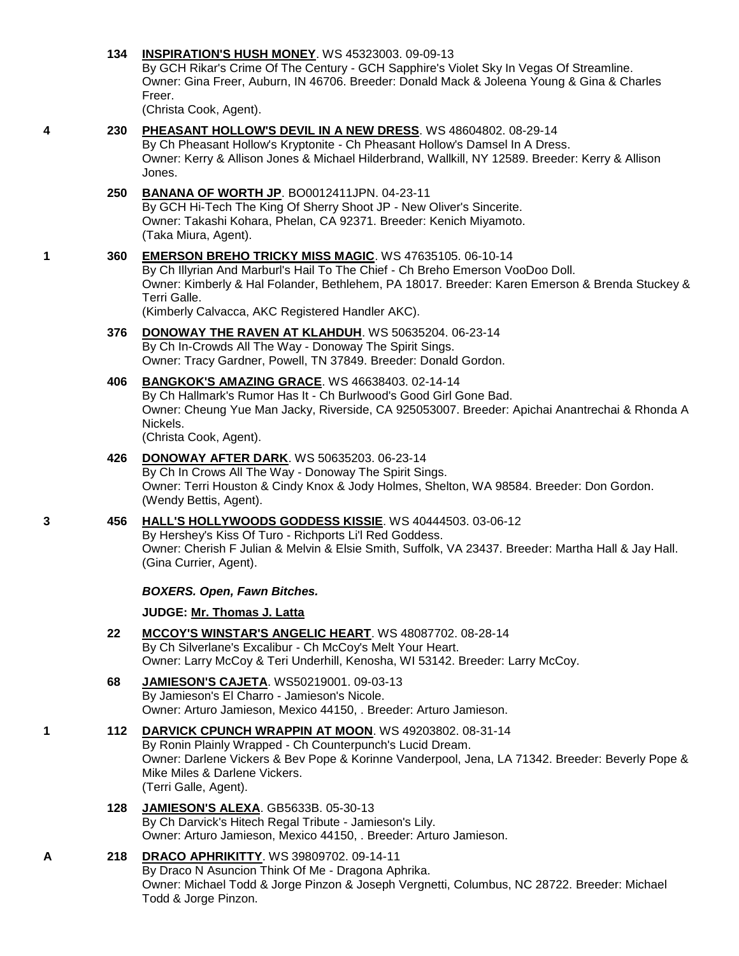## **134 [INSPIRATION'S HUSH MONEY](http://infodog.com/my/drlookup2.htm?makc=WS%2045323003&mdog=Inspiration%27s+Hush+Money&wins=all)**. WS 45323003. 09-09-13

By GCH Rikar's Crime Of The Century - GCH Sapphire's Violet Sky In Vegas Of Streamline. Owner: Gina Freer, Auburn, IN 46706. Breeder: Donald Mack & Joleena Young & Gina & Charles Freer.

(Christa Cook, Agent).

- 
- **4 230 [PHEASANT HOLLOW'S DEVIL IN A NEW DRESS](http://infodog.com/my/drlookup2.htm?makc=WS%2048604802&mdog=Pheasant+Hollow%27s+Devil+In+A+New+Dress&wins=all)**. WS 48604802. 08-29-14 By Ch Pheasant Hollow's Kryptonite - Ch Pheasant Hollow's Damsel In A Dress. Owner: Kerry & Allison Jones & Michael Hilderbrand, Wallkill, NY 12589. Breeder: Kerry & Allison Jones. **250 [BANANA OF WORTH JP](http://infodog.com/my/drlookup2.htm?makc=BO0012411JPN&mdog=Banana+Of+Worth+JP&wins=all)**. BO0012411JPN. 04-23-11

By GCH Hi-Tech The King Of Sherry Shoot JP - New Oliver's Sincerite. Owner: Takashi Kohara, Phelan, CA 92371. Breeder: Kenich Miyamoto. (Taka Miura, Agent).

## **1 360 [EMERSON BREHO TRICKY MISS MAGIC](http://infodog.com/my/drlookup2.htm?makc=WS%2047635105&mdog=Emerson+Breho+Tricky+Miss+Magic&wins=all)**. WS 47635105. 06-10-14

By Ch Illyrian And Marburl's Hail To The Chief - Ch Breho Emerson VooDoo Doll. Owner: Kimberly & Hal Folander, Bethlehem, PA 18017. Breeder: Karen Emerson & Brenda Stuckey & Terri Galle.

(Kimberly Calvacca, AKC Registered Handler AKC).

**376 [DONOWAY THE RAVEN AT KLAHDUH](http://infodog.com/my/drlookup2.htm?makc=WS%2050635204&mdog=Donoway+The+Raven+At+Klahduh&wins=all)**. WS 50635204. 06-23-14 By Ch In-Crowds All The Way - Donoway The Spirit Sings. Owner: Tracy Gardner, Powell, TN 37849. Breeder: Donald Gordon.

### **406 [BANGKOK'S AMAZING GRACE](http://infodog.com/my/drlookup2.htm?makc=WS%2046638403&mdog=Bangkok%27s+Amazing+Grace&wins=all)**. WS 46638403. 02-14-14 By Ch Hallmark's Rumor Has It - Ch Burlwood's Good Girl Gone Bad. Owner: Cheung Yue Man Jacky, Riverside, CA 925053007. Breeder: Apichai Anantrechai & Rhonda A Nickels. (Christa Cook, Agent).

## **426 [DONOWAY AFTER DARK](http://infodog.com/my/drlookup2.htm?makc=WS%2050635203&mdog=Donoway+After+Dark&wins=all)**. WS 50635203. 06-23-14 By Ch In Crows All The Way - Donoway The Spirit Sings. Owner: Terri Houston & Cindy Knox & Jody Holmes, Shelton, WA 98584. Breeder: Don Gordon. (Wendy Bettis, Agent).

# **3 456 [HALL'S HOLLYWOODS GODDESS KISSIE](http://infodog.com/my/drlookup2.htm?makc=WS%2040444503&mdog=Hall%27s+Hollywoods+Goddess+Kissie&wins=all)**. WS 40444503. 03-06-12

By Hershey's Kiss Of Turo - Richports Li'l Red Goddess. Owner: Cherish F Julian & Melvin & Elsie Smith, Suffolk, VA 23437. Breeder: Martha Hall & Jay Hall. (Gina Currier, Agent).

## *BOXERS. Open, Fawn Bitches.*

# **JUDGE: [Mr. Thomas J. Latta](http://infodog.com/show/judge/jdgprofile.htm?jn=91010)**

- **22 [MCCOY'S WINSTAR'S ANGELIC HEART](http://infodog.com/my/drlookup2.htm?makc=WS%2048087702&mdog=McCoy%27s+Winstar%27s+Angelic+Heart&wins=all)**. WS 48087702. 08-28-14 By Ch Silverlane's Excalibur - Ch McCoy's Melt Your Heart. Owner: Larry McCoy & Teri Underhill, Kenosha, WI 53142. Breeder: Larry McCoy.
- **68 [JAMIESON'S CAJETA](http://infodog.com/my/drlookup2.htm?makc=WS50219001&mdog=Jamieson%27s+Cajeta&wins=all)**. WS50219001. 09-03-13 By Jamieson's El Charro - Jamieson's Nicole. Owner: Arturo Jamieson, Mexico 44150, . Breeder: Arturo Jamieson.
- **1 112 [DARVICK CPUNCH WRAPPIN AT MOON](http://infodog.com/my/drlookup2.htm?makc=WS%2049203802&mdog=Darvick+CPunch+Wrappin+At+Moon&wins=all)**. WS 49203802. 08-31-14 By Ronin Plainly Wrapped - Ch Counterpunch's Lucid Dream. Owner: Darlene Vickers & Bev Pope & Korinne Vanderpool, Jena, LA 71342. Breeder: Beverly Pope & Mike Miles & Darlene Vickers. (Terri Galle, Agent).
	- **128 [JAMIESON'S ALEXA](http://infodog.com/my/drlookup2.htm?makc=GB5633B&mdog=Jamieson%27s+Alexa&wins=all)**. GB5633B. 05-30-13 By Ch Darvick's Hitech Regal Tribute - Jamieson's Lily. Owner: Arturo Jamieson, Mexico 44150, . Breeder: Arturo Jamieson.

# **A 218 [DRACO APHRIKITTY](http://infodog.com/my/drlookup2.htm?makc=WS%2039809702&mdog=Draco+Aphrikitty&wins=all)**. WS 39809702. 09-14-11

By Draco N Asuncion Think Of Me - Dragona Aphrika. Owner: Michael Todd & Jorge Pinzon & Joseph Vergnetti, Columbus, NC 28722. Breeder: Michael Todd & Jorge Pinzon.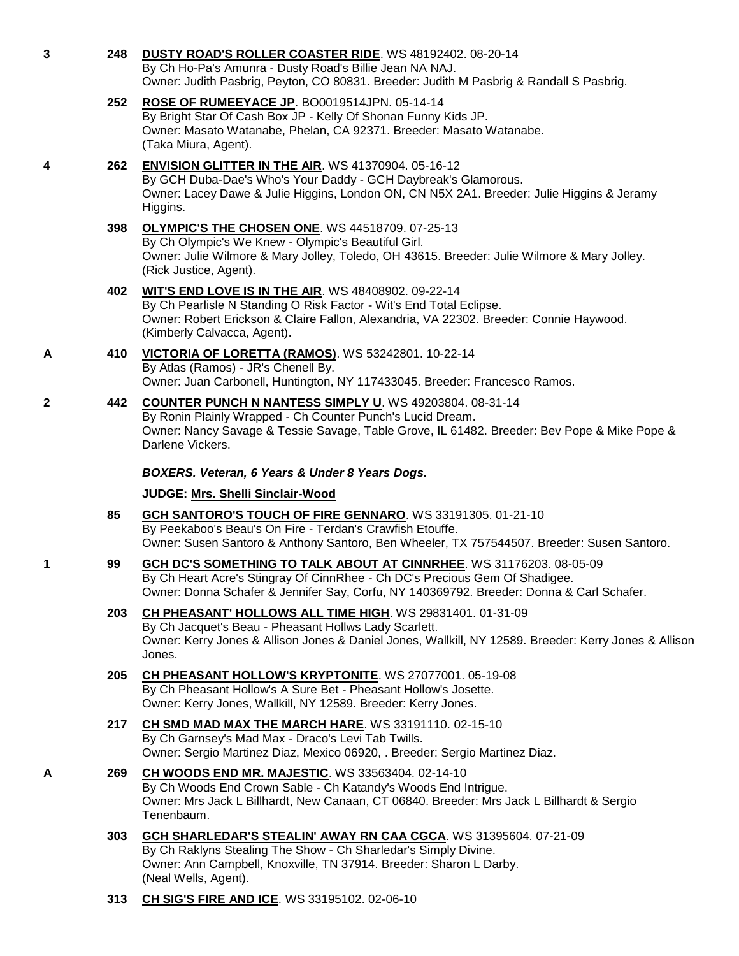| $\mathbf{3}$ | 248        | DUSTY ROAD'S ROLLER COASTER RIDE. WS 48192402. 08-20-14<br>By Ch Ho-Pa's Amunra - Dusty Road's Billie Jean NA NAJ.<br>Owner: Judith Pasbrig, Peyton, CO 80831. Breeder: Judith M Pasbrig & Randall S Pasbrig.                                       |
|--------------|------------|-----------------------------------------------------------------------------------------------------------------------------------------------------------------------------------------------------------------------------------------------------|
|              | 252        | ROSE OF RUMEEYACE JP. BO0019514JPN. 05-14-14<br>By Bright Star Of Cash Box JP - Kelly Of Shonan Funny Kids JP.<br>Owner: Masato Watanabe, Phelan, CA 92371. Breeder: Masato Watanabe.<br>(Taka Miura, Agent).                                       |
| 4            | 262        | <b>ENVISION GLITTER IN THE AIR. WS 41370904. 05-16-12</b><br>By GCH Duba-Dae's Who's Your Daddy - GCH Daybreak's Glamorous.<br>Owner: Lacey Dawe & Julie Higgins, London ON, CN N5X 2A1. Breeder: Julie Higgins & Jeramy<br>Higgins.                |
|              | 398        | OLYMPIC'S THE CHOSEN ONE. WS 44518709. 07-25-13<br>By Ch Olympic's We Knew - Olympic's Beautiful Girl.<br>Owner: Julie Wilmore & Mary Jolley, Toledo, OH 43615. Breeder: Julie Wilmore & Mary Jolley.<br>(Rick Justice, Agent).                     |
|              | 402        | WIT'S END LOVE IS IN THE AIR. WS 48408902. 09-22-14<br>By Ch Pearlisle N Standing O Risk Factor - Wit's End Total Eclipse.<br>Owner: Robert Erickson & Claire Fallon, Alexandria, VA 22302. Breeder: Connie Haywood.<br>(Kimberly Calvacca, Agent). |
| A            | 410        | VICTORIA OF LORETTA (RAMOS). WS 53242801. 10-22-14<br>By Atlas (Ramos) - JR's Chenell By.<br>Owner: Juan Carbonell, Huntington, NY 117433045. Breeder: Francesco Ramos.                                                                             |
| $\mathbf{2}$ | 442        | <b>COUNTER PUNCH N NANTESS SIMPLY U. WS 49203804. 08-31-14</b><br>By Ronin Plainly Wrapped - Ch Counter Punch's Lucid Dream.<br>Owner: Nancy Savage & Tessie Savage, Table Grove, IL 61482. Breeder: Bev Pope & Mike Pope &<br>Darlene Vickers.     |
|              |            | BOXERS. Veteran, 6 Years & Under 8 Years Dogs.                                                                                                                                                                                                      |
|              |            | JUDGE: Mrs. Shelli Sinclair-Wood                                                                                                                                                                                                                    |
|              | 85         | GCH SANTORO'S TOUCH OF FIRE GENNARO. WS 33191305. 01-21-10<br>By Peekaboo's Beau's On Fire - Terdan's Crawfish Etouffe.<br>Owner: Susen Santoro & Anthony Santoro, Ben Wheeler, TX 757544507. Breeder: Susen Santoro.                               |
| 1            | 99         | GCH DC'S SOMETHING TO TALK ABOUT AT CINNRHEE. WS 31176203. 08-05-09<br>By Ch Heart Acre's Stingray Of CinnRhee - Ch DC's Precious Gem Of Shadigee.<br>Owner: Donna Schafer & Jennifer Say, Corfu, NY 140369792. Breeder: Donna & Carl Schafer.      |
|              | 203        | CH PHEASANT' HOLLOWS ALL TIME HIGH. WS 29831401. 01-31-09<br>By Ch Jacquet's Beau - Pheasant Hollws Lady Scarlett.<br>Owner: Kerry Jones & Allison Jones & Daniel Jones, Wallkill, NY 12589. Breeder: Kerry Jones & Allison<br>Jones.               |
|              | 205        | CH PHEASANT HOLLOW'S KRYPTONITE. WS 27077001. 05-19-08<br>By Ch Pheasant Hollow's A Sure Bet - Pheasant Hollow's Josette.<br>Owner: Kerry Jones, Wallkill, NY 12589. Breeder: Kerry Jones.                                                          |
|              | 217        | CH SMD MAD MAX THE MARCH HARE. WS 33191110. 02-15-10<br>By Ch Garnsey's Mad Max - Draco's Levi Tab Twills.<br>Owner: Sergio Martinez Diaz, Mexico 06920, . Breeder: Sergio Martinez Diaz.                                                           |
| A            | 269        | CH WOODS END MR. MAJESTIC. WS 33563404. 02-14-10<br>By Ch Woods End Crown Sable - Ch Katandy's Woods End Intrigue.<br>Owner: Mrs Jack L Billhardt, New Canaan, CT 06840. Breeder: Mrs Jack L Billhardt & Sergio<br>Tenenbaum.                       |
|              | <b>303</b> | <b>GCH SHARLEDAR'S STEALIN' AWAY RN CAA CGCA. WS 31395604. 07-21-09</b><br>By Ch Raklyns Stealing The Show - Ch Sharledar's Simply Divine.<br>Owner: Ann Campbell, Knoxville, TN 37914. Breeder: Sharon L Darby.<br>(Neal Wells, Agent).            |
|              |            |                                                                                                                                                                                                                                                     |

**313 [CH SIG'S FIRE AND ICE](http://infodog.com/my/drlookup2.htm?makc=WS%2033195102&mdog=Ch+Sig%27s+Fire+And+Ice&wins=all)**. WS 33195102. 02-06-10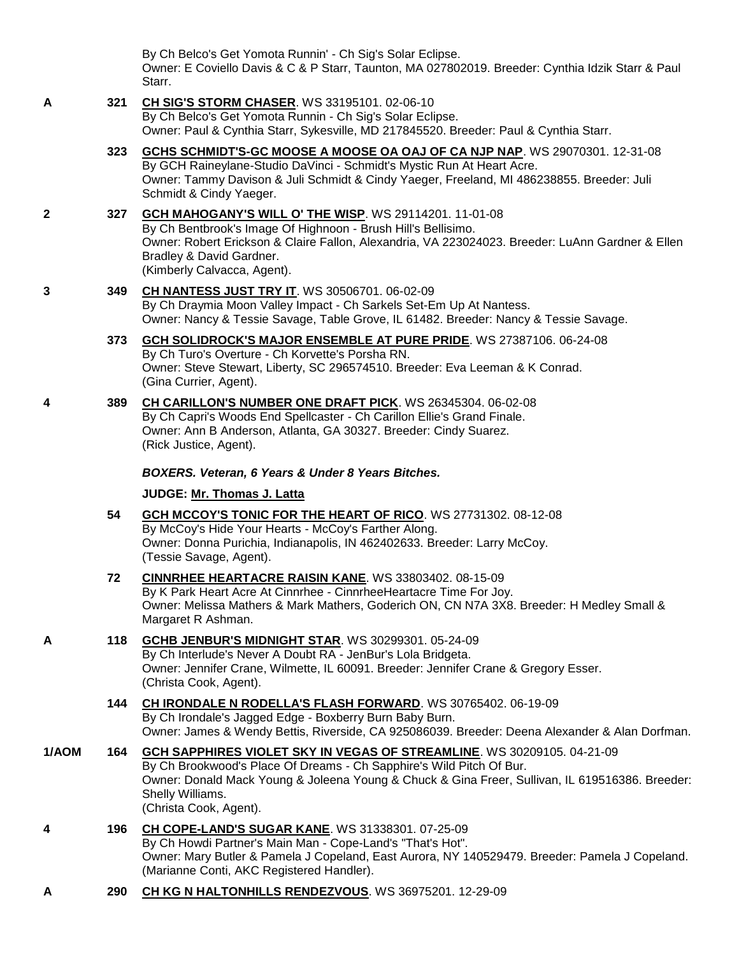By Ch Belco's Get Yomota Runnin' - Ch Sig's Solar Eclipse. Owner: E Coviello Davis & C & P Starr, Taunton, MA 027802019. Breeder: Cynthia Idzik Starr & Paul Starr.

#### **A 321 [CH SIG'S STORM CHASER](http://infodog.com/my/drlookup2.htm?makc=WS%2033195101&mdog=Ch+Sig%27s+Storm+Chaser&wins=all)**. WS 33195101. 02-06-10 By Ch Belco's Get Yomota Runnin - Ch Sig's Solar Eclipse. Owner: Paul & Cynthia Starr, Sykesville, MD 217845520. Breeder: Paul & Cynthia Starr.

## **323 [GCHS SCHMIDT'S-GC MOOSE A MOOSE OA OAJ OF CA NJP NAP](http://infodog.com/my/drlookup2.htm?makc=WS%2029070301&mdog=GCHS+Schmidt%27s-GC+Moose+A+Moose+OA+OAJ+OF+CA+NJP+NAP&wins=all)**. WS 29070301. 12-31-08 By GCH Raineylane-Studio DaVinci - Schmidt's Mystic Run At Heart Acre. Owner: Tammy Davison & Juli Schmidt & Cindy Yaeger, Freeland, MI 486238855. Breeder: Juli Schmidt & Cindy Yaeger.

## **2 327 [GCH MAHOGANY'S WILL O' THE WISP](http://infodog.com/my/drlookup2.htm?makc=WS%2029114201&mdog=GCH+Mahogany%27s+Will+O%27+The+Wisp&wins=all)**. WS 29114201. 11-01-08

By Ch Bentbrook's Image Of Highnoon - Brush Hill's Bellisimo. Owner: Robert Erickson & Claire Fallon, Alexandria, VA 223024023. Breeder: LuAnn Gardner & Ellen Bradley & David Gardner. (Kimberly Calvacca, Agent).

### **3 349 [CH NANTESS JUST TRY IT](http://infodog.com/my/drlookup2.htm?makc=WS%2030506701&mdog=Ch+Nantess+Just+Try+It&wins=all)**. WS 30506701. 06-02-09 By Ch Draymia Moon Valley Impact - Ch Sarkels Set-Em Up At Nantess. Owner: Nancy & Tessie Savage, Table Grove, IL 61482. Breeder: Nancy & Tessie Savage.

## **373 [GCH SOLIDROCK'S MAJOR ENSEMBLE AT PURE PRIDE](http://infodog.com/my/drlookup2.htm?makc=WS%2027387106&mdog=GCH+Solidrock%27s+Major+Ensemble+At+Pure+Pride&wins=all)**. WS 27387106. 06-24-08 By Ch Turo's Overture - Ch Korvette's Porsha RN. Owner: Steve Stewart, Liberty, SC 296574510. Breeder: Eva Leeman & K Conrad. (Gina Currier, Agent).

**4 389 [CH CARILLON'S NUMBER ONE DRAFT PICK](http://infodog.com/my/drlookup2.htm?makc=WS%2026345304&mdog=Ch+Carillon%27s+Number+One+Draft+Pick&wins=all)**. WS 26345304. 06-02-08 By Ch Capri's Woods End Spellcaster - Ch Carillon Ellie's Grand Finale. Owner: Ann B Anderson, Atlanta, GA 30327. Breeder: Cindy Suarez. (Rick Justice, Agent).

## *BOXERS. Veteran, 6 Years & Under 8 Years Bitches.*

## **JUDGE: [Mr. Thomas J. Latta](http://infodog.com/show/judge/jdgprofile.htm?jn=91010)**

**54 [GCH MCCOY'S TONIC FOR THE HEART OF RICO](http://infodog.com/my/drlookup2.htm?makc=WS%2027731302&mdog=GCH+McCoy%27s+Tonic+For+The+Heart+Of+Rico&wins=all)**. WS 27731302. 08-12-08 By McCoy's Hide Your Hearts - McCoy's Farther Along. Owner: Donna Purichia, Indianapolis, IN 462402633. Breeder: Larry McCoy. (Tessie Savage, Agent).

## **72 [CINNRHEE HEARTACRE RAISIN KANE](http://infodog.com/my/drlookup2.htm?makc=WS%2033803402&mdog=Cinnrhee+Heartacre+Raisin+Kane&wins=all)**. WS 33803402. 08-15-09 By K Park Heart Acre At Cinnrhee - CinnrheeHeartacre Time For Joy. Owner: Melissa Mathers & Mark Mathers, Goderich ON, CN N7A 3X8. Breeder: H Medley Small & Margaret R Ashman.

# **A 118 [GCHB JENBUR'S MIDNIGHT STAR](http://infodog.com/my/drlookup2.htm?makc=WS%2030299301&mdog=GCHB+JenBur%27s+Midnight+Star&wins=all)**. WS 30299301. 05-24-09

By Ch Interlude's Never A Doubt RA - JenBur's Lola Bridgeta. Owner: Jennifer Crane, Wilmette, IL 60091. Breeder: Jennifer Crane & Gregory Esser. (Christa Cook, Agent).

## **144 [CH IRONDALE N RODELLA'S FLASH FORWARD](http://infodog.com/my/drlookup2.htm?makc=WS%2030765402&mdog=Ch+Irondale+N+Rodella%27s+Flash+Forward&wins=all)**. WS 30765402. 06-19-09 By Ch Irondale's Jagged Edge - Boxberry Burn Baby Burn. Owner: James & Wendy Bettis, Riverside, CA 925086039. Breeder: Deena Alexander & Alan Dorfman.

- **1/AOM 164 [GCH SAPPHIRES VIOLET SKY IN VEGAS OF STREAMLINE](http://infodog.com/my/drlookup2.htm?makc=WS%2030209105&mdog=GCH+Sapphires+Violet+Sky+In+Vegas+Of+Streamline&wins=all)**. WS 30209105. 04-21-09 By Ch Brookwood's Place Of Dreams - Ch Sapphire's Wild Pitch Of Bur. Owner: Donald Mack Young & Joleena Young & Chuck & Gina Freer, Sullivan, IL 619516386. Breeder: Shelly Williams. (Christa Cook, Agent).
- **4 196 [CH COPE-LAND'S SUGAR KANE](http://infodog.com/my/drlookup2.htm?makc=WS%2031338301&mdog=Ch+Cope-Land%27s+Sugar+Kane&wins=all)**. WS 31338301. 07-25-09 By Ch Howdi Partner's Main Man - Cope-Land's "That's Hot". Owner: Mary Butler & Pamela J Copeland, East Aurora, NY 140529479. Breeder: Pamela J Copeland. (Marianne Conti, AKC Registered Handler).
- **A 290 [CH KG N HALTONHILLS RENDEZVOUS](http://infodog.com/my/drlookup2.htm?makc=WS%2036975201&mdog=Ch+KG+N+Haltonhills+Rendezvous&wins=all)**. WS 36975201. 12-29-09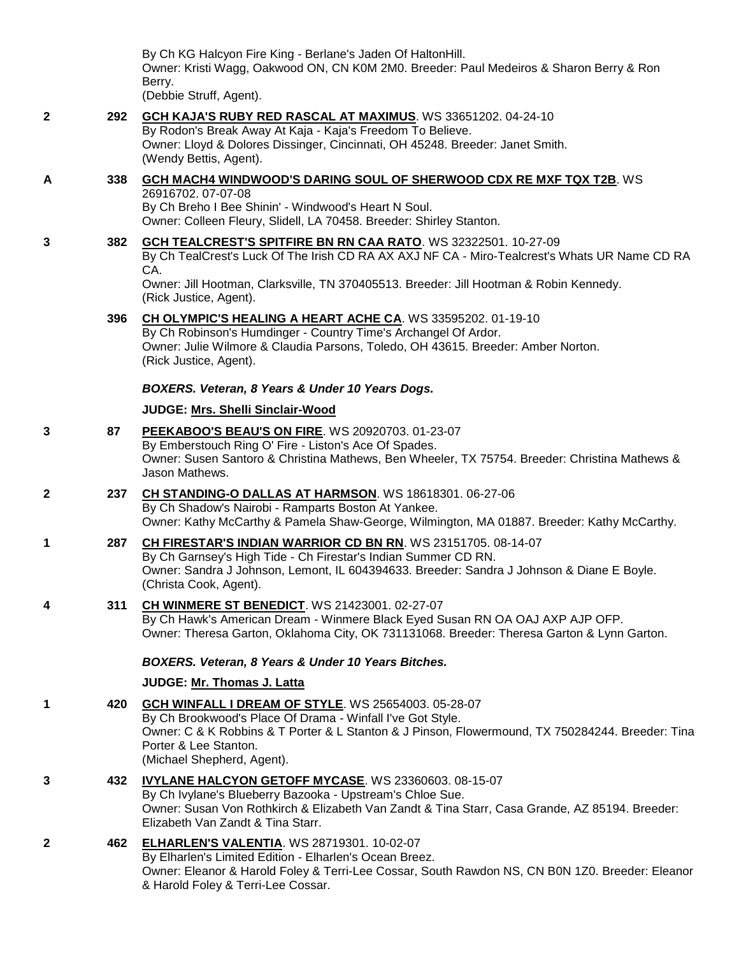By Ch KG Halcyon Fire King - Berlane's Jaden Of HaltonHill. Owner: Kristi Wagg, Oakwood ON, CN K0M 2M0. Breeder: Paul Medeiros & Sharon Berry & Ron Berry. (Debbie Struff, Agent).

**2 292 [GCH KAJA'S RUBY RED RASCAL AT MAXIMUS](http://infodog.com/my/drlookup2.htm?makc=WS%2033651202&mdog=GCH+Kaja%27s+Ruby+Red+Rascal+At+Maximus&wins=all)**. WS 33651202. 04-24-10 By Rodon's Break Away At Kaja - Kaja's Freedom To Believe. Owner: Lloyd & Dolores Dissinger, Cincinnati, OH 45248. Breeder: Janet Smith. (Wendy Bettis, Agent). **A 338 [GCH MACH4 WINDWOOD'S DARING SOUL OF SHERWOOD CDX RE MXF TQX T2B](http://infodog.com/my/drlookup2.htm?makc=WS%2026916702&mdog=GCH+MACH4+Windwood%27s+Daring+Soul+Of+Sherwood+CDX+RE+MXF+TQX+T2B&wins=all)**. WS 26916702. 07-07-08 By Ch Breho I Bee Shinin' - Windwood's Heart N Soul. Owner: Colleen Fleury, Slidell, LA 70458. Breeder: Shirley Stanton. **3 382 [GCH TEALCREST'S SPITFIRE BN RN CAA RATO](http://infodog.com/my/drlookup2.htm?makc=WS%2032322501&mdog=GCH+TealCrest%27s+Spitfire+BN+RN+CAA+RATO&wins=all)**. WS 32322501. 10-27-09 By Ch TealCrest's Luck Of The Irish CD RA AX AXJ NF CA - Miro-Tealcrest's Whats UR Name CD RA CA. Owner: Jill Hootman, Clarksville, TN 370405513. Breeder: Jill Hootman & Robin Kennedy. (Rick Justice, Agent). **396 [CH OLYMPIC'S HEALING A HEART ACHE CA](http://infodog.com/my/drlookup2.htm?makc=WS%2033595202&mdog=Ch+Olympic%27s+Healing+A+Heart+Ache+CA&wins=all)**. WS 33595202. 01-19-10 By Ch Robinson's Humdinger - Country Time's Archangel Of Ardor. Owner: Julie Wilmore & Claudia Parsons, Toledo, OH 43615. Breeder: Amber Norton. (Rick Justice, Agent). *BOXERS. Veteran, 8 Years & Under 10 Years Dogs.* **JUDGE: [Mrs. Shelli Sinclair-Wood](http://infodog.com/show/judge/jdgprofile.htm?jn=24194) 3 87 [PEEKABOO'S BEAU'S ON FIRE](http://infodog.com/my/drlookup2.htm?makc=WS%2020920703&mdog=Peekaboo%27s+Beau%27s+On+Fire&wins=all)**. WS 20920703. 01-23-07 By Emberstouch Ring O' Fire - Liston's Ace Of Spades. Owner: Susen Santoro & Christina Mathews, Ben Wheeler, TX 75754. Breeder: Christina Mathews & Jason Mathews. **2 237 [CH STANDING-O DALLAS AT HARMSON](http://infodog.com/my/drlookup2.htm?makc=WS%2018618301&mdog=Ch+Standing-O+Dallas+At+Harmson&wins=all)**. WS 18618301. 06-27-06 By Ch Shadow's Nairobi - Ramparts Boston At Yankee. Owner: Kathy McCarthy & Pamela Shaw-George, Wilmington, MA 01887. Breeder: Kathy McCarthy.

- **1 287 [CH FIRESTAR'S INDIAN WARRIOR CD BN RN](http://infodog.com/my/drlookup2.htm?makc=WS%2023151705&mdog=Ch+Firestar%27s+Indian+Warrior+CD+BN+RN&wins=all)**. WS 23151705. 08-14-07 By Ch Garnsey's High Tide - Ch Firestar's Indian Summer CD RN. Owner: Sandra J Johnson, Lemont, IL 604394633. Breeder: Sandra J Johnson & Diane E Boyle. (Christa Cook, Agent).
- **4 311 [CH WINMERE ST BENEDICT](http://infodog.com/my/drlookup2.htm?makc=WS%2021423001&mdog=Ch+Winmere+St+Benedict&wins=all)**. WS 21423001. 02-27-07 By Ch Hawk's American Dream - Winmere Black Eyed Susan RN OA OAJ AXP AJP OFP. Owner: Theresa Garton, Oklahoma City, OK 731131068. Breeder: Theresa Garton & Lynn Garton.

*BOXERS. Veteran, 8 Years & Under 10 Years Bitches.*

**JUDGE: [Mr. Thomas J. Latta](http://infodog.com/show/judge/jdgprofile.htm?jn=91010)**

- **1 420 [GCH WINFALL I DREAM OF STYLE](http://infodog.com/my/drlookup2.htm?makc=WS%2025654003&mdog=GCH+Winfall+I+Dream+Of+Style&wins=all)**. WS 25654003. 05-28-07 By Ch Brookwood's Place Of Drama - Winfall I've Got Style. Owner: C & K Robbins & T Porter & L Stanton & J Pinson, Flowermound, TX 750284244. Breeder: Tina Porter & Lee Stanton. (Michael Shepherd, Agent).
- **3 432 [IVYLANE HALCYON GETOFF MYCASE](http://infodog.com/my/drlookup2.htm?makc=WS%2023360603&mdog=Ivylane+Halcyon+Getoff+MyCase&wins=all)**. WS 23360603. 08-15-07 By Ch Ivylane's Blueberry Bazooka - Upstream's Chloe Sue. Owner: Susan Von Rothkirch & Elizabeth Van Zandt & Tina Starr, Casa Grande, AZ 85194. Breeder: Elizabeth Van Zandt & Tina Starr.
- **2 462 [ELHARLEN'S VALENTIA](http://infodog.com/my/drlookup2.htm?makc=WS%2028719301&mdog=Elharlen%27s+Valentia&wins=all)**. WS 28719301. 10-02-07 By Elharlen's Limited Edition - Elharlen's Ocean Breez. Owner: Eleanor & Harold Foley & Terri-Lee Cossar, South Rawdon NS, CN B0N 1Z0. Breeder: Eleanor & Harold Foley & Terri-Lee Cossar.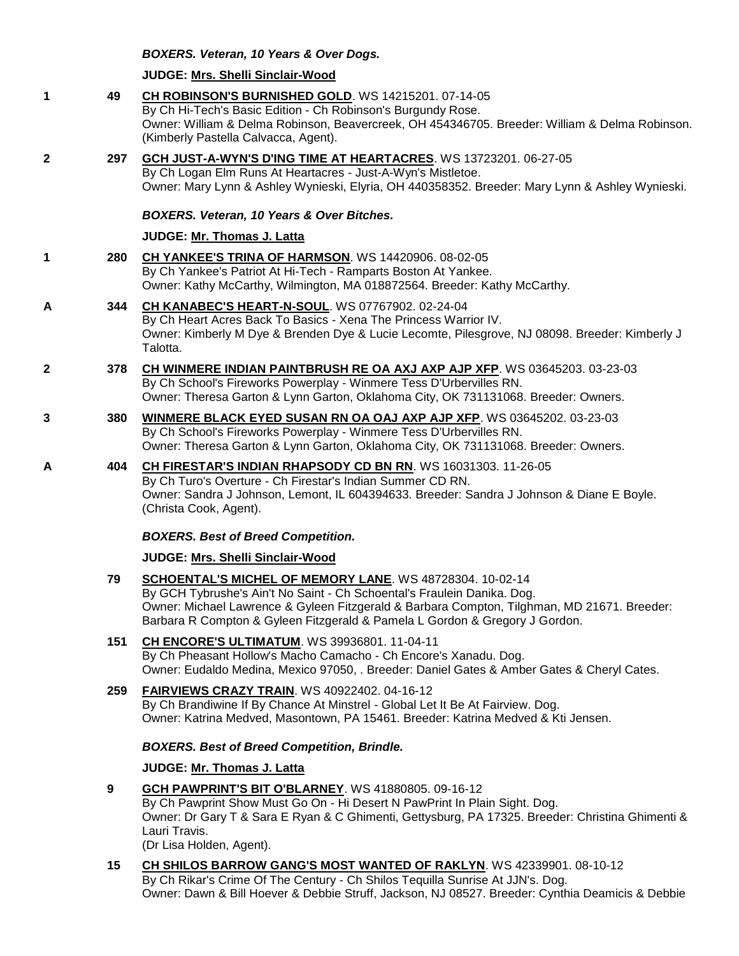## *BOXERS. Veteran, 10 Years & Over Dogs.*

### **JUDGE: [Mrs. Shelli Sinclair-Wood](http://infodog.com/show/judge/jdgprofile.htm?jn=24194)**

**1 49 [CH ROBINSON'S BURNISHED GOLD](http://infodog.com/my/drlookup2.htm?makc=WS%2014215201&mdog=Ch+Robinson%27s+Burnished+Gold&wins=all)**. WS 14215201. 07-14-05 By Ch Hi-Tech's Basic Edition - Ch Robinson's Burgundy Rose. Owner: William & Delma Robinson, Beavercreek, OH 454346705. Breeder: William & Delma Robinson. (Kimberly Pastella Calvacca, Agent). **2 297 [GCH JUST-A-WYN'S D'ING TIME AT HEARTACRES](http://infodog.com/my/drlookup2.htm?makc=WS%2013723201&mdog=GCH+Just-A-Wyn%27s+D%27ing+Time+At+Heartacres&wins=all)**. WS 13723201. 06-27-05 By Ch Logan Elm Runs At Heartacres - Just-A-Wyn's Mistletoe. Owner: Mary Lynn & Ashley Wynieski, Elyria, OH 440358352. Breeder: Mary Lynn & Ashley Wynieski. *BOXERS. Veteran, 10 Years & Over Bitches.* **JUDGE: [Mr. Thomas J. Latta](http://infodog.com/show/judge/jdgprofile.htm?jn=91010) 1 280 [CH YANKEE'S TRINA OF HARMSON](http://infodog.com/my/drlookup2.htm?makc=WS%2014420906&mdog=Ch+Yankee%27s+Trina+Of+Harmson&wins=all)**. WS 14420906. 08-02-05 By Ch Yankee's Patriot At Hi-Tech - Ramparts Boston At Yankee. Owner: Kathy McCarthy, Wilmington, MA 018872564. Breeder: Kathy McCarthy. **A 344 [CH KANABEC'S HEART-N-SOUL](http://infodog.com/my/drlookup2.htm?makc=WS%2007767902&mdog=Ch+Kanabec%27s+Heart-N-Soul&wins=all)**. WS 07767902. 02-24-04 By Ch Heart Acres Back To Basics - Xena The Princess Warrior IV. Owner: Kimberly M Dye & Brenden Dye & Lucie Lecomte, Pilesgrove, NJ 08098. Breeder: Kimberly J Talotta. **2 378 [CH WINMERE INDIAN PAINTBRUSH RE OA AXJ AXP AJP XFP](http://infodog.com/my/drlookup2.htm?makc=WS%2003645203&mdog=Ch+Winmere+Indian+Paintbrush+RE+OA+AXJ+AXP+AJP+XFP&wins=all)**. WS 03645203. 03-23-03 By Ch School's Fireworks Powerplay - Winmere Tess D'Urbervilles RN. Owner: Theresa Garton & Lynn Garton, Oklahoma City, OK 731131068. Breeder: Owners. **3 380 [WINMERE BLACK EYED SUSAN RN OA OAJ AXP AJP XFP](http://infodog.com/my/drlookup2.htm?makc=WS%2003645202&mdog=Winmere+Black+Eyed+Susan+RN+OA+OAJ+AXP+AJP+XFP&wins=all)**. WS 03645202. 03-23-03 By Ch School's Fireworks Powerplay - Winmere Tess D'Urbervilles RN. Owner: Theresa Garton & Lynn Garton, Oklahoma City, OK 731131068. Breeder: Owners. **A 404 [CH FIRESTAR'S INDIAN RHAPSODY CD BN RN](http://infodog.com/my/drlookup2.htm?makc=WS%2016031303&mdog=Ch+Firestar%27s+Indian+Rhapsody+CD+BN+RN&wins=all)**. WS 16031303. 11-26-05 By Ch Turo's Overture - Ch Firestar's Indian Summer CD RN. Owner: Sandra J Johnson, Lemont, IL 604394633. Breeder: Sandra J Johnson & Diane E Boyle. (Christa Cook, Agent). *BOXERS. Best of Breed Competition.* **JUDGE: [Mrs. Shelli Sinclair-Wood](http://infodog.com/show/judge/jdgprofile.htm?jn=24194) 79 [SCHOENTAL'S MICHEL OF MEMORY LANE](http://infodog.com/my/drlookup2.htm?makc=WS%2048728304&mdog=Schoental%27s+Michel+Of+Memory+Lane&wins=all)**. WS 48728304. 10-02-14 By GCH Tybrushe's Ain't No Saint - Ch Schoental's Fraulein Danika. Dog. Owner: Michael Lawrence & Gyleen Fitzgerald & Barbara Compton, Tilghman, MD 21671. Breeder: Barbara R Compton & Gyleen Fitzgerald & Pamela L Gordon & Gregory J Gordon. **151 [CH ENCORE'S ULTIMATUM](http://infodog.com/my/drlookup2.htm?makc=WS%2039936801&mdog=Ch+Encore%27s+Ultimatum&wins=all)**. WS 39936801. 11-04-11 By Ch Pheasant Hollow's Macho Camacho - Ch Encore's Xanadu. Dog. Owner: Eudaldo Medina, Mexico 97050, . Breeder: Daniel Gates & Amber Gates & Cheryl Cates. **259 [FAIRVIEWS CRAZY TRAIN](http://infodog.com/my/drlookup2.htm?makc=WS%2040922402&mdog=Fairviews+Crazy+Train&wins=all)**. WS 40922402. 04-16-12 By Ch Brandiwine If By Chance At Minstrel - Global Let It Be At Fairview. Dog. Owner: Katrina Medved, Masontown, PA 15461. Breeder: Katrina Medved & Kti Jensen. *BOXERS. Best of Breed Competition, Brindle.* **JUDGE: [Mr. Thomas J. Latta](http://infodog.com/show/judge/jdgprofile.htm?jn=91010) 9 [GCH PAWPRINT'S BIT O'BLARNEY](http://infodog.com/my/drlookup2.htm?makc=WS%2041880805&mdog=GCH+Pawprint%27s+Bit+O%27Blarney&wins=all)**. WS 41880805. 09-16-12 By Ch Pawprint Show Must Go On - Hi Desert N PawPrint In Plain Sight. Dog. Owner: Dr Gary T & Sara E Ryan & C Ghimenti, Gettysburg, PA 17325. Breeder: Christina Ghimenti & Lauri Travis. (Dr Lisa Holden, Agent). **15 [CH SHILOS BARROW GANG'S MOST WANTED OF RAKLYN](http://infodog.com/my/drlookup2.htm?makc=WS%2042339901&mdog=Ch+Shilos+Barrow+Gang%27s+Most+Wanted+Of+Raklyn&wins=all)**. WS 42339901. 08-10-12 By Ch Rikar's Crime Of The Century - Ch Shilos Tequilla Sunrise At JJN's. Dog. Owner: Dawn & Bill Hoever & Debbie Struff, Jackson, NJ 08527. Breeder: Cynthia Deamicis & Debbie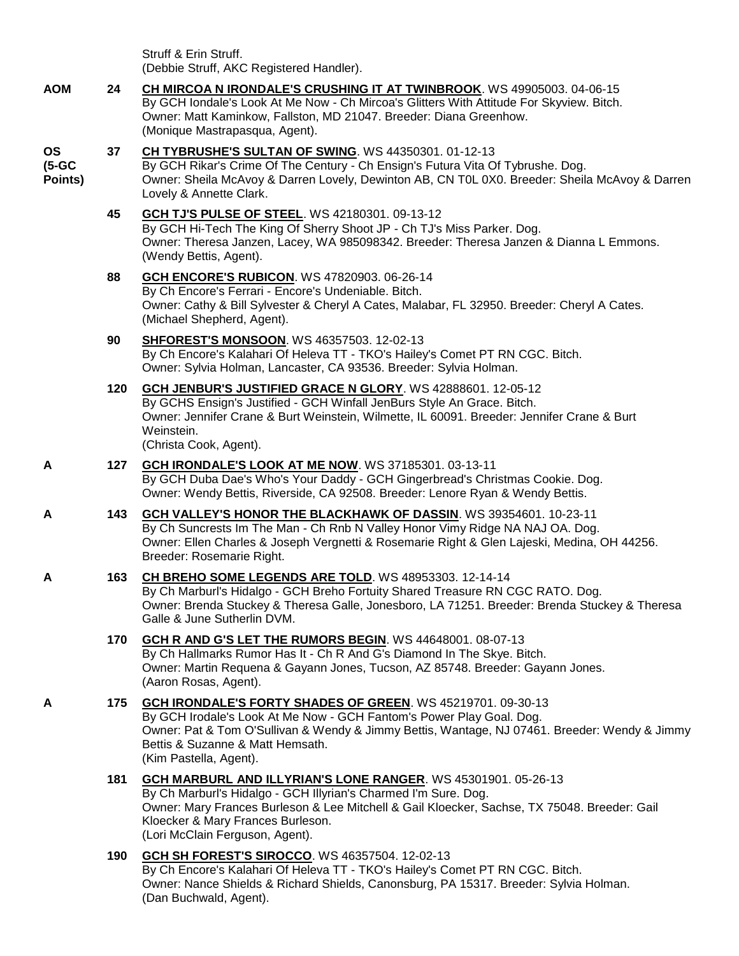Struff & Erin Struff. (Debbie Struff, AKC Registered Handler).

**AOM 24 [CH MIRCOA N IRONDALE'S CRUSHING IT AT TWINBROOK](http://infodog.com/my/drlookup2.htm?makc=WS%2049905003&mdog=Ch+Mircoa+N+Irondale%27s+Crushing+It+At+Twinbrook&wins=all)**. WS 49905003. 04-06-15 By GCH Iondale's Look At Me Now - Ch Mircoa's Glitters With Attitude For Skyview. Bitch. Owner: Matt Kaminkow, Fallston, MD 21047. Breeder: Diana Greenhow. (Monique Mastrapasqua, Agent).

#### **OS 37 [CH TYBRUSHE'S SULTAN OF SWING](http://infodog.com/my/drlookup2.htm?makc=WS%2044350301&mdog=Ch+Tybrushe%27s+Sultan+Of+Swing&wins=all)**. WS 44350301. 01-12-13

**(5-GC Points)** By GCH Rikar's Crime Of The Century - Ch Ensign's Futura Vita Of Tybrushe. Dog. Owner: Sheila McAvoy & Darren Lovely, Dewinton AB, CN T0L 0X0. Breeder: Sheila McAvoy & Darren Lovely & Annette Clark.

## **45 [GCH TJ'S PULSE OF STEEL](http://infodog.com/my/drlookup2.htm?makc=WS%2042180301&mdog=GCH+TJ%27s+Pulse+Of+Steel&wins=all)**. WS 42180301. 09-13-12 By GCH Hi-Tech The King Of Sherry Shoot JP - Ch TJ's Miss Parker. Dog. Owner: Theresa Janzen, Lacey, WA 985098342. Breeder: Theresa Janzen & Dianna L Emmons. (Wendy Bettis, Agent).

- **88 [GCH ENCORE'S RUBICON](http://infodog.com/my/drlookup2.htm?makc=WS%2047820903&mdog=GCH+Encore%27s+Rubicon&wins=all)**. WS 47820903. 06-26-14 By Ch Encore's Ferrari - Encore's Undeniable. Bitch. Owner: Cathy & Bill Sylvester & Cheryl A Cates, Malabar, FL 32950. Breeder: Cheryl A Cates. (Michael Shepherd, Agent).
- **90 [SHFOREST'S MONSOON](http://infodog.com/my/drlookup2.htm?makc=WS%2046357503&mdog=SHForest%27s+Monsoon&wins=all)**. WS 46357503. 12-02-13 By Ch Encore's Kalahari Of Heleva TT - TKO's Hailey's Comet PT RN CGC. Bitch. Owner: Sylvia Holman, Lancaster, CA 93536. Breeder: Sylvia Holman.
- **120 [GCH JENBUR'S JUSTIFIED GRACE N GLORY](http://infodog.com/my/drlookup2.htm?makc=WS%2042888601&mdog=GCH+JenBur%27s+Justified+Grace+N+Glory&wins=all)**. WS 42888601. 12-05-12 By GCHS Ensign's Justified - GCH Winfall JenBurs Style An Grace. Bitch. Owner: Jennifer Crane & Burt Weinstein, Wilmette, IL 60091. Breeder: Jennifer Crane & Burt Weinstein.

(Christa Cook, Agent).

- **A 127 [GCH IRONDALE'S LOOK AT ME NOW](http://infodog.com/my/drlookup2.htm?makc=WS%2037185301&mdog=GCH+Irondale%27s+Look+At+Me+Now&wins=all)**. WS 37185301. 03-13-11 By GCH Duba Dae's Who's Your Daddy - GCH Gingerbread's Christmas Cookie. Dog. Owner: Wendy Bettis, Riverside, CA 92508. Breeder: Lenore Ryan & Wendy Bettis.
- **A 143 [GCH VALLEY'S HONOR THE BLACKHAWK OF DASSIN](http://infodog.com/my/drlookup2.htm?makc=WS%2039354601&mdog=GCH+Valley%27s+Honor+The+Blackhawk+Of+Dassin&wins=all)**. WS 39354601. 10-23-11 By Ch Suncrests Im The Man - Ch Rnb N Valley Honor Vimy Ridge NA NAJ OA. Dog. Owner: Ellen Charles & Joseph Vergnetti & Rosemarie Right & Glen Lajeski, Medina, OH 44256. Breeder: Rosemarie Right.

### **A 163 [CH BREHO SOME LEGENDS ARE TOLD](http://infodog.com/my/drlookup2.htm?makc=WS%2048953303&mdog=Ch+Breho+Some+Legends+Are+Told&wins=all)**. WS 48953303. 12-14-14 By Ch Marburl's Hidalgo - GCH Breho Fortuity Shared Treasure RN CGC RATO. Dog. Owner: Brenda Stuckey & Theresa Galle, Jonesboro, LA 71251. Breeder: Brenda Stuckey & Theresa Galle & June Sutherlin DVM.

- **170 [GCH R AND G'S LET THE RUMORS BEGIN](http://infodog.com/my/drlookup2.htm?makc=WS%2044648001&mdog=GCH+R+And+G%27s+Let+The+Rumors+Begin&wins=all)**. WS 44648001. 08-07-13 By Ch Hallmarks Rumor Has It - Ch R And G's Diamond In The Skye. Bitch. Owner: Martin Requena & Gayann Jones, Tucson, AZ 85748. Breeder: Gayann Jones. (Aaron Rosas, Agent).
- **A 175 [GCH IRONDALE'S FORTY SHADES OF GREEN](http://infodog.com/my/drlookup2.htm?makc=WS%2045219701&mdog=GCH+Irondale%27s+Forty+Shades+Of+Green&wins=all)**. WS 45219701. 09-30-13 By GCH Irodale's Look At Me Now - GCH Fantom's Power Play Goal. Dog. Owner: Pat & Tom O'Sullivan & Wendy & Jimmy Bettis, Wantage, NJ 07461. Breeder: Wendy & Jimmy Bettis & Suzanne & Matt Hemsath. (Kim Pastella, Agent).
	- **181 [GCH MARBURL AND ILLYRIAN'S LONE RANGER](http://infodog.com/my/drlookup2.htm?makc=WS%2045301901&mdog=GCH+Marburl+And+Illyrian%27s+Lone+Ranger&wins=all)**. WS 45301901. 05-26-13 By Ch Marburl's Hidalgo - GCH Illyrian's Charmed I'm Sure. Dog. Owner: Mary Frances Burleson & Lee Mitchell & Gail Kloecker, Sachse, TX 75048. Breeder: Gail Kloecker & Mary Frances Burleson. (Lori McClain Ferguson, Agent).
	- **190 [GCH SH FOREST'S SIROCCO](http://infodog.com/my/drlookup2.htm?makc=WS%2046357504&mdog=GCH+SH+Forest%27s+Sirocco&wins=all)**. WS 46357504. 12-02-13 By Ch Encore's Kalahari Of Heleva TT - TKO's Hailey's Comet PT RN CGC. Bitch. Owner: Nance Shields & Richard Shields, Canonsburg, PA 15317. Breeder: Sylvia Holman. (Dan Buchwald, Agent).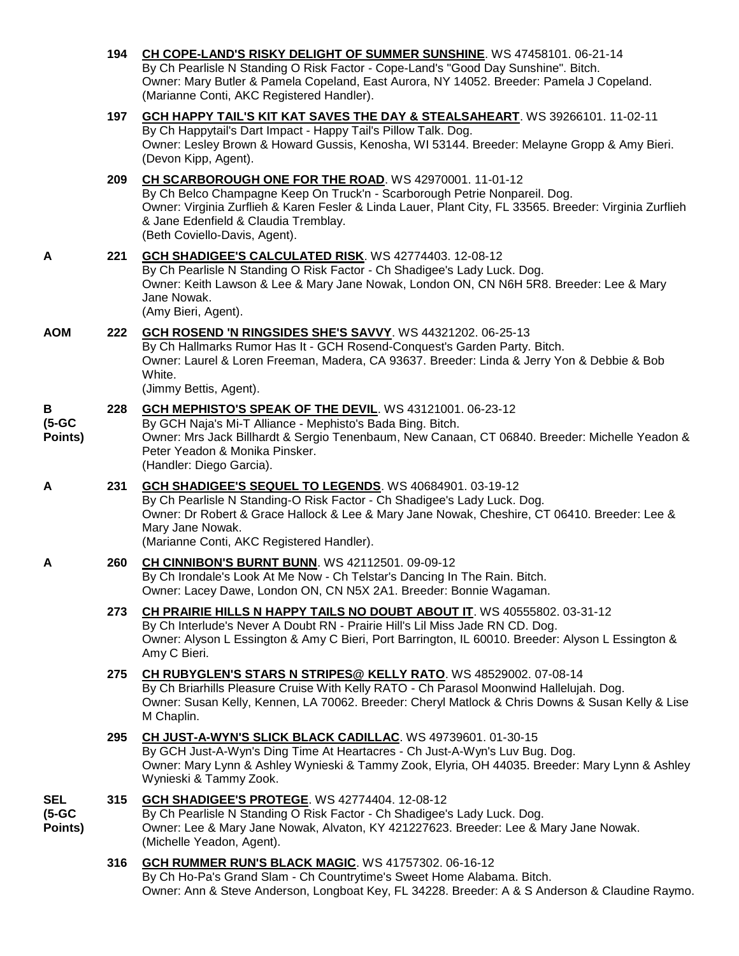|                                | 194 | CH COPE-LAND'S RISKY DELIGHT OF SUMMER SUNSHINE. WS 47458101. 06-21-14<br>By Ch Pearlisle N Standing O Risk Factor - Cope-Land's "Good Day Sunshine". Bitch.<br>Owner: Mary Butler & Pamela Copeland, East Aurora, NY 14052. Breeder: Pamela J Copeland.<br>(Marianne Conti, AKC Registered Handler).                    |
|--------------------------------|-----|--------------------------------------------------------------------------------------------------------------------------------------------------------------------------------------------------------------------------------------------------------------------------------------------------------------------------|
|                                | 197 | GCH HAPPY TAIL'S KIT KAT SAVES THE DAY & STEALSAHEART. WS 39266101. 11-02-11<br>By Ch Happytail's Dart Impact - Happy Tail's Pillow Talk. Dog.<br>Owner: Lesley Brown & Howard Gussis, Kenosha, WI 53144. Breeder: Melayne Gropp & Amy Bieri.<br>(Devon Kipp, Agent).                                                    |
|                                | 209 | CH SCARBOROUGH ONE FOR THE ROAD. WS 42970001. 11-01-12<br>By Ch Belco Champagne Keep On Truck'n - Scarborough Petrie Nonpareil. Dog.<br>Owner: Virginia Zurflieh & Karen Fesler & Linda Lauer, Plant City, FL 33565. Breeder: Virginia Zurflieh<br>& Jane Edenfield & Claudia Tremblay.<br>(Beth Coviello-Davis, Agent). |
| A                              | 221 | GCH SHADIGEE'S CALCULATED RISK. WS 42774403. 12-08-12<br>By Ch Pearlisle N Standing O Risk Factor - Ch Shadigee's Lady Luck. Dog.<br>Owner: Keith Lawson & Lee & Mary Jane Nowak, London ON, CN N6H 5R8. Breeder: Lee & Mary<br>Jane Nowak.<br>(Amy Bieri, Agent).                                                       |
| <b>AOM</b>                     | 222 | GCH ROSEND 'N RINGSIDES SHE'S SAVVY. WS 44321202. 06-25-13<br>By Ch Hallmarks Rumor Has It - GCH Rosend-Conquest's Garden Party. Bitch.<br>Owner: Laurel & Loren Freeman, Madera, CA 93637. Breeder: Linda & Jerry Yon & Debbie & Bob<br>White.<br>(Jimmy Bettis, Agent).                                                |
| В<br>$(5-GC)$<br>Points)       | 228 | GCH MEPHISTO'S SPEAK OF THE DEVIL. WS 43121001. 06-23-12<br>By GCH Naja's Mi-T Alliance - Mephisto's Bada Bing. Bitch.<br>Owner: Mrs Jack Billhardt & Sergio Tenenbaum, New Canaan, CT 06840. Breeder: Michelle Yeadon &<br>Peter Yeadon & Monika Pinsker.<br>(Handler: Diego Garcia).                                   |
| Α                              | 231 | GCH SHADIGEE'S SEQUEL TO LEGENDS. WS 40684901. 03-19-12<br>By Ch Pearlisle N Standing-O Risk Factor - Ch Shadigee's Lady Luck. Dog.<br>Owner: Dr Robert & Grace Hallock & Lee & Mary Jane Nowak, Cheshire, CT 06410. Breeder: Lee &<br>Mary Jane Nowak.<br>(Marianne Conti, AKC Registered Handler).                     |
| A                              | 260 | <b>CH CINNIBON'S BURNT BUNN.</b> WS 42112501. 09-09-12<br>By Ch Irondale's Look At Me Now - Ch Telstar's Dancing In The Rain. Bitch.<br>Owner: Lacey Dawe, London ON, CN N5X 2A1. Breeder: Bonnie Wagaman.                                                                                                               |
|                                | 273 | CH PRAIRIE HILLS N HAPPY TAILS NO DOUBT ABOUT IT. WS 40555802. 03-31-12<br>By Ch Interlude's Never A Doubt RN - Prairie Hill's Lil Miss Jade RN CD. Dog.<br>Owner: Alyson L Essington & Amy C Bieri, Port Barrington, IL 60010. Breeder: Alyson L Essington &<br>Amy C Bieri.                                            |
|                                | 275 | CH RUBYGLEN'S STARS N STRIPES@ KELLY RATO. WS 48529002. 07-08-14<br>By Ch Briarhills Pleasure Cruise With Kelly RATO - Ch Parasol Moonwind Hallelujah. Dog.<br>Owner: Susan Kelly, Kennen, LA 70062. Breeder: Cheryl Matlock & Chris Downs & Susan Kelly & Lise<br>M Chaplin.                                            |
|                                | 295 | CH JUST-A-WYN'S SLICK BLACK CADILLAC. WS 49739601. 01-30-15<br>By GCH Just-A-Wyn's Ding Time At Heartacres - Ch Just-A-Wyn's Luv Bug. Dog.<br>Owner: Mary Lynn & Ashley Wynieski & Tammy Zook, Elyria, OH 44035. Breeder: Mary Lynn & Ashley<br>Wynieski & Tammy Zook.                                                   |
| <b>SEL</b><br>(5-GC<br>Points) | 315 | GCH SHADIGEE'S PROTEGE. WS 42774404. 12-08-12<br>By Ch Pearlisle N Standing O Risk Factor - Ch Shadigee's Lady Luck. Dog.<br>Owner: Lee & Mary Jane Nowak, Alvaton, KY 421227623. Breeder: Lee & Mary Jane Nowak.<br>(Michelle Yeadon, Agent).                                                                           |
|                                | 316 | GCH RUMMER RUN'S BLACK MAGIC. WS 41757302. 06-16-12<br>By Ch Ho-Pa's Grand Slam - Ch Countrytime's Sweet Home Alabama. Bitch.<br>Owner: Ann & Steve Anderson, Longboat Key, FL 34228. Breeder: A & S Anderson & Claudine Raymo.                                                                                          |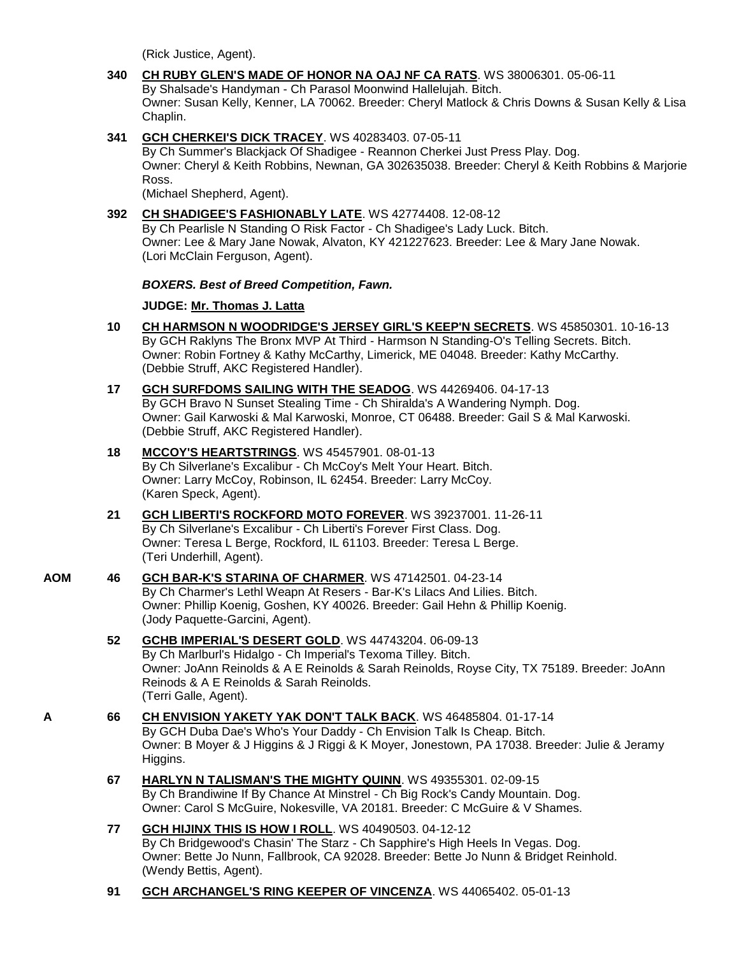(Rick Justice, Agent).

- **340 [CH RUBY GLEN'S MADE OF HONOR NA OAJ NF CA RATS](http://infodog.com/my/drlookup2.htm?makc=WS%2038006301&mdog=Ch+Ruby+Glen%27s+Made+Of+Honor+NA+OAJ+NF+CA+RATS&wins=all)**. WS 38006301. 05-06-11 By Shalsade's Handyman - Ch Parasol Moonwind Hallelujah. Bitch. Owner: Susan Kelly, Kenner, LA 70062. Breeder: Cheryl Matlock & Chris Downs & Susan Kelly & Lisa Chaplin.
- **341 [GCH CHERKEI'S DICK TRACEY](http://infodog.com/my/drlookup2.htm?makc=WS%2040283403&mdog=GCH+Cherkei%27s+Dick+Tracey&wins=all)**. WS 40283403. 07-05-11

By Ch Summer's Blackjack Of Shadigee - Reannon Cherkei Just Press Play. Dog. Owner: Cheryl & Keith Robbins, Newnan, GA 302635038. Breeder: Cheryl & Keith Robbins & Marjorie Ross.

(Michael Shepherd, Agent).

**392 [CH SHADIGEE'S FASHIONABLY LATE](http://infodog.com/my/drlookup2.htm?makc=WS%2042774408&mdog=Ch+Shadigee%27s+Fashionably+Late&wins=all)**. WS 42774408. 12-08-12 By Ch Pearlisle N Standing O Risk Factor - Ch Shadigee's Lady Luck. Bitch. Owner: Lee & Mary Jane Nowak, Alvaton, KY 421227623. Breeder: Lee & Mary Jane Nowak. (Lori McClain Ferguson, Agent).

## *BOXERS. Best of Breed Competition, Fawn.*

## **JUDGE: [Mr. Thomas J. Latta](http://infodog.com/show/judge/jdgprofile.htm?jn=91010)**

- **10 [CH HARMSON N WOODRIDGE'S JERSEY GIRL'S KEEP'N SECRETS](http://infodog.com/my/drlookup2.htm?makc=WS%2045850301&mdog=Ch+Harmson+N+Woodridge%27s+Jersey+Girl%27s+Keep%27n+Secrets&wins=all)**. WS 45850301. 10-16-13 By GCH Raklyns The Bronx MVP At Third - Harmson N Standing-O's Telling Secrets. Bitch. Owner: Robin Fortney & Kathy McCarthy, Limerick, ME 04048. Breeder: Kathy McCarthy. (Debbie Struff, AKC Registered Handler).
- **17 [GCH SURFDOMS SAILING WITH THE SEADOG](http://infodog.com/my/drlookup2.htm?makc=WS%2044269406&mdog=GCH+Surfdoms+Sailing+With+The+Seadog&wins=all)**. WS 44269406. 04-17-13 By GCH Bravo N Sunset Stealing Time - Ch Shiralda's A Wandering Nymph. Dog. Owner: Gail Karwoski & Mal Karwoski, Monroe, CT 06488. Breeder: Gail S & Mal Karwoski. (Debbie Struff, AKC Registered Handler).
- **18 [MCCOY'S HEARTSTRINGS](http://infodog.com/my/drlookup2.htm?makc=WS%2045457901&mdog=McCoy%27s+Heartstrings&wins=all)**. WS 45457901. 08-01-13 By Ch Silverlane's Excalibur - Ch McCoy's Melt Your Heart. Bitch. Owner: Larry McCoy, Robinson, IL 62454. Breeder: Larry McCoy. (Karen Speck, Agent).
- **21 [GCH LIBERTI'S ROCKFORD MOTO FOREVER](http://infodog.com/my/drlookup2.htm?makc=WS%2039237001&mdog=GCH+Liberti%27s+Rockford+Moto+Forever&wins=all)**. WS 39237001. 11-26-11 By Ch Silverlane's Excalibur - Ch Liberti's Forever First Class. Dog. Owner: Teresa L Berge, Rockford, IL 61103. Breeder: Teresa L Berge. (Teri Underhill, Agent).
- **AOM 46 [GCH BAR-K'S STARINA OF CHARMER](http://infodog.com/my/drlookup2.htm?makc=WS%2047142501&mdog=GCH+Bar-K%27s+Starina+Of+Charmer&wins=all)**. WS 47142501. 04-23-14 By Ch Charmer's Lethl Weapn At Resers - Bar-K's Lilacs And Lilies. Bitch. Owner: Phillip Koenig, Goshen, KY 40026. Breeder: Gail Hehn & Phillip Koenig. (Jody Paquette-Garcini, Agent).
	- **52 [GCHB IMPERIAL'S DESERT GOLD](http://infodog.com/my/drlookup2.htm?makc=WS%2044743204&mdog=GCHB+Imperial%27s+Desert+Gold&wins=all)**. WS 44743204. 06-09-13 By Ch Marlburl's Hidalgo - Ch Imperial's Texoma Tilley. Bitch. Owner: JoAnn Reinolds & A E Reinolds & Sarah Reinolds, Royse City, TX 75189. Breeder: JoAnn Reinods & A E Reinolds & Sarah Reinolds. (Terri Galle, Agent).
- **A 66 [CH ENVISION YAKETY YAK DON'T TALK BACK](http://infodog.com/my/drlookup2.htm?makc=WS%2046485804&mdog=Ch+Envision+Yakety+Yak+Don%27T+Talk+Back&wins=all)**. WS 46485804. 01-17-14 By GCH Duba Dae's Who's Your Daddy - Ch Envision Talk Is Cheap. Bitch. Owner: B Moyer & J Higgins & J Riggi & K Moyer, Jonestown, PA 17038. Breeder: Julie & Jeramy Higgins.
	- **67 [HARLYN N TALISMAN'S THE MIGHTY QUINN](http://infodog.com/my/drlookup2.htm?makc=WS%2049355301&mdog=Harlyn+N+Talisman%27s+The+Mighty+Quinn&wins=all)**. WS 49355301. 02-09-15 By Ch Brandiwine If By Chance At Minstrel - Ch Big Rock's Candy Mountain. Dog. Owner: Carol S McGuire, Nokesville, VA 20181. Breeder: C McGuire & V Shames.
	- **77 [GCH HIJINX THIS IS HOW I ROLL](http://infodog.com/my/drlookup2.htm?makc=WS%2040490503&mdog=GCH+HiJinx+This+Is+How+I+Roll&wins=all)**. WS 40490503. 04-12-12 By Ch Bridgewood's Chasin' The Starz - Ch Sapphire's High Heels In Vegas. Dog. Owner: Bette Jo Nunn, Fallbrook, CA 92028. Breeder: Bette Jo Nunn & Bridget Reinhold. (Wendy Bettis, Agent).
	- **91 [GCH ARCHANGEL'S RING KEEPER OF VINCENZA](http://infodog.com/my/drlookup2.htm?makc=WS%2044065402&mdog=GCH+Archangel%27s+Ring+Keeper+Of+Vincenza&wins=all)**. WS 44065402. 05-01-13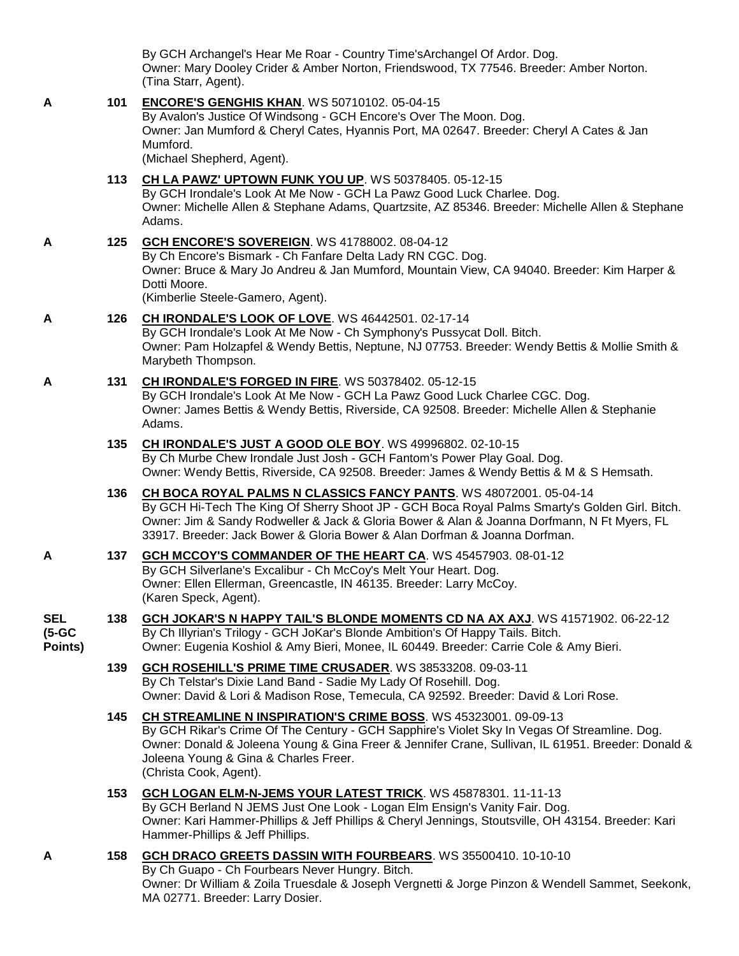By GCH Archangel's Hear Me Roar - Country Time'sArchangel Of Ardor. Dog. Owner: Mary Dooley Crider & Amber Norton, Friendswood, TX 77546. Breeder: Amber Norton. (Tina Starr, Agent).

| A                                 | 101 | <b>ENCORE'S GENGHIS KHAN. WS 50710102. 05-04-15</b><br>By Avalon's Justice Of Windsong - GCH Encore's Over The Moon. Dog.<br>Owner: Jan Mumford & Cheryl Cates, Hyannis Port, MA 02647. Breeder: Cheryl A Cates & Jan<br>Mumford.<br>(Michael Shepherd, Agent).                                                                                  |
|-----------------------------------|-----|--------------------------------------------------------------------------------------------------------------------------------------------------------------------------------------------------------------------------------------------------------------------------------------------------------------------------------------------------|
|                                   | 113 | CH LA PAWZ' UPTOWN FUNK YOU UP. WS 50378405. 05-12-15<br>By GCH Irondale's Look At Me Now - GCH La Pawz Good Luck Charlee. Dog.<br>Owner: Michelle Allen & Stephane Adams, Quartzsite, AZ 85346. Breeder: Michelle Allen & Stephane<br>Adams.                                                                                                    |
| A                                 | 125 | GCH ENCORE'S SOVEREIGN. WS 41788002. 08-04-12<br>By Ch Encore's Bismark - Ch Fanfare Delta Lady RN CGC. Dog.<br>Owner: Bruce & Mary Jo Andreu & Jan Mumford, Mountain View, CA 94040. Breeder: Kim Harper &<br>Dotti Moore.<br>(Kimberlie Steele-Gamero, Agent).                                                                                 |
| A                                 | 126 | <b>CH IRONDALE'S LOOK OF LOVE. WS 46442501. 02-17-14</b><br>By GCH Irondale's Look At Me Now - Ch Symphony's Pussycat Doll. Bitch.<br>Owner: Pam Holzapfel & Wendy Bettis, Neptune, NJ 07753. Breeder: Wendy Bettis & Mollie Smith &<br>Marybeth Thompson.                                                                                       |
| A                                 | 131 | CH IRONDALE'S FORGED IN FIRE. WS 50378402. 05-12-15<br>By GCH Irondale's Look At Me Now - GCH La Pawz Good Luck Charlee CGC. Dog.<br>Owner: James Bettis & Wendy Bettis, Riverside, CA 92508. Breeder: Michelle Allen & Stephanie<br>Adams.                                                                                                      |
|                                   | 135 | CH IRONDALE'S JUST A GOOD OLE BOY. WS 49996802. 02-10-15<br>By Ch Murbe Chew Irondale Just Josh - GCH Fantom's Power Play Goal. Dog.<br>Owner: Wendy Bettis, Riverside, CA 92508. Breeder: James & Wendy Bettis & M & S Hemsath.                                                                                                                 |
|                                   | 136 | CH BOCA ROYAL PALMS N CLASSICS FANCY PANTS. WS 48072001. 05-04-14<br>By GCH Hi-Tech The King Of Sherry Shoot JP - GCH Boca Royal Palms Smarty's Golden Girl. Bitch.<br>Owner: Jim & Sandy Rodweller & Jack & Gloria Bower & Alan & Joanna Dorfmann, N Ft Myers, FL<br>33917. Breeder: Jack Bower & Gloria Bower & Alan Dorfman & Joanna Dorfman. |
| A                                 | 137 | <b>GCH MCCOY'S COMMANDER OF THE HEART CA. WS 45457903. 08-01-12</b><br>By GCH Silverlane's Excalibur - Ch McCoy's Melt Your Heart. Dog.<br>Owner: Ellen Ellerman, Greencastle, IN 46135. Breeder: Larry McCoy.<br>(Karen Speck, Agent).                                                                                                          |
| <b>SEL</b><br>$(5-GC)$<br>Points) | 138 | GCH JOKAR'S N HAPPY TAIL'S BLONDE MOMENTS CD NA AX AXJ. WS 41571902. 06-22-12<br>By Ch Illyrian's Trilogy - GCH JoKar's Blonde Ambition's Of Happy Tails. Bitch.<br>Owner: Eugenia Koshiol & Amy Bieri, Monee, IL 60449. Breeder: Carrie Cole & Amy Bieri.                                                                                       |
|                                   | 139 | <b>GCH ROSEHILL'S PRIME TIME CRUSADER. WS 38533208. 09-03-11</b><br>By Ch Telstar's Dixie Land Band - Sadie My Lady Of Rosehill. Dog.<br>Owner: David & Lori & Madison Rose, Temecula, CA 92592. Breeder: David & Lori Rose.                                                                                                                     |
|                                   | 145 | CH STREAMLINE N INSPIRATION'S CRIME BOSS. WS 45323001. 09-09-13<br>By GCH Rikar's Crime Of The Century - GCH Sapphire's Violet Sky In Vegas Of Streamline. Dog.<br>Owner: Donald & Joleena Young & Gina Freer & Jennifer Crane, Sullivan, IL 61951. Breeder: Donald &<br>Joleena Young & Gina & Charles Freer.<br>(Christa Cook, Agent).         |
|                                   | 153 | GCH LOGAN ELM-N-JEMS YOUR LATEST TRICK. WS 45878301. 11-11-13<br>By GCH Berland N JEMS Just One Look - Logan Elm Ensign's Vanity Fair. Dog.<br>Owner: Kari Hammer-Phillips & Jeff Phillips & Cheryl Jennings, Stoutsville, OH 43154. Breeder: Kari<br>Hammer-Phillips & Jeff Phillips.                                                           |
| A                                 | 158 | GCH DRACO GREETS DASSIN WITH FOURBEARS. WS 35500410. 10-10-10<br>By Ch Guapo - Ch Fourbears Never Hungry. Bitch.<br>Owner: Dr William & Zoila Truesdale & Joseph Vergnetti & Jorge Pinzon & Wendell Sammet, Seekonk,                                                                                                                             |

MA 02771. Breeder: Larry Dosier.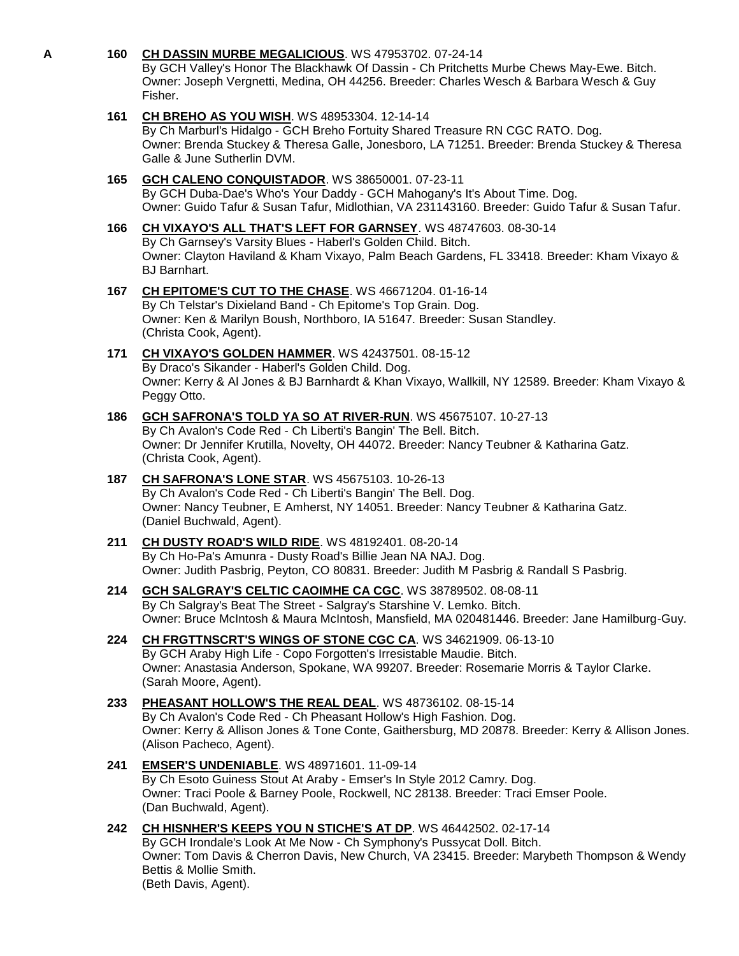## **A 160 [CH DASSIN MURBE MEGALICIOUS](http://infodog.com/my/drlookup2.htm?makc=WS%2047953702&mdog=Ch+Dassin+Murbe+Megalicious&wins=all)**. WS 47953702. 07-24-14

By GCH Valley's Honor The Blackhawk Of Dassin - Ch Pritchetts Murbe Chews May-Ewe. Bitch. Owner: Joseph Vergnetti, Medina, OH 44256. Breeder: Charles Wesch & Barbara Wesch & Guy Fisher.

## **161 [CH BREHO AS YOU WISH](http://infodog.com/my/drlookup2.htm?makc=WS%2048953304&mdog=Ch+Breho+As+You+Wish&wins=all)**. WS 48953304. 12-14-14

By Ch Marburl's Hidalgo - GCH Breho Fortuity Shared Treasure RN CGC RATO. Dog. Owner: Brenda Stuckey & Theresa Galle, Jonesboro, LA 71251. Breeder: Brenda Stuckey & Theresa Galle & June Sutherlin DVM.

### **165 [GCH CALENO CONQUISTADOR](http://infodog.com/my/drlookup2.htm?makc=WS%2038650001&mdog=GCH+Caleno+Conquistador&wins=all)**. WS 38650001. 07-23-11 By GCH Duba-Dae's Who's Your Daddy - GCH Mahogany's It's About Time. Dog. Owner: Guido Tafur & Susan Tafur, Midlothian, VA 231143160. Breeder: Guido Tafur & Susan Tafur.

- **166 [CH VIXAYO'S ALL THAT'S LEFT FOR GARNSEY](http://infodog.com/my/drlookup2.htm?makc=WS%2048747603&mdog=Ch+Vixayo%27s+All+That%27s+Left+For+Garnsey&wins=all)**. WS 48747603. 08-30-14 By Ch Garnsey's Varsity Blues - Haberl's Golden Child. Bitch. Owner: Clayton Haviland & Kham Vixayo, Palm Beach Gardens, FL 33418. Breeder: Kham Vixayo & BJ Barnhart.
- **167 [CH EPITOME'S CUT TO THE CHASE](http://infodog.com/my/drlookup2.htm?makc=WS%2046671204&mdog=Ch+Epitome%27s+Cut+To+The+Chase&wins=all)**. WS 46671204. 01-16-14 By Ch Telstar's Dixieland Band - Ch Epitome's Top Grain. Dog. Owner: Ken & Marilyn Boush, Northboro, IA 51647. Breeder: Susan Standley. (Christa Cook, Agent).
- **171 [CH VIXAYO'S GOLDEN HAMMER](http://infodog.com/my/drlookup2.htm?makc=WS%2042437501&mdog=Ch+Vixayo%27s+Golden+Hammer&wins=all)**. WS 42437501. 08-15-12 By Draco's Sikander - Haberl's Golden Child. Dog. Owner: Kerry & Al Jones & BJ Barnhardt & Khan Vixayo, Wallkill, NY 12589. Breeder: Kham Vixayo & Peggy Otto.
- **186 [GCH SAFRONA'S TOLD YA SO AT RIVER-RUN](http://infodog.com/my/drlookup2.htm?makc=WS%2045675107&mdog=GCH+Safrona%27s+Told+Ya+So+At+River-Run&wins=all)**. WS 45675107. 10-27-13 By Ch Avalon's Code Red - Ch Liberti's Bangin' The Bell. Bitch. Owner: Dr Jennifer Krutilla, Novelty, OH 44072. Breeder: Nancy Teubner & Katharina Gatz. (Christa Cook, Agent).
- **187 [CH SAFRONA'S LONE STAR](http://infodog.com/my/drlookup2.htm?makc=WS%2045675103&mdog=Ch+Safrona%27s+Lone+Star&wins=all)**. WS 45675103. 10-26-13 By Ch Avalon's Code Red - Ch Liberti's Bangin' The Bell. Dog. Owner: Nancy Teubner, E Amherst, NY 14051. Breeder: Nancy Teubner & Katharina Gatz. (Daniel Buchwald, Agent).
- **211 [CH DUSTY ROAD'S WILD RIDE](http://infodog.com/my/drlookup2.htm?makc=WS%2048192401&mdog=Ch+Dusty+Road%27s+Wild+Ride&wins=all)**. WS 48192401. 08-20-14 By Ch Ho-Pa's Amunra - Dusty Road's Billie Jean NA NAJ. Dog. Owner: Judith Pasbrig, Peyton, CO 80831. Breeder: Judith M Pasbrig & Randall S Pasbrig.
- **214 [GCH SALGRAY'S CELTIC CAOIMHE CA CGC](http://infodog.com/my/drlookup2.htm?makc=WS%2038789502&mdog=GCH+Salgray%27s+Celtic+Caoimhe+CA+CGC&wins=all)**. WS 38789502. 08-08-11 By Ch Salgray's Beat The Street - Salgray's Starshine V. Lemko. Bitch. Owner: Bruce McIntosh & Maura McIntosh, Mansfield, MA 020481446. Breeder: Jane Hamilburg-Guy.
- **224 [CH FRGTTNSCRT'S WINGS OF STONE CGC CA](http://infodog.com/my/drlookup2.htm?makc=WS%2034621909&mdog=Ch+FrgttnScrt%27s+Wings+Of+Stone+CGC+CA&wins=all)**. WS 34621909. 06-13-10 By GCH Araby High Life - Copo Forgotten's Irresistable Maudie. Bitch. Owner: Anastasia Anderson, Spokane, WA 99207. Breeder: Rosemarie Morris & Taylor Clarke. (Sarah Moore, Agent).
- **233 [PHEASANT HOLLOW'S THE REAL DEAL](http://infodog.com/my/drlookup2.htm?makc=WS%2048736102&mdog=Pheasant+Hollow%27s+The+Real+Deal&wins=all)**. WS 48736102. 08-15-14 By Ch Avalon's Code Red - Ch Pheasant Hollow's High Fashion. Dog. Owner: Kerry & Allison Jones & Tone Conte, Gaithersburg, MD 20878. Breeder: Kerry & Allison Jones. (Alison Pacheco, Agent).
- **241 [EMSER'S UNDENIABLE](http://infodog.com/my/drlookup2.htm?makc=WS%2048971601&mdog=Emser%27s+Undeniable&wins=all)**. WS 48971601. 11-09-14 By Ch Esoto Guiness Stout At Araby - Emser's In Style 2012 Camry. Dog. Owner: Traci Poole & Barney Poole, Rockwell, NC 28138. Breeder: Traci Emser Poole. (Dan Buchwald, Agent).
- **242 [CH HISNHER'S KEEPS YOU N STICHE'S AT DP](http://infodog.com/my/drlookup2.htm?makc=WS%2046442502&mdog=Ch+Hisnher%27s+Keeps+You+N+Stiche%27s+At+DP&wins=all)**. WS 46442502. 02-17-14 By GCH Irondale's Look At Me Now - Ch Symphony's Pussycat Doll. Bitch. Owner: Tom Davis & Cherron Davis, New Church, VA 23415. Breeder: Marybeth Thompson & Wendy Bettis & Mollie Smith. (Beth Davis, Agent).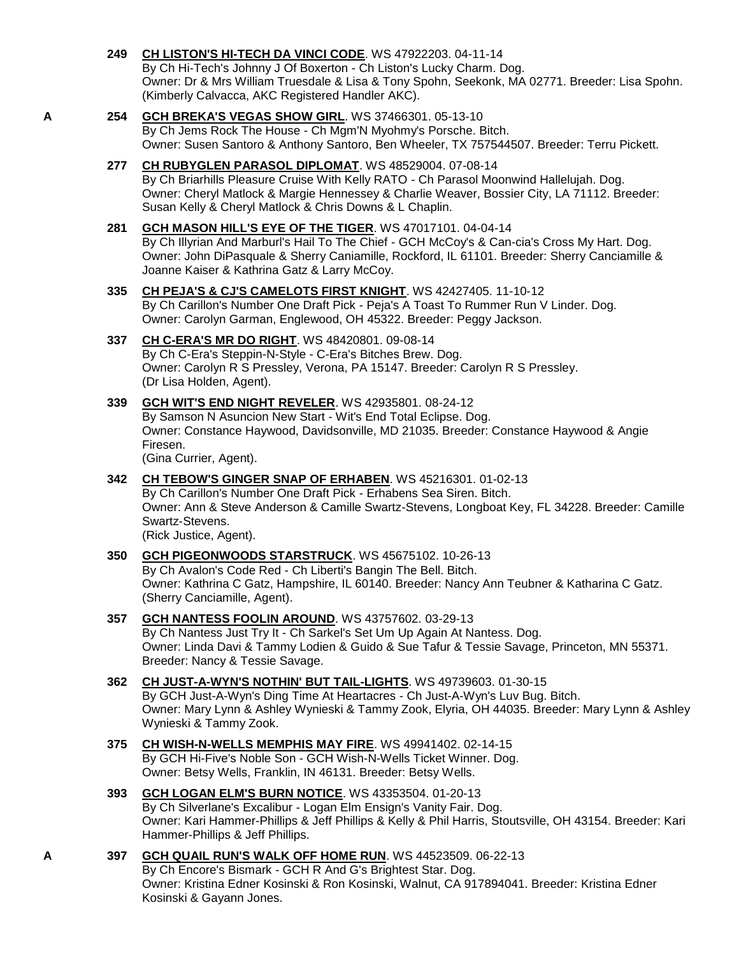## **249 [CH LISTON'S HI-TECH DA VINCI CODE](http://infodog.com/my/drlookup2.htm?makc=WS%2047922203&mdog=Ch+Liston%27s+Hi-Tech+Da+Vinci+Code&wins=all)**. WS 47922203. 04-11-14

By Ch Hi-Tech's Johnny J Of Boxerton - Ch Liston's Lucky Charm. Dog. Owner: Dr & Mrs William Truesdale & Lisa & Tony Spohn, Seekonk, MA 02771. Breeder: Lisa Spohn. (Kimberly Calvacca, AKC Registered Handler AKC).

### **A 254 [GCH BREKA'S VEGAS](http://infodog.com/my/drlookup2.htm?makc=WS%2037466301&mdog=GCH+Breka%27s+Vegas+Show+Girl&wins=all) SHOW GIRL**. WS 37466301. 05-13-10 By Ch Jems Rock The House - Ch Mgm'N Myohmy's Porsche. Bitch. Owner: Susen Santoro & Anthony Santoro, Ben Wheeler, TX 757544507. Breeder: Terru Pickett.

- **277 [CH RUBYGLEN PARASOL DIPLOMAT](http://infodog.com/my/drlookup2.htm?makc=WS%2048529004&mdog=Ch+RubyGlen+Parasol+Diplomat&wins=all)**. WS 48529004. 07-08-14 By Ch Briarhills Pleasure Cruise With Kelly RATO - Ch Parasol Moonwind Hallelujah. Dog. Owner: Cheryl Matlock & Margie Hennessey & Charlie Weaver, Bossier City, LA 71112. Breeder: Susan Kelly & Cheryl Matlock & Chris Downs & L Chaplin.
- **281 [GCH MASON HILL'S EYE OF THE TIGER](http://infodog.com/my/drlookup2.htm?makc=WS%2047017101&mdog=GCH+Mason+Hill%27s+Eye+Of+The+Tiger&wins=all)**. WS 47017101. 04-04-14 By Ch Illyrian And Marburl's Hail To The Chief - GCH McCoy's & Can-cia's Cross My Hart. Dog. Owner: John DiPasquale & Sherry Caniamille, Rockford, IL 61101. Breeder: Sherry Canciamille & Joanne Kaiser & Kathrina Gatz & Larry McCoy.
- **335 [CH PEJA'S & CJ'S CAMELOTS FIRST KNIGHT](http://infodog.com/my/drlookup2.htm?makc=WS%2042427405&mdog=Ch+Peja%27s+&+CJ%27s+Camelots+First+Knight&wins=all)**. WS 42427405. 11-10-12 By Ch Carillon's Number One Draft Pick - Peja's A Toast To Rummer Run V Linder. Dog. Owner: Carolyn Garman, Englewood, OH 45322. Breeder: Peggy Jackson.
- **337 [CH C-ERA'S MR DO RIGHT](http://infodog.com/my/drlookup2.htm?makc=WS%2048420801&mdog=Ch+C-Era%27s+Mr+Do+Right&wins=all)**. WS 48420801. 09-08-14 By Ch C-Era's Steppin-N-Style - C-Era's Bitches Brew. Dog. Owner: Carolyn R S Pressley, Verona, PA 15147. Breeder: Carolyn R S Pressley. (Dr Lisa Holden, Agent).
- **339 [GCH WIT'S END NIGHT REVELER](http://infodog.com/my/drlookup2.htm?makc=WS%2042935801&mdog=GCH+Wit%27s+End+Night+Reveler&wins=all)**. WS 42935801. 08-24-12 By Samson N Asuncion New Start - Wit's End Total Eclipse. Dog. Owner: Constance Haywood, Davidsonville, MD 21035. Breeder: Constance Haywood & Angie Firesen. (Gina Currier, Agent).
- **342 [CH TEBOW'S GINGER SNAP OF ERHABEN](http://infodog.com/my/drlookup2.htm?makc=WS%2045216301&mdog=Ch+Tebow%27s+Ginger+Snap+Of+Erhaben&wins=all)**. WS 45216301. 01-02-13 By Ch Carillon's Number One Draft Pick - Erhabens Sea Siren. Bitch. Owner: Ann & Steve Anderson & Camille Swartz-Stevens, Longboat Key, FL 34228. Breeder: Camille Swartz-Stevens. (Rick Justice, Agent).
- **350 [GCH PIGEONWOODS STARSTRUCK](http://infodog.com/my/drlookup2.htm?makc=WS%2045675102&mdog=GCH+Pigeonwoods+Starstruck&wins=all)**. WS 45675102. 10-26-13 By Ch Avalon's Code Red - Ch Liberti's Bangin The Bell. Bitch. Owner: Kathrina C Gatz, Hampshire, IL 60140. Breeder: Nancy Ann Teubner & Katharina C Gatz. (Sherry Canciamille, Agent).
- **357 [GCH NANTESS FOOLIN AROUND](http://infodog.com/my/drlookup2.htm?makc=WS%2043757602&mdog=GCH+Nantess+Foolin+Around&wins=all)**. WS 43757602. 03-29-13 By Ch Nantess Just Try It - Ch Sarkel's Set Um Up Again At Nantess. Dog. Owner: Linda Davi & Tammy Lodien & Guido & Sue Tafur & Tessie Savage, Princeton, MN 55371. Breeder: Nancy & Tessie Savage.
- **362 [CH JUST-A-WYN'S NOTHIN' BUT TAIL-LIGHTS](http://infodog.com/my/drlookup2.htm?makc=WS%2049739603&mdog=Ch+Just-A-Wyn%27s+Nothin%27+But+Tail-Lights&wins=all)**. WS 49739603. 01-30-15 By GCH Just-A-Wyn's Ding Time At Heartacres - Ch Just-A-Wyn's Luv Bug. Bitch. Owner: Mary Lynn & Ashley Wynieski & Tammy Zook, Elyria, OH 44035. Breeder: Mary Lynn & Ashley Wynieski & Tammy Zook.
- **375 [CH WISH-N-WELLS MEMPHIS MAY FIRE](http://infodog.com/my/drlookup2.htm?makc=WS%2049941402&mdog=Ch+Wish-N-Wells+Memphis+May+Fire&wins=all)**. WS 49941402. 02-14-15 By GCH Hi-Five's Noble Son - GCH Wish-N-Wells Ticket Winner. Dog. Owner: Betsy Wells, Franklin, IN 46131. Breeder: Betsy Wells.
- **393 [GCH LOGAN ELM'S BURN NOTICE](http://infodog.com/my/drlookup2.htm?makc=WS%2043353504&mdog=GCH+Logan+Elm%27s+Burn+Notice&wins=all)**. WS 43353504. 01-20-13 By Ch Silverlane's Excalibur - Logan Elm Ensign's Vanity Fair. Dog. Owner: Kari Hammer-Phillips & Jeff Phillips & Kelly & Phil Harris, Stoutsville, OH 43154. Breeder: Kari Hammer-Phillips & Jeff Phillips.
- **A 397 [GCH QUAIL RUN'S WALK OFF HOME RUN](http://infodog.com/my/drlookup2.htm?makc=WS%2044523509&mdog=GCH+Quail+Run%27s+Walk+Off+Home+Run&wins=all)**. WS 44523509. 06-22-13 By Ch Encore's Bismark - GCH R And G's Brightest Star. Dog. Owner: Kristina Edner Kosinski & Ron Kosinski, Walnut, CA 917894041. Breeder: Kristina Edner Kosinski & Gayann Jones.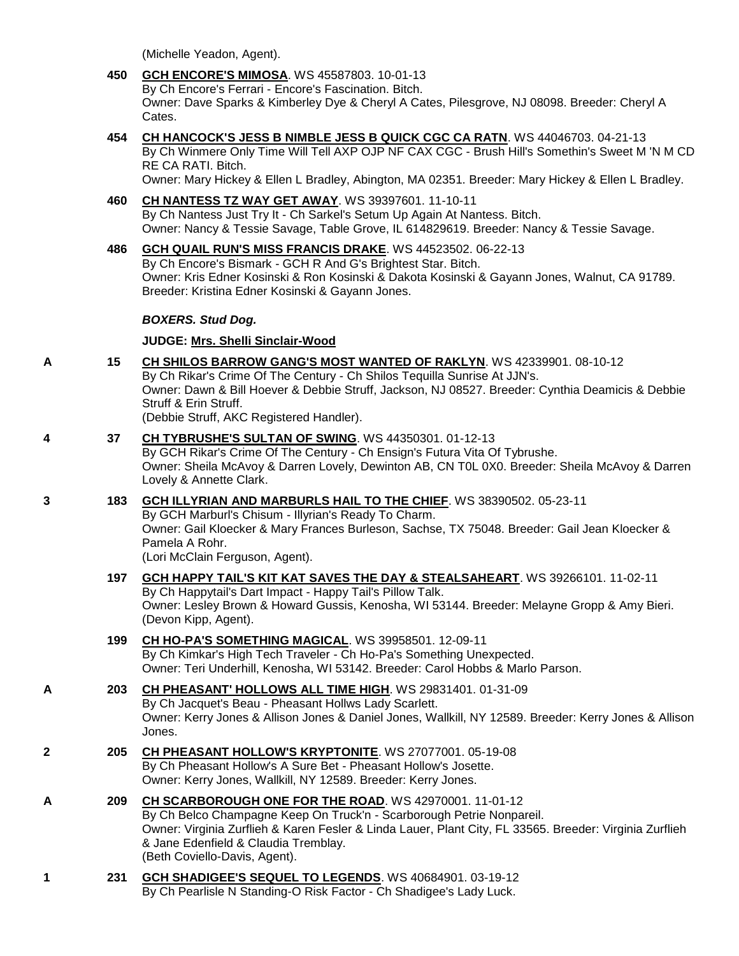(Michelle Yeadon, Agent).

### **450 [GCH ENCORE'S MIMOSA](http://infodog.com/my/drlookup2.htm?makc=WS%2045587803&mdog=GCH+Encore%27s+Mimosa&wins=all)**. WS 45587803. 10-01-13 By Ch Encore's Ferrari - Encore's Fascination. Bitch.

Owner: Dave Sparks & Kimberley Dye & Cheryl A Cates, Pilesgrove, NJ 08098. Breeder: Cheryl A Cates.

**454 [CH HANCOCK'S JESS B NIMBLE JESS B QUICK CGC CA RATN](http://infodog.com/my/drlookup2.htm?makc=WS%2044046703&mdog=Ch+Hancock%27s+Jess+B+Nimble+Jess+B+Quick+CGC+CA+RATN&wins=all)**. WS 44046703. 04-21-13 By Ch Winmere Only Time Will Tell AXP OJP NF CAX CGC - Brush Hill's Somethin's Sweet M 'N M CD RE CA RATI. Bitch.

Owner: Mary Hickey & Ellen L Bradley, Abington, MA 02351. Breeder: Mary Hickey & Ellen L Bradley.

## **460 [CH NANTESS TZ WAY GET AWAY](http://infodog.com/my/drlookup2.htm?makc=WS%2039397601&mdog=Ch+Nantess+Tz+Way+Get+Away&wins=all)**. WS 39397601. 11-10-11 By Ch Nantess Just Try It - Ch Sarkel's Setum Up Again At Nantess. Bitch. Owner: Nancy & Tessie Savage, Table Grove, IL 614829619. Breeder: Nancy & Tessie Savage.

### **486 [GCH QUAIL RUN'S MISS FRANCIS DRAKE](http://infodog.com/my/drlookup2.htm?makc=WS%2044523502&mdog=GCH+Quail+Run%27s+Miss+Francis+Drake&wins=all)**. WS 44523502. 06-22-13 By Ch Encore's Bismark - GCH R And G's Brightest Star. Bitch. Owner: Kris Edner Kosinski & Ron Kosinski & Dakota Kosinski & Gayann Jones, Walnut, CA 91789. Breeder: Kristina Edner Kosinski & Gayann Jones.

## *BOXERS. Stud Dog.*

**JUDGE: [Mrs. Shelli Sinclair-Wood](http://infodog.com/show/judge/jdgprofile.htm?jn=24194)**

**A 15 [CH SHILOS BARROW GANG'S MOST WANTED OF RAKLYN](http://infodog.com/my/drlookup2.htm?makc=WS%2042339901&mdog=Ch+Shilos+Barrow+Gang%27s+Most+Wanted+Of+Raklyn&wins=all)**. WS 42339901. 08-10-12 By Ch Rikar's Crime Of The Century - Ch Shilos Tequilla Sunrise At JJN's.

Owner: Dawn & Bill Hoever & Debbie Struff, Jackson, NJ 08527. Breeder: Cynthia Deamicis & Debbie Struff & Erin Struff.

(Debbie Struff, AKC Registered Handler).

## **4 37 [CH TYBRUSHE'S SULTAN OF SWING](http://infodog.com/my/drlookup2.htm?makc=WS%2044350301&mdog=Ch+Tybrushe%27s+Sultan+Of+Swing&wins=all)**. WS 44350301. 01-12-13

By GCH Rikar's Crime Of The Century - Ch Ensign's Futura Vita Of Tybrushe. Owner: Sheila McAvoy & Darren Lovely, Dewinton AB, CN T0L 0X0. Breeder: Sheila McAvoy & Darren Lovely & Annette Clark.

## **3 183 [GCH ILLYRIAN AND MARBURLS HAIL TO THE CHIEF](http://infodog.com/my/drlookup2.htm?makc=WS%2038390502&mdog=GCH+Illyrian+And+Marburls+Hail+To+The+Chief&wins=all)**. WS 38390502. 05-23-11

By GCH Marburl's Chisum - Illyrian's Ready To Charm. Owner: Gail Kloecker & Mary Frances Burleson, Sachse, TX 75048. Breeder: Gail Jean Kloecker & Pamela A Rohr.

(Lori McClain Ferguson, Agent).

# **197 [GCH HAPPY TAIL'S KIT KAT SAVES THE DAY & STEALSAHEART](http://infodog.com/my/drlookup2.htm?makc=WS%2039266101&mdog=GCH+Happy+Tail%27s+Kit+Kat+Saves+The+Day+&+Stealsaheart&wins=all)**. WS 39266101. 11-02-11 By Ch Happytail's Dart Impact - Happy Tail's Pillow Talk.

Owner: Lesley Brown & Howard Gussis, Kenosha, WI 53144. Breeder: Melayne Gropp & Amy Bieri. (Devon Kipp, Agent).

#### **199 [CH HO-PA'S SOMETHING MAGICAL](http://infodog.com/my/drlookup2.htm?makc=WS%2039958501&mdog=Ch+Ho-Pa%27s+Something+Magical&wins=all)**. WS 39958501. 12-09-11 By Ch Kimkar's High Tech Traveler - Ch Ho-Pa's Something Unexpected. Owner: Teri Underhill, Kenosha, WI 53142. Breeder: Carol Hobbs & Marlo Parson.

## **A 203 [CH PHEASANT' HOLLOWS ALL TIME HIGH](http://infodog.com/my/drlookup2.htm?makc=WS%2029831401&mdog=Ch+Pheasant%27+Hollows+All+Time+High&wins=all)**. WS 29831401. 01-31-09 By Ch Jacquet's Beau - Pheasant Hollws Lady Scarlett. Owner: Kerry Jones & Allison Jones & Daniel Jones, Wallkill, NY 12589. Breeder: Kerry Jones & Allison Jones.

- **2 205 [CH PHEASANT HOLLOW'S KRYPTONITE](http://infodog.com/my/drlookup2.htm?makc=WS%2027077001&mdog=Ch+Pheasant+Hollow%27s+Kryptonite&wins=all)**. WS 27077001. 05-19-08 By Ch Pheasant Hollow's A Sure Bet - Pheasant Hollow's Josette. Owner: Kerry Jones, Wallkill, NY 12589. Breeder: Kerry Jones.
- **A 209 [CH SCARBOROUGH ONE FOR THE ROAD](http://infodog.com/my/drlookup2.htm?makc=WS%2042970001&mdog=Ch+Scarborough+One+For+The+Road&wins=all)**. WS 42970001. 11-01-12 By Ch Belco Champagne Keep On Truck'n - Scarborough Petrie Nonpareil. Owner: Virginia Zurflieh & Karen Fesler & Linda Lauer, Plant City, FL 33565. Breeder: Virginia Zurflieh & Jane Edenfield & Claudia Tremblay. (Beth Coviello-Davis, Agent).
- **1 231 [GCH SHADIGEE'S SEQUEL TO LEGENDS](http://infodog.com/my/drlookup2.htm?makc=WS%2040684901&mdog=GCH+Shadigee%27s+Sequel+To+Legends&wins=all)**. WS 40684901. 03-19-12 By Ch Pearlisle N Standing-O Risk Factor - Ch Shadigee's Lady Luck.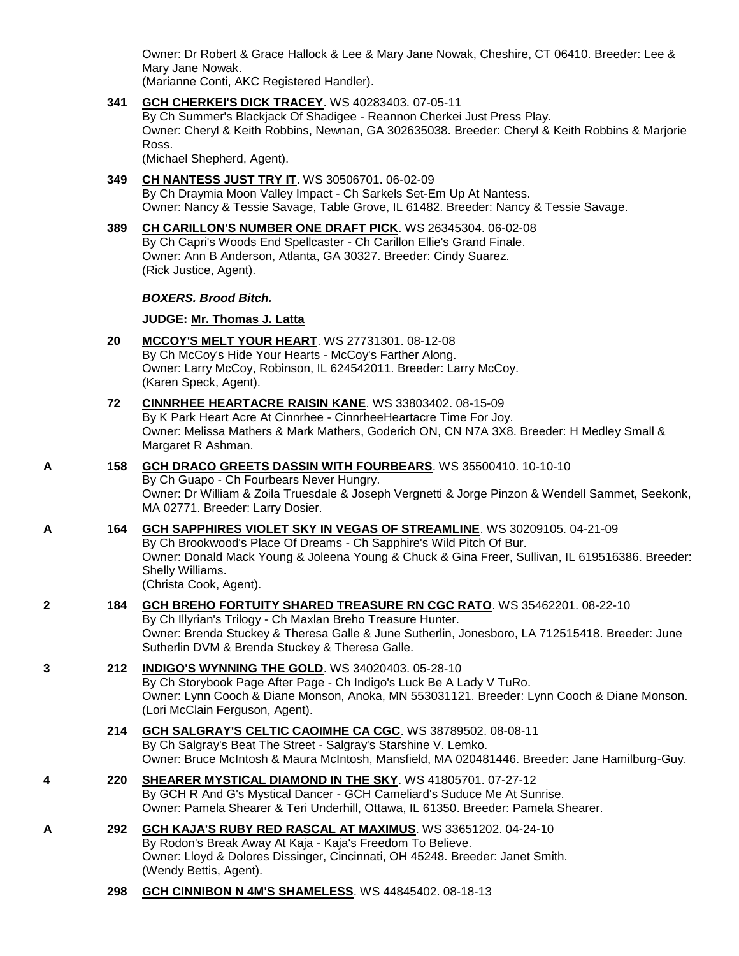Owner: Dr Robert & Grace Hallock & Lee & Mary Jane Nowak, Cheshire, CT 06410. Breeder: Lee & Mary Jane Nowak.

(Marianne Conti, AKC Registered Handler).

**341 [GCH CHERKEI'S DICK TRACEY](http://infodog.com/my/drlookup2.htm?makc=WS%2040283403&mdog=GCH+Cherkei%27s+Dick+Tracey&wins=all)**. WS 40283403. 07-05-11

By Ch Summer's Blackjack Of Shadigee - Reannon Cherkei Just Press Play. Owner: Cheryl & Keith Robbins, Newnan, GA 302635038. Breeder: Cheryl & Keith Robbins & Marjorie Ross.

(Michael Shepherd, Agent).

- **349 [CH NANTESS JUST TRY IT](http://infodog.com/my/drlookup2.htm?makc=WS%2030506701&mdog=Ch+Nantess+Just+Try+It&wins=all)**. WS 30506701. 06-02-09 By Ch Draymia Moon Valley Impact - Ch Sarkels Set-Em Up At Nantess. Owner: Nancy & Tessie Savage, Table Grove, IL 61482. Breeder: Nancy & Tessie Savage.
- **389 [CH CARILLON'S NUMBER ONE DRAFT PICK](http://infodog.com/my/drlookup2.htm?makc=WS%2026345304&mdog=Ch+Carillon%27s+Number+One+Draft+Pick&wins=all)**. WS 26345304. 06-02-08 By Ch Capri's Woods End Spellcaster - Ch Carillon Ellie's Grand Finale. Owner: Ann B Anderson, Atlanta, GA 30327. Breeder: Cindy Suarez. (Rick Justice, Agent).

### *BOXERS. Brood Bitch.*

## **JUDGE: [Mr. Thomas J. Latta](http://infodog.com/show/judge/jdgprofile.htm?jn=91010)**

- **20 [MCCOY'S MELT YOUR HEART](http://infodog.com/my/drlookup2.htm?makc=WS%2027731301&mdog=McCoy%27s+Melt+Your+Heart&wins=all)**. WS 27731301. 08-12-08 By Ch McCoy's Hide Your Hearts - McCoy's Farther Along. Owner: Larry McCoy, Robinson, IL 624542011. Breeder: Larry McCoy. (Karen Speck, Agent).
- **72 [CINNRHEE HEARTACRE RAISIN KANE](http://infodog.com/my/drlookup2.htm?makc=WS%2033803402&mdog=Cinnrhee+Heartacre+Raisin+Kane&wins=all)**. WS 33803402. 08-15-09 By K Park Heart Acre At Cinnrhee - CinnrheeHeartacre Time For Joy. Owner: Melissa Mathers & Mark Mathers, Goderich ON, CN N7A 3X8. Breeder: H Medley Small & Margaret R Ashman.
- **A 158 [GCH DRACO GREETS DASSIN WITH FOURBEARS](http://infodog.com/my/drlookup2.htm?makc=WS%2035500410&mdog=GCH+Draco+Greets+Dassin+With+Fourbears&wins=all)**. WS 35500410. 10-10-10

By Ch Guapo - Ch Fourbears Never Hungry. Owner: Dr William & Zoila Truesdale & Joseph Vergnetti & Jorge Pinzon & Wendell Sammet, Seekonk, MA 02771. Breeder: Larry Dosier.

- **A 164 [GCH SAPPHIRES VIOLET SKY IN VEGAS OF STREAMLINE](http://infodog.com/my/drlookup2.htm?makc=WS%2030209105&mdog=GCH+Sapphires+Violet+Sky+In+Vegas+Of+Streamline&wins=all)**. WS 30209105. 04-21-09 By Ch Brookwood's Place Of Dreams - Ch Sapphire's Wild Pitch Of Bur. Owner: Donald Mack Young & Joleena Young & Chuck & Gina Freer, Sullivan, IL 619516386. Breeder: Shelly Williams. (Christa Cook, Agent).
- **2 184 [GCH BREHO FORTUITY SHARED TREASURE RN CGC RATO](http://infodog.com/my/drlookup2.htm?makc=WS%2035462201&mdog=GCH+Breho+Fortuity+Shared+Treasure+RN+CGC+RATO&wins=all)**. WS 35462201. 08-22-10 By Ch Illyrian's Trilogy - Ch Maxlan Breho Treasure Hunter. Owner: Brenda Stuckey & Theresa Galle & June Sutherlin, Jonesboro, LA 712515418. Breeder: June Sutherlin DVM & Brenda Stuckey & Theresa Galle.
- **3 212 [INDIGO'S WYNNING THE GOLD](http://infodog.com/my/drlookup2.htm?makc=WS%2034020403&mdog=Indigo%27s+Wynning+The+Gold&wins=all)**. WS 34020403. 05-28-10 By Ch Storybook Page After Page - Ch Indigo's Luck Be A Lady V TuRo. Owner: Lynn Cooch & Diane Monson, Anoka, MN 553031121. Breeder: Lynn Cooch & Diane Monson. (Lori McClain Ferguson, Agent).
	- **214 [GCH SALGRAY'S CELTIC CAOIMHE CA CGC](http://infodog.com/my/drlookup2.htm?makc=WS%2038789502&mdog=GCH+Salgray%27s+Celtic+Caoimhe+CA+CGC&wins=all)**. WS 38789502. 08-08-11 By Ch Salgray's Beat The Street - Salgray's Starshine V. Lemko. Owner: Bruce McIntosh & Maura McIntosh, Mansfield, MA 020481446. Breeder: Jane Hamilburg-Guy.
- **4 220 [SHEARER MYSTICAL DIAMOND IN THE SKY](http://infodog.com/my/drlookup2.htm?makc=WS%2041805701&mdog=Shearer+Mystical+Diamond+In+The+Sky&wins=all)**. WS 41805701. 07-27-12 By GCH R And G's Mystical Dancer - GCH Cameliard's Suduce Me At Sunrise. Owner: Pamela Shearer & Teri Underhill, Ottawa, IL 61350. Breeder: Pamela Shearer.
- **A 292 [GCH KAJA'S RUBY RED RASCAL AT MAXIMUS](http://infodog.com/my/drlookup2.htm?makc=WS%2033651202&mdog=GCH+Kaja%27s+Ruby+Red+Rascal+At+Maximus&wins=all)**. WS 33651202. 04-24-10 By Rodon's Break Away At Kaja - Kaja's Freedom To Believe. Owner: Lloyd & Dolores Dissinger, Cincinnati, OH 45248. Breeder: Janet Smith. (Wendy Bettis, Agent).
	- **298 [GCH CINNIBON N 4M'S SHAMELESS](http://infodog.com/my/drlookup2.htm?makc=WS%2044845402&mdog=GCH+CinniBon+N+4M%27s+Shameless&wins=all)**. WS 44845402. 08-18-13